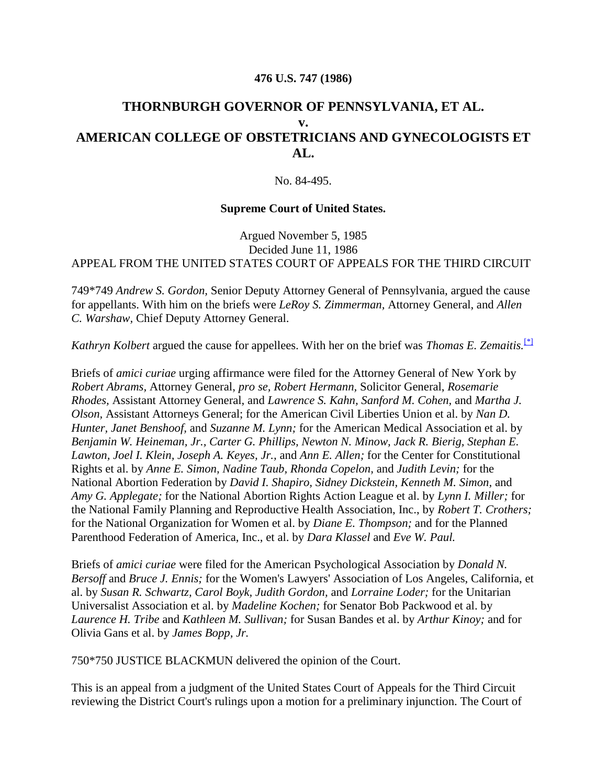#### **476 U.S. 747 (1986)**

#### **THORNBURGH GOVERNOR OF PENNSYLVANIA, ET AL. v. AMERICAN COLLEGE OF OBSTETRICIANS AND GYNECOLOGISTS ET AL.**

No. 84-495.

#### **Supreme Court of United States.**

Argued November 5, 1985 Decided June 11, 1986 APPEAL FROM THE UNITED STATES COURT OF APPEALS FOR THE THIRD CIRCUIT

749\*749 *Andrew S. Gordon,* Senior Deputy Attorney General of Pennsylvania, argued the cause for appellants. With him on the briefs were *LeRoy S. Zimmerman,* Attorney General, and *Allen C. Warshaw,* Chief Deputy Attorney General.

*Kathryn Kolbert* argued the cause for appellees. With her on the brief was *Thomas E. Zemaitis.*[\[\\*\]](http://scholar.google.co.in/scholar_case?case=3420134328076928385&q=Thornburgh+&hl=en&as_sdt=2002#[1])

Briefs of *amici curiae* urging affirmance were filed for the Attorney General of New York by *Robert Abrams,* Attorney General, *pro se, Robert Hermann,* Solicitor General, *Rosemarie Rhodes,* Assistant Attorney General, and *Lawrence S. Kahn, Sanford M. Cohen,* and *Martha J. Olson,* Assistant Attorneys General; for the American Civil Liberties Union et al. by *Nan D. Hunter, Janet Benshoof,* and *Suzanne M. Lynn;* for the American Medical Association et al. by *Benjamin W. Heineman, Jr., Carter G. Phillips, Newton N. Minow, Jack R. Bierig, Stephan E. Lawton, Joel I. Klein, Joseph A. Keyes, Jr.,* and *Ann E. Allen;* for the Center for Constitutional Rights et al. by *Anne E. Simon, Nadine Taub, Rhonda Copelon,* and *Judith Levin;* for the National Abortion Federation by *David I. Shapiro, Sidney Dickstein, Kenneth M. Simon,* and *Amy G. Applegate;* for the National Abortion Rights Action League et al. by *Lynn I. Miller;* for the National Family Planning and Reproductive Health Association, Inc., by *Robert T. Crothers;* for the National Organization for Women et al. by *Diane E. Thompson;* and for the Planned Parenthood Federation of America, Inc., et al. by *Dara Klassel* and *Eve W. Paul.*

Briefs of *amici curiae* were filed for the American Psychological Association by *Donald N. Bersoff* and *Bruce J. Ennis;* for the Women's Lawyers' Association of Los Angeles, California, et al. by *Susan R. Schwartz, Carol Boyk, Judith Gordon,* and *Lorraine Loder;* for the Unitarian Universalist Association et al. by *Madeline Kochen;* for Senator Bob Packwood et al. by *Laurence H. Tribe* and *Kathleen M. Sullivan;* for Susan Bandes et al. by *Arthur Kinoy;* and for Olivia Gans et al. by *James Bopp, Jr.*

750\*750 JUSTICE BLACKMUN delivered the opinion of the Court.

This is an appeal from a judgment of the United States Court of Appeals for the Third Circuit reviewing the District Court's rulings upon a motion for a preliminary injunction. The Court of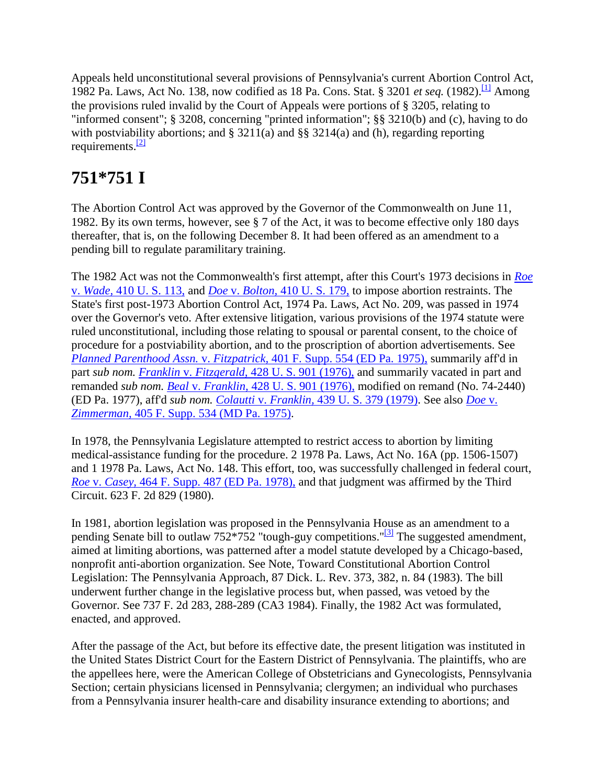Appeals held unconstitutional several provisions of Pennsylvania's current Abortion Control Act, 1982 Pa. Laws, Act No. 138, now codified as 18 Pa. Cons. Stat. § 3201 *et seq.* (1982).[\[1\]](http://scholar.google.co.in/scholar_case?case=3420134328076928385&q=Thornburgh+&hl=en&as_sdt=2002#[2]) Among the provisions ruled invalid by the Court of Appeals were portions of § 3205, relating to "informed consent"; § 3208, concerning "printed information"; §§ 3210(b) and (c), having to do with postviability abortions; and  $\S 3211(a)$  and  $\S § 3214(a)$  and (h), regarding reporting requirements. $^{21}$ 

## **751\*751 I**

The Abortion Control Act was approved by the Governor of the Commonwealth on June 11, 1982. By its own terms, however, see § 7 of the Act, it was to become effective only 180 days thereafter, that is, on the following December 8. It had been offered as an amendment to a pending bill to regulate paramilitary training.

The 1982 Act was not the Commonwealth's first attempt, after this Court's 1973 decisions in *[Roe](http://scholar.google.co.in/scholar_case?case=12334123945835207673&q=Thornburgh+&hl=en&as_sdt=2002)* v. *Wade,* [410 U. S. 113,](http://scholar.google.co.in/scholar_case?case=12334123945835207673&q=Thornburgh+&hl=en&as_sdt=2002) and *Doe* v. *Bolton,* [410 U. S. 179,](http://scholar.google.co.in/scholar_case?case=11713857759343795310&q=Thornburgh+&hl=en&as_sdt=2002) to impose abortion restraints. The State's first post-1973 Abortion Control Act, 1974 Pa. Laws, Act No. 209, was passed in 1974 over the Governor's veto. After extensive litigation, various provisions of the 1974 statute were ruled unconstitutional, including those relating to spousal or parental consent, to the choice of procedure for a postviability abortion, and to the proscription of abortion advertisements. See *Planned Parenthood Assn.* v. *Fitzpatrick,* [401 F. Supp. 554 \(ED Pa. 1975\),](http://scholar.google.co.in/scholar_case?case=6950046772720039157&q=Thornburgh+&hl=en&as_sdt=2002) summarily aff'd in part *sub nom. Franklin* v. *Fitzgerald,* [428 U. S. 901 \(1976\),](http://scholar.google.co.in/scholar_case?about=16443488148709823914&q=Thornburgh+&hl=en&as_sdt=2002) and summarily vacated in part and remanded *sub nom. Beal* v. *Franklin,* 428 U. [S. 901 \(1976\),](http://scholar.google.co.in/scholar_case?about=1715210161411957531&q=Thornburgh+&hl=en&as_sdt=2002) modified on remand (No. 74-2440) (ED Pa. 1977), aff'd *sub nom. Colautti* v. *Franklin,* [439 U. S. 379 \(1979\).](http://scholar.google.co.in/scholar_case?case=11995294142285279951&q=Thornburgh+&hl=en&as_sdt=2002) See also *[Doe](http://scholar.google.co.in/scholar_case?case=12418446039646324725&q=Thornburgh+&hl=en&as_sdt=2002)* v. *Zimmerman,* [405 F. Supp. 534 \(MD Pa. 1975\).](http://scholar.google.co.in/scholar_case?case=12418446039646324725&q=Thornburgh+&hl=en&as_sdt=2002)

In 1978, the Pennsylvania Legislature attempted to restrict access to abortion by limiting medical-assistance funding for the procedure. 2 1978 Pa. Laws, Act No. 16A (pp. 1506-1507) and 1 1978 Pa. Laws, Act No. 148. This effort, too, was successfully challenged in federal court, *Roe* v. *Casey,* [464 F. Supp. 487 \(ED Pa. 1978\),](http://scholar.google.co.in/scholar_case?case=11547351078439348847&q=Thornburgh+&hl=en&as_sdt=2002) and that judgment was affirmed by the Third Circuit. 623 F. 2d 829 (1980).

In 1981, abortion legislation was proposed in the Pennsylvania House as an amendment to a pending Senate bill to outlaw  $752*752$  "tough-guy competitions."<sup>[\[3\]](http://scholar.google.co.in/scholar_case?case=3420134328076928385&q=Thornburgh+&hl=en&as_sdt=2002#[4])</sup> The suggested amendment, aimed at limiting abortions, was patterned after a model statute developed by a Chicago-based, nonprofit anti-abortion organization. See Note, Toward Constitutional Abortion Control Legislation: The Pennsylvania Approach, 87 Dick. L. Rev. 373, 382, n. 84 (1983). The bill underwent further change in the legislative process but, when passed, was vetoed by the Governor. See 737 F. 2d 283, 288-289 (CA3 1984). Finally, the 1982 Act was formulated, enacted, and approved.

After the passage of the Act, but before its effective date, the present litigation was instituted in the United States District Court for the Eastern District of Pennsylvania. The plaintiffs, who are the appellees here, were the American College of Obstetricians and Gynecologists, Pennsylvania Section; certain physicians licensed in Pennsylvania; clergymen; an individual who purchases from a Pennsylvania insurer health-care and disability insurance extending to abortions; and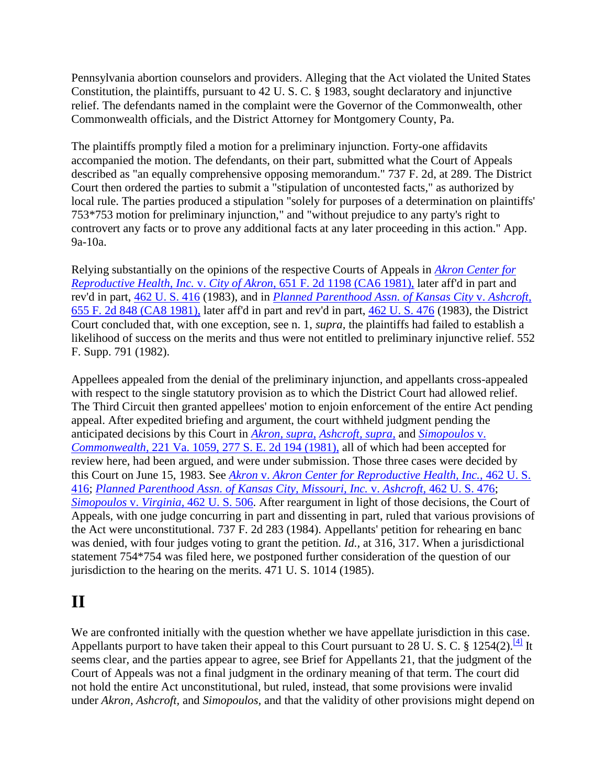Pennsylvania abortion counselors and providers. Alleging that the Act violated the United States Constitution, the plaintiffs, pursuant to 42 U. S. C. § 1983, sought declaratory and injunctive relief. The defendants named in the complaint were the Governor of the Commonwealth, other Commonwealth officials, and the District Attorney for Montgomery County, Pa.

The plaintiffs promptly filed a motion for a preliminary injunction. Forty-one affidavits accompanied the motion. The defendants, on their part, submitted what the Court of Appeals described as "an equally comprehensive opposing memorandum." 737 F. 2d, at 289. The District Court then ordered the parties to submit a "stipulation of uncontested facts," as authorized by local rule. The parties produced a stipulation "solely for purposes of a determination on plaintiffs' 753\*753 motion for preliminary injunction," and "without prejudice to any party's right to controvert any facts or to prove any additional facts at any later proceeding in this action." App. 9a-10a.

Relying substantially on the opinions of the respective Courts of Appeals in *[Akron Center for](http://scholar.google.co.in/scholar_case?case=14091263488533342631&q=Thornburgh+&hl=en&as_sdt=2002)  Reproductive Health, Inc.* v. *City of Akron,* [651 F. 2d 1198 \(CA6 1981\),](http://scholar.google.co.in/scholar_case?case=14091263488533342631&q=Thornburgh+&hl=en&as_sdt=2002) later aff'd in part and rev'd in part, [462 U. S. 416](http://scholar.google.co.in/scholar_case?case=7944230995323582140&q=Thornburgh+&hl=en&as_sdt=2002) (1983), and in *[Planned Parenthood Assn. of Kansas City](http://scholar.google.co.in/scholar_case?case=8557842560228641660&q=Thornburgh+&hl=en&as_sdt=2002)* v. *Ashcroft,* [655 F. 2d 848 \(CA8 1981\),](http://scholar.google.co.in/scholar_case?case=8557842560228641660&q=Thornburgh+&hl=en&as_sdt=2002) later aff'd in part and rev'd in part, [462 U. S. 476](http://scholar.google.co.in/scholar_case?case=16358226321487983194&q=Thornburgh+&hl=en&as_sdt=2002) (1983), the District Court concluded that, with one exception, see n. 1, *supra,* the plaintiffs had failed to establish a likelihood of success on the merits and thus were not entitled to preliminary injunctive relief. 552 F. Supp. 791 (1982).

Appellees appealed from the denial of the preliminary injunction, and appellants cross-appealed with respect to the single statutory provision as to which the District Court had allowed relief. The Third Circuit then granted appellees' motion to enjoin enforcement of the entire Act pending appeal. After expedited briefing and argument, the court withheld judgment pending the anticipated decisions by this Court in *[Akron, supra,](http://scholar.google.co.in/scholar_case?case=14091263488533342631&q=Thornburgh+&hl=en&as_sdt=2002) [Ashcroft, supra,](http://scholar.google.co.in/scholar_case?case=8557842560228641660&q=Thornburgh+&hl=en&as_sdt=2002)* and *[Simopoulos](http://scholar.google.co.in/scholar_case?case=7479389513191307553&q=Thornburgh+&hl=en&as_sdt=2002)* v. *Commonwealth,* [221 Va. 1059, 277 S. E. 2d 194 \(1981\),](http://scholar.google.co.in/scholar_case?case=7479389513191307553&q=Thornburgh+&hl=en&as_sdt=2002) all of which had been accepted for review here, had been argued, and were under submission. Those three cases were decided by this Court on June 15, 1983. See *Akron* v. *[Akron Center for Reproductive Health, Inc.,](http://scholar.google.co.in/scholar_case?case=7944230995323582140&q=Thornburgh+&hl=en&as_sdt=2002)* 462 U. S. [416;](http://scholar.google.co.in/scholar_case?case=7944230995323582140&q=Thornburgh+&hl=en&as_sdt=2002) *[Planned Parenthood Assn. of Kansas City, Missouri, Inc.](http://scholar.google.co.in/scholar_case?case=16358226321487983194&q=Thornburgh+&hl=en&as_sdt=2002)* v. *Ashcroft,* 462 U. S. 476; *Simopoulos* v. *Virginia,* [462 U. S. 506.](http://scholar.google.co.in/scholar_case?case=383681397468331850&q=Thornburgh+&hl=en&as_sdt=2002) After reargument in light of those decisions, the Court of Appeals, with one judge concurring in part and dissenting in part, ruled that various provisions of the Act were unconstitutional. 737 F. 2d 283 (1984). Appellants' petition for rehearing en banc was denied, with four judges voting to grant the petition. *Id.,* at 316, 317. When a jurisdictional statement 754\*754 was filed here, we postponed further consideration of the question of our jurisdiction to the hearing on the merits. 471 U. S. 1014 (1985).

## **II**

We are confronted initially with the question whether we have appellate jurisdiction in this case. Appellants purport to have taken their appeal to this Court pursuant to 28 U. S. C. § 1254(2).<sup>[\[4\]](http://scholar.google.co.in/scholar_case?case=3420134328076928385&q=Thornburgh+&hl=en&as_sdt=2002#[5])</sup> It seems clear, and the parties appear to agree, see Brief for Appellants 21, that the judgment of the Court of Appeals was not a final judgment in the ordinary meaning of that term. The court did not hold the entire Act unconstitutional, but ruled, instead, that some provisions were invalid under *Akron, Ashcroft,* and *Simopoulos,* and that the validity of other provisions might depend on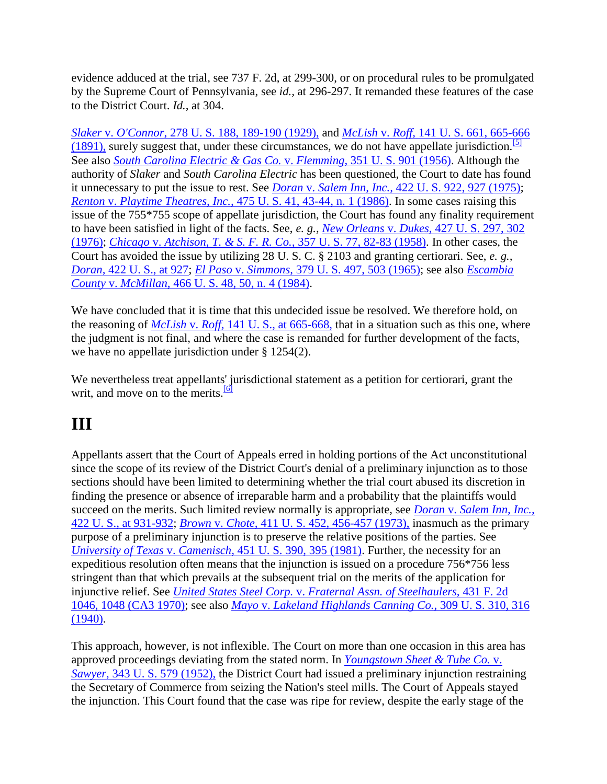evidence adduced at the trial, see 737 F. 2d, at 299-300, or on procedural rules to be promulgated by the Supreme Court of Pennsylvania, see *id.,* at 296-297. It remanded these features of the case to the District Court. *Id.,* at 304.

*Slaker* v. *O'Connor,* [278 U. S. 188, 189-190 \(1929\),](http://scholar.google.co.in/scholar_case?case=17609268808075735102&q=Thornburgh+&hl=en&as_sdt=2002) and *McLish* v. *Roff,* [141 U. S. 661, 665-666](http://scholar.google.co.in/scholar_case?case=1985975246370765679&q=Thornburgh+&hl=en&as_sdt=2002)   $(1891)$ , surely suggest that, under these circumstances, we do not have appellate jurisdiction.<sup>[\[5\]](http://scholar.google.co.in/scholar_case?case=3420134328076928385&q=Thornburgh+&hl=en&as_sdt=2002#[6])</sup> See also *[South Carolina Electric & Gas Co.](http://scholar.google.co.in/scholar_case?about=2609149290014592562&q=Thornburgh+&hl=en&as_sdt=2002)* v. *Flemming,* 351 U. S. 901 (1956). Although the authority of *Slaker* and *South Carolina Electric* has been questioned, the Court to date has found it unnecessary to put the issue to rest. See *Doran* v. *Salem Inn, Inc.,* [422 U. S. 922, 927 \(1975\);](http://scholar.google.co.in/scholar_case?case=5037129356036202482&q=Thornburgh+&hl=en&as_sdt=2002) *Renton* v. *Playtime Theatres, Inc.,* [475 U. S. 41, 43-44, n. 1 \(1986\).](http://scholar.google.co.in/scholar_case?case=15164132759846835695&q=Thornburgh+&hl=en&as_sdt=2002) In some cases raising this issue of the 755\*755 scope of appellate jurisdiction, the Court has found any finality requirement to have been satisfied in light of the facts. See, *e. g., New Orleans* v. *Dukes,* 427 [U. S. 297, 302](http://scholar.google.co.in/scholar_case?case=6763024761880654979&q=Thornburgh+&hl=en&as_sdt=2002)  [\(1976\);](http://scholar.google.co.in/scholar_case?case=6763024761880654979&q=Thornburgh+&hl=en&as_sdt=2002) *Chicago* v. *[Atchison, T. & S. F. R. Co.,](http://scholar.google.co.in/scholar_case?case=13795542939207035712&q=Thornburgh+&hl=en&as_sdt=2002)* 357 U. S. 77, 82-83 (1958). In other cases, the Court has avoided the issue by utilizing 28 U. S. C. § 2103 and granting certiorari. See, *e. g., Doran,* [422 U. S., at 927;](http://scholar.google.co.in/scholar_case?case=5037129356036202482&q=Thornburgh+&hl=en&as_sdt=2002) *El Paso* v. *Simmons,* [379 U. S. 497, 503 \(1965\);](http://scholar.google.co.in/scholar_case?case=2611564739295122924&q=Thornburgh+&hl=en&as_sdt=2002) see also *[Escambia](http://scholar.google.co.in/scholar_case?case=3603982708473858207&q=Thornburgh+&hl=en&as_sdt=2002)  County* v. *McMillan,* [466 U. S. 48, 50, n. 4 \(1984\).](http://scholar.google.co.in/scholar_case?case=3603982708473858207&q=Thornburgh+&hl=en&as_sdt=2002)

We have concluded that it is time that this undecided issue be resolved. We therefore hold, on the reasoning of *McLish* v. *Roff,* [141 U. S., at 665-668,](http://scholar.google.co.in/scholar_case?case=1985975246370765679&q=Thornburgh+&hl=en&as_sdt=2002) that in a situation such as this one, where the judgment is not final, and where the case is remanded for further development of the facts, we have no appellate jurisdiction under § 1254(2).

We nevertheless treat appellants' jurisdictional statement as a petition for certiorari, grant the writ, and move on to the merits.<sup>[\[6\]](http://scholar.google.co.in/scholar_case?case=3420134328076928385&q=Thornburgh+&hl=en&as_sdt=2002#[7])</sup>

## **III**

Appellants assert that the Court of Appeals erred in holding portions of the Act unconstitutional since the scope of its review of the District Court's denial of a preliminary injunction as to those sections should have been limited to determining whether the trial court abused its discretion in finding the presence or absence of irreparable harm and a probability that the plaintiffs would succeed on the merits. Such limited review normally is appropriate, see *Doran* v. *[Salem Inn, Inc.,](http://scholar.google.co.in/scholar_case?case=5037129356036202482&q=Thornburgh+&hl=en&as_sdt=2002)* [422 U. S., at 931-932;](http://scholar.google.co.in/scholar_case?case=5037129356036202482&q=Thornburgh+&hl=en&as_sdt=2002) *Brown* v. *Chote,* [411 U. S. 452, 456-457 \(1973\),](http://scholar.google.co.in/scholar_case?case=13462802965454610803&q=Thornburgh+&hl=en&as_sdt=2002) inasmuch as the primary purpose of a preliminary injunction is to preserve the relative positions of the parties. See *University of Texas* v. *Camenisch,* [451 U. S. 390, 395 \(1981\).](http://scholar.google.co.in/scholar_case?case=13807488466147767233&q=Thornburgh+&hl=en&as_sdt=2002) Further, the necessity for an expeditious resolution often means that the injunction is issued on a procedure 756\*756 less stringent than that which prevails at the subsequent trial on the merits of the application for injunctive relief. See *United States Steel Corp.* v. *[Fraternal Assn. of Steelhaulers,](http://scholar.google.co.in/scholar_case?case=16634852084999904434&q=Thornburgh+&hl=en&as_sdt=2002)* 431 F. 2d [1046, 1048 \(CA3 1970\);](http://scholar.google.co.in/scholar_case?case=16634852084999904434&q=Thornburgh+&hl=en&as_sdt=2002) see also *Mayo* v. *[Lakeland Highlands Canning Co.,](http://scholar.google.co.in/scholar_case?case=1901201290671201045&q=Thornburgh+&hl=en&as_sdt=2002)* 309 U. S. 310, 316 [\(1940\).](http://scholar.google.co.in/scholar_case?case=1901201290671201045&q=Thornburgh+&hl=en&as_sdt=2002)

This approach, however, is not inflexible. The Court on more than one occasion in this area has approved proceedings deviating from the stated norm. In *[Youngstown Sheet & Tube Co.](http://scholar.google.co.in/scholar_case?case=14460863599772421355&q=Thornburgh+&hl=en&as_sdt=2002)* v. *Sawyer,* [343 U. S. 579 \(1952\),](http://scholar.google.co.in/scholar_case?case=14460863599772421355&q=Thornburgh+&hl=en&as_sdt=2002) the District Court had issued a preliminary injunction restraining the Secretary of Commerce from seizing the Nation's steel mills. The Court of Appeals stayed the injunction. This Court found that the case was ripe for review, despite the early stage of the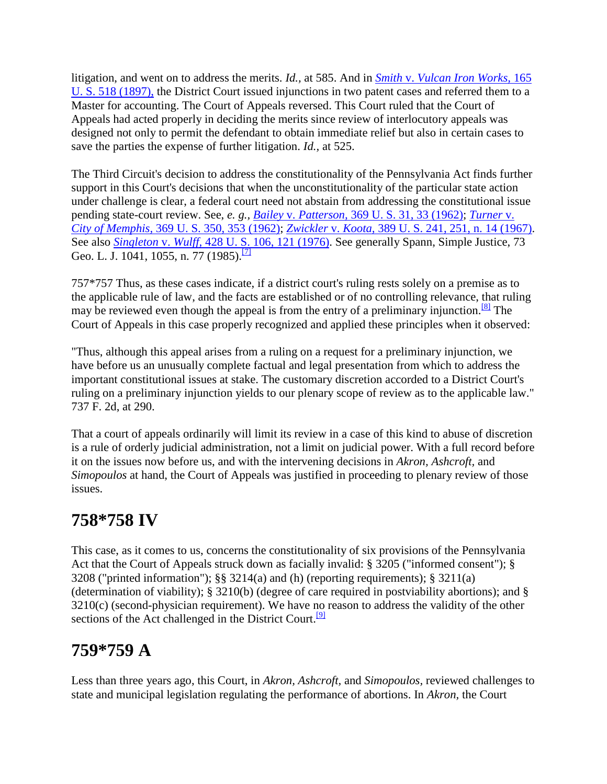litigation, and went on to address the merits. *Id.,* at 585. And in *Smith* v. *[Vulcan Iron Works,](http://scholar.google.co.in/scholar_case?case=18081867056874883140&q=Thornburgh+&hl=en&as_sdt=2002)* 165 [U. S. 518 \(1897\),](http://scholar.google.co.in/scholar_case?case=18081867056874883140&q=Thornburgh+&hl=en&as_sdt=2002) the District Court issued injunctions in two patent cases and referred them to a Master for accounting. The Court of Appeals reversed. This Court ruled that the Court of Appeals had acted properly in deciding the merits since review of interlocutory appeals was designed not only to permit the defendant to obtain immediate relief but also in certain cases to save the parties the expense of further litigation. *Id.,* at 525.

The Third Circuit's decision to address the constitutionality of the Pennsylvania Act finds further support in this Court's decisions that when the unconstitutionality of the particular state action under challenge is clear, a federal court need not abstain from addressing the constitutional issue pending state-court review. See, *e. g., Bailey* v. *Patterson,* [369 U. S. 31, 33 \(1962\);](http://scholar.google.co.in/scholar_case?case=6376916140851073543&q=Thornburgh+&hl=en&as_sdt=2002) *[Turner](http://scholar.google.co.in/scholar_case?case=17345366403331890785&q=Thornburgh+&hl=en&as_sdt=2002)* v. *City of Memphis,* [369 U. S. 350, 353 \(1962\);](http://scholar.google.co.in/scholar_case?case=17345366403331890785&q=Thornburgh+&hl=en&as_sdt=2002) *Zwickler* v. *Koota,* [389 U. S. 241, 251, n. 14 \(1967\).](http://scholar.google.co.in/scholar_case?case=16612557990331007585&q=Thornburgh+&hl=en&as_sdt=2002) See also *Singleton* v. *Wulff,* [428 U. S. 106, 121 \(1976\).](http://scholar.google.co.in/scholar_case?case=16620691888255927253&q=Thornburgh+&hl=en&as_sdt=2002) See generally Spann, Simple Justice, 73 Geo. L. J. 1041, 1055, n. 77 (1985).<sup>[\[7\]](http://scholar.google.co.in/scholar_case?case=3420134328076928385&q=Thornburgh+&hl=en&as_sdt=2002#[8])</sup>

757\*757 Thus, as these cases indicate, if a district court's ruling rests solely on a premise as to the applicable rule of law, and the facts are established or of no controlling relevance, that ruling may be reviewed even though the appeal is from the entry of a preliminary injunction.<sup>[\[8\]](http://scholar.google.co.in/scholar_case?case=3420134328076928385&q=Thornburgh+&hl=en&as_sdt=2002#[9])</sup> The Court of Appeals in this case properly recognized and applied these principles when it observed:

"Thus, although this appeal arises from a ruling on a request for a preliminary injunction, we have before us an unusually complete factual and legal presentation from which to address the important constitutional issues at stake. The customary discretion accorded to a District Court's ruling on a preliminary injunction yields to our plenary scope of review as to the applicable law." 737 F. 2d, at 290.

That a court of appeals ordinarily will limit its review in a case of this kind to abuse of discretion is a rule of orderly judicial administration, not a limit on judicial power. With a full record before it on the issues now before us, and with the intervening decisions in *Akron, Ashcroft,* and *Simopoulos* at hand, the Court of Appeals was justified in proceeding to plenary review of those issues.

## **758\*758 IV**

This case, as it comes to us, concerns the constitutionality of six provisions of the Pennsylvania Act that the Court of Appeals struck down as facially invalid: § 3205 ("informed consent"); § 3208 ("printed information"); §§ 3214(a) and (h) (reporting requirements); § 3211(a) (determination of viability); § 3210(b) (degree of care required in postviability abortions); and § 3210(c) (second-physician requirement). We have no reason to address the validity of the other sections of the Act challenged in the District Court.<sup>[\[9\]](http://scholar.google.co.in/scholar_case?case=3420134328076928385&q=Thornburgh+&hl=en&as_sdt=2002#[10])</sup>

## **759\*759 A**

Less than three years ago, this Court, in *Akron, Ashcroft,* and *Simopoulos,* reviewed challenges to state and municipal legislation regulating the performance of abortions. In *Akron,* the Court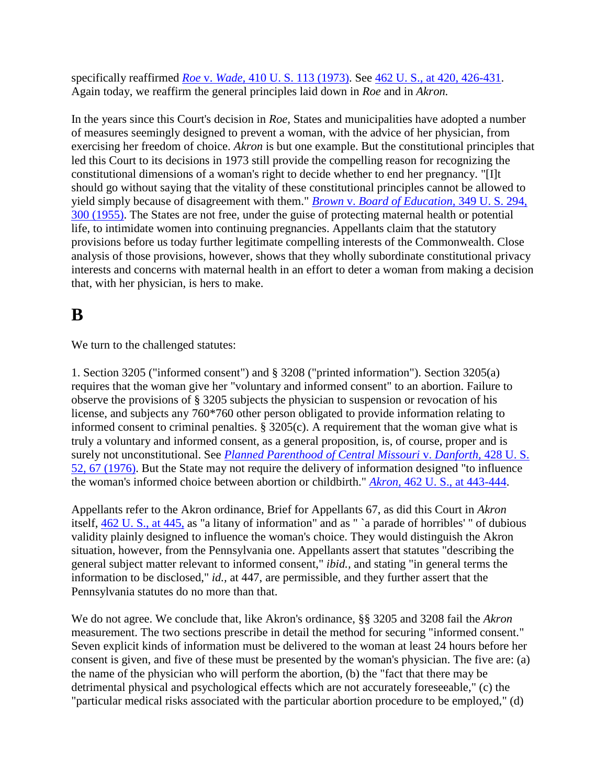specifically reaffirmed *Roe* v. *Wade,* [410 U. S. 113 \(1973\).](http://scholar.google.co.in/scholar_case?case=12334123945835207673&q=Thornburgh+&hl=en&as_sdt=2002) See [462 U. S., at 420, 426-431.](http://scholar.google.co.in/scholar_case?case=7944230995323582140&q=Thornburgh+&hl=en&as_sdt=2002) Again today, we reaffirm the general principles laid down in *Roe* and in *Akron.*

In the years since this Court's decision in *Roe,* States and municipalities have adopted a number of measures seemingly designed to prevent a woman, with the advice of her physician, from exercising her freedom of choice. *Akron* is but one example. But the constitutional principles that led this Court to its decisions in 1973 still provide the compelling reason for recognizing the constitutional dimensions of a woman's right to decide whether to end her pregnancy. "[I]t should go without saying that the vitality of these constitutional principles cannot be allowed to yield simply because of disagreement with them." *Brown* v. *[Board of Education,](http://scholar.google.co.in/scholar_case?case=13102254740887304967&q=Thornburgh+&hl=en&as_sdt=2002)* 349 U. S. 294, [300 \(1955\).](http://scholar.google.co.in/scholar_case?case=13102254740887304967&q=Thornburgh+&hl=en&as_sdt=2002) The States are not free, under the guise of protecting maternal health or potential life, to intimidate women into continuing pregnancies. Appellants claim that the statutory provisions before us today further legitimate compelling interests of the Commonwealth. Close analysis of those provisions, however, shows that they wholly subordinate constitutional privacy interests and concerns with maternal health in an effort to deter a woman from making a decision that, with her physician, is hers to make.

## **B**

We turn to the challenged statutes:

1. Section 3205 ("informed consent") and § 3208 ("printed information"). Section 3205(a) requires that the woman give her "voluntary and informed consent" to an abortion. Failure to observe the provisions of § 3205 subjects the physician to suspension or revocation of his license, and subjects any 760\*760 other person obligated to provide information relating to informed consent to criminal penalties.  $\S 3205(c)$ . A requirement that the woman give what is truly a voluntary and informed consent, as a general proposition, is, of course, proper and is surely not unconstitutional. See *[Planned Parenthood of Central Missouri](http://scholar.google.co.in/scholar_case?case=3638004152923873163&q=Thornburgh+&hl=en&as_sdt=2002)* v. *Danforth,* 428 U. S. [52, 67 \(1976\).](http://scholar.google.co.in/scholar_case?case=3638004152923873163&q=Thornburgh+&hl=en&as_sdt=2002) But the State may not require the delivery of information designed "to influence the woman's informed choice between abortion or childbirth." *Akron,* [462 U. S., at 443-444.](http://scholar.google.co.in/scholar_case?case=7944230995323582140&q=Thornburgh+&hl=en&as_sdt=2002)

Appellants refer to the Akron ordinance, Brief for Appellants 67, as did this Court in *Akron* itself, [462 U. S., at 445,](http://scholar.google.co.in/scholar_case?case=7944230995323582140&q=Thornburgh+&hl=en&as_sdt=2002) as "a litany of information" and as " `a parade of horribles' " of dubious validity plainly designed to influence the woman's choice. They would distinguish the Akron situation, however, from the Pennsylvania one. Appellants assert that statutes "describing the general subject matter relevant to informed consent," *ibid.,* and stating "in general terms the information to be disclosed," *id.,* at 447, are permissible, and they further assert that the Pennsylvania statutes do no more than that.

We do not agree. We conclude that, like Akron's ordinance, §§ 3205 and 3208 fail the *Akron* measurement. The two sections prescribe in detail the method for securing "informed consent." Seven explicit kinds of information must be delivered to the woman at least 24 hours before her consent is given, and five of these must be presented by the woman's physician. The five are: (a) the name of the physician who will perform the abortion, (b) the "fact that there may be detrimental physical and psychological effects which are not accurately foreseeable," (c) the "particular medical risks associated with the particular abortion procedure to be employed," (d)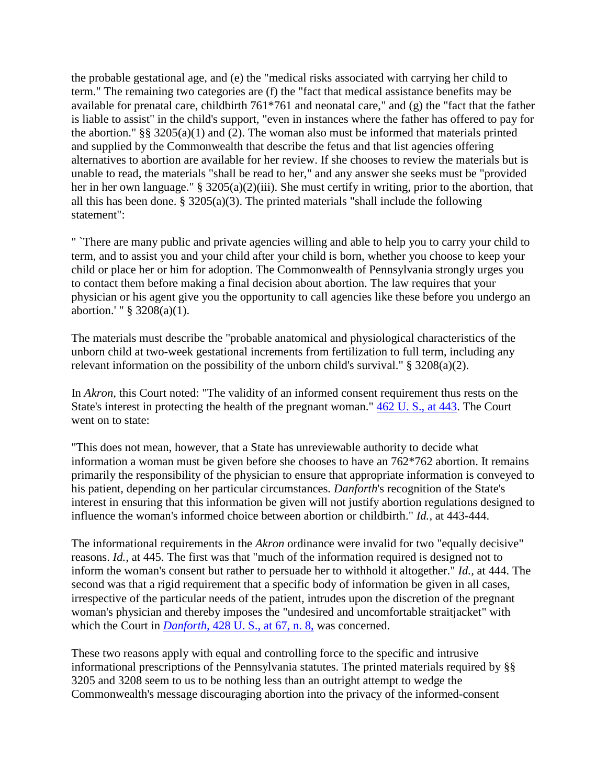the probable gestational age, and (e) the "medical risks associated with carrying her child to term." The remaining two categories are (f) the "fact that medical assistance benefits may be available for prenatal care, childbirth 761\*761 and neonatal care," and (g) the "fact that the father is liable to assist" in the child's support, "even in instances where the father has offered to pay for the abortion."  $\S$ § 3205(a)(1) and (2). The woman also must be informed that materials printed and supplied by the Commonwealth that describe the fetus and that list agencies offering alternatives to abortion are available for her review. If she chooses to review the materials but is unable to read, the materials "shall be read to her," and any answer she seeks must be "provided her in her own language." § 3205(a)(2)(iii). She must certify in writing, prior to the abortion, that all this has been done.  $\S 3205(a)(3)$ . The printed materials "shall include the following statement":

" `There are many public and private agencies willing and able to help you to carry your child to term, and to assist you and your child after your child is born, whether you choose to keep your child or place her or him for adoption. The Commonwealth of Pennsylvania strongly urges you to contact them before making a final decision about abortion. The law requires that your physician or his agent give you the opportunity to call agencies like these before you undergo an abortion.' " § 3208(a)(1).

The materials must describe the "probable anatomical and physiological characteristics of the unborn child at two-week gestational increments from fertilization to full term, including any relevant information on the possibility of the unborn child's survival." § 3208(a)(2).

In *Akron,* this Court noted: "The validity of an informed consent requirement thus rests on the State's interest in protecting the health of the pregnant woman." [462 U. S., at 443.](http://scholar.google.co.in/scholar_case?case=7944230995323582140&q=Thornburgh+&hl=en&as_sdt=2002) The Court went on to state:

"This does not mean, however, that a State has unreviewable authority to decide what information a woman must be given before she chooses to have an 762\*762 abortion. It remains primarily the responsibility of the physician to ensure that appropriate information is conveyed to his patient, depending on her particular circumstances. *Danforth*'s recognition of the State's interest in ensuring that this information be given will not justify abortion regulations designed to influence the woman's informed choice between abortion or childbirth." *Id.,* at 443-444.

The informational requirements in the *Akron* ordinance were invalid for two "equally decisive" reasons. *Id.,* at 445. The first was that "much of the information required is designed not to inform the woman's consent but rather to persuade her to withhold it altogether." *Id.,* at 444. The second was that a rigid requirement that a specific body of information be given in all cases, irrespective of the particular needs of the patient, intrudes upon the discretion of the pregnant woman's physician and thereby imposes the "undesired and uncomfortable straitjacket" with which the Court in *Danforth*, [428 U. S., at 67, n. 8,](http://scholar.google.co.in/scholar_case?case=3638004152923873163&q=Thornburgh+&hl=en&as_sdt=2002) was concerned.

These two reasons apply with equal and controlling force to the specific and intrusive informational prescriptions of the Pennsylvania statutes. The printed materials required by §§ 3205 and 3208 seem to us to be nothing less than an outright attempt to wedge the Commonwealth's message discouraging abortion into the privacy of the informed-consent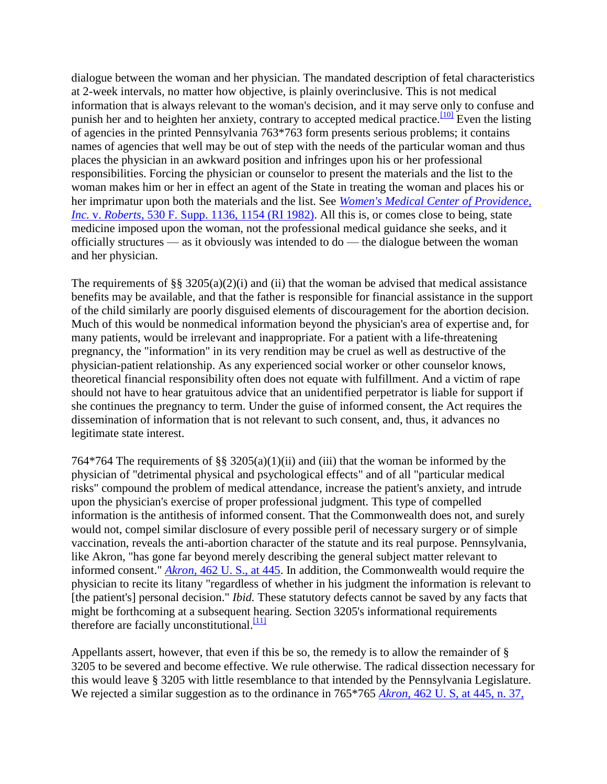dialogue between the woman and her physician. The mandated description of fetal characteristics at 2-week intervals, no matter how objective, is plainly overinclusive. This is not medical information that is always relevant to the woman's decision, and it may serve only to confuse and punish her and to heighten her anxiety, contrary to accepted medical practice.<sup>[\[10\]](http://scholar.google.co.in/scholar_case?case=3420134328076928385&q=Thornburgh+&hl=en&as_sdt=2002#[11])</sup> Even the listing of agencies in the printed Pennsylvania 763\*763 form presents serious problems; it contains names of agencies that well may be out of step with the needs of the particular woman and thus places the physician in an awkward position and infringes upon his or her professional responsibilities. Forcing the physician or counselor to present the materials and the list to the woman makes him or her in effect an agent of the State in treating the woman and places his or her imprimatur upon both the materials and the list. See *[Women's Medical Center of Providence,](http://scholar.google.co.in/scholar_case?case=14933236904160608405&q=Thornburgh+&hl=en&as_sdt=2002)  Inc.* v. *Roberts,* [530 F. Supp. 1136, 1154 \(RI 1982\).](http://scholar.google.co.in/scholar_case?case=14933236904160608405&q=Thornburgh+&hl=en&as_sdt=2002) All this is, or comes close to being, state medicine imposed upon the woman, not the professional medical guidance she seeks, and it officially structures — as it obviously was intended to do — the dialogue between the woman and her physician.

The requirements of  $\S$ § 3205(a)(2)(i) and (ii) that the woman be advised that medical assistance benefits may be available, and that the father is responsible for financial assistance in the support of the child similarly are poorly disguised elements of discouragement for the abortion decision. Much of this would be nonmedical information beyond the physician's area of expertise and, for many patients, would be irrelevant and inappropriate. For a patient with a life-threatening pregnancy, the "information" in its very rendition may be cruel as well as destructive of the physician-patient relationship. As any experienced social worker or other counselor knows, theoretical financial responsibility often does not equate with fulfillment. And a victim of rape should not have to hear gratuitous advice that an unidentified perpetrator is liable for support if she continues the pregnancy to term. Under the guise of informed consent, the Act requires the dissemination of information that is not relevant to such consent, and, thus, it advances no legitimate state interest.

764\*764 The requirements of §§ 3205(a)(1)(ii) and (iii) that the woman be informed by the physician of "detrimental physical and psychological effects" and of all "particular medical risks" compound the problem of medical attendance, increase the patient's anxiety, and intrude upon the physician's exercise of proper professional judgment. This type of compelled information is the antithesis of informed consent. That the Commonwealth does not, and surely would not, compel similar disclosure of every possible peril of necessary surgery or of simple vaccination, reveals the anti-abortion character of the statute and its real purpose. Pennsylvania, like Akron, "has gone far beyond merely describing the general subject matter relevant to informed consent." *Akron,* [462 U. S., at 445.](http://scholar.google.co.in/scholar_case?case=7944230995323582140&q=Thornburgh+&hl=en&as_sdt=2002) In addition, the Commonwealth would require the physician to recite its litany "regardless of whether in his judgment the information is relevant to [the patient's] personal decision." *Ibid*. These statutory defects cannot be saved by any facts that might be forthcoming at a subsequent hearing. Section 3205's informational requirements therefore are facially unconstitutional. $\frac{111}{111}$ 

Appellants assert, however, that even if this be so, the remedy is to allow the remainder of § 3205 to be severed and become effective. We rule otherwise. The radical dissection necessary for this would leave § 3205 with little resemblance to that intended by the Pennsylvania Legislature. We rejected a similar suggestion as to the ordinance in 765\*765 *Akron,* [462 U. S, at 445, n. 37,](http://scholar.google.co.in/scholar_case?case=7944230995323582140&q=Thornburgh+&hl=en&as_sdt=2002)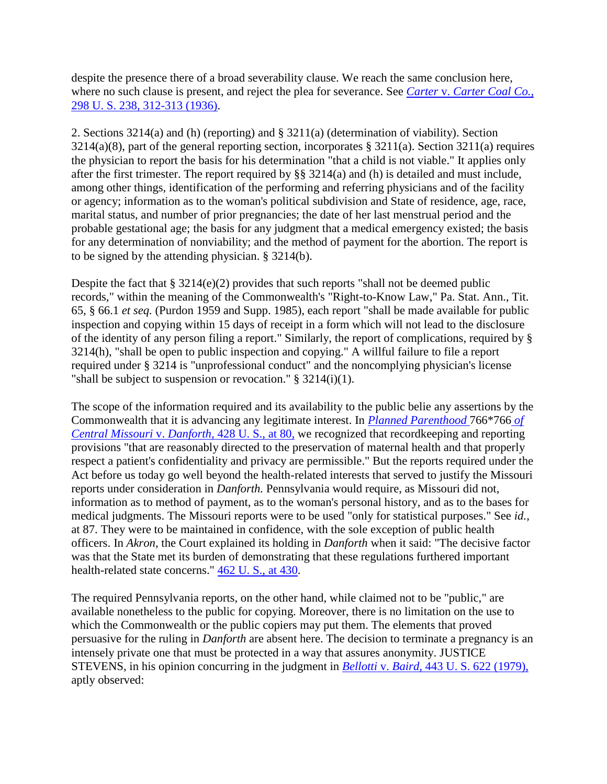despite the presence there of a broad severability clause. We reach the same conclusion here, where no such clause is present, and reject the plea for severance. See *Carter* v. *[Carter Coal Co.,](http://scholar.google.co.in/scholar_case?case=6690667556596791816&q=Thornburgh+&hl=en&as_sdt=2002)* [298 U. S. 238, 312-313 \(1936\).](http://scholar.google.co.in/scholar_case?case=6690667556596791816&q=Thornburgh+&hl=en&as_sdt=2002)

2. Sections 3214(a) and (h) (reporting) and § 3211(a) (determination of viability). Section 3214(a)(8), part of the general reporting section, incorporates § 3211(a). Section 3211(a) requires the physician to report the basis for his determination "that a child is not viable." It applies only after the first trimester. The report required by §§ 3214(a) and (h) is detailed and must include, among other things, identification of the performing and referring physicians and of the facility or agency; information as to the woman's political subdivision and State of residence, age, race, marital status, and number of prior pregnancies; the date of her last menstrual period and the probable gestational age; the basis for any judgment that a medical emergency existed; the basis for any determination of nonviability; and the method of payment for the abortion. The report is to be signed by the attending physician. § 3214(b).

Despite the fact that  $\S 3214(e)(2)$  provides that such reports "shall not be deemed public records," within the meaning of the Commonwealth's "Right-to-Know Law," Pa. Stat. Ann., Tit. 65, § 66.1 *et seq.* (Purdon 1959 and Supp. 1985), each report "shall be made available for public inspection and copying within 15 days of receipt in a form which will not lead to the disclosure of the identity of any person filing a report." Similarly, the report of complications, required by § 3214(h), "shall be open to public inspection and copying." A willful failure to file a report required under § 3214 is "unprofessional conduct" and the noncomplying physician's license "shall be subject to suspension or revocation."  $\S$  3214(i)(1).

The scope of the information required and its availability to the public belie any assertions by the Commonwealth that it is advancing any legitimate interest. In *[Planned Parenthood](http://scholar.google.co.in/scholar_case?case=3638004152923873163&q=Thornburgh+&hl=en&as_sdt=2002)* 766\*766 *[of](http://scholar.google.co.in/scholar_case?case=3638004152923873163&q=Thornburgh+&hl=en&as_sdt=2002)  [Central Missouri](http://scholar.google.co.in/scholar_case?case=3638004152923873163&q=Thornburgh+&hl=en&as_sdt=2002)* v. *Danforth,* 428 U. S., at 80, we recognized that recordkeeping and reporting provisions "that are reasonably directed to the preservation of maternal health and that properly respect a patient's confidentiality and privacy are permissible." But the reports required under the Act before us today go well beyond the health-related interests that served to justify the Missouri reports under consideration in *Danforth.* Pennsylvania would require, as Missouri did not, information as to method of payment, as to the woman's personal history, and as to the bases for medical judgments. The Missouri reports were to be used "only for statistical purposes." See *id.,* at 87. They were to be maintained in confidence, with the sole exception of public health officers. In *Akron,* the Court explained its holding in *Danforth* when it said: "The decisive factor was that the State met its burden of demonstrating that these regulations furthered important health-related state concerns." [462 U. S., at 430.](http://scholar.google.co.in/scholar_case?case=7944230995323582140&q=Thornburgh+&hl=en&as_sdt=2002)

The required Pennsylvania reports, on the other hand, while claimed not to be "public," are available nonetheless to the public for copying. Moreover, there is no limitation on the use to which the Commonwealth or the public copiers may put them. The elements that proved persuasive for the ruling in *Danforth* are absent here. The decision to terminate a pregnancy is an intensely private one that must be protected in a way that assures anonymity. JUSTICE STEVENS, in his opinion concurring in the judgment in *Bellotti* v. *Baird,* [443 U. S. 622 \(1979\),](http://scholar.google.co.in/scholar_case?case=13182298442826453955&q=Thornburgh+&hl=en&as_sdt=2002) aptly observed: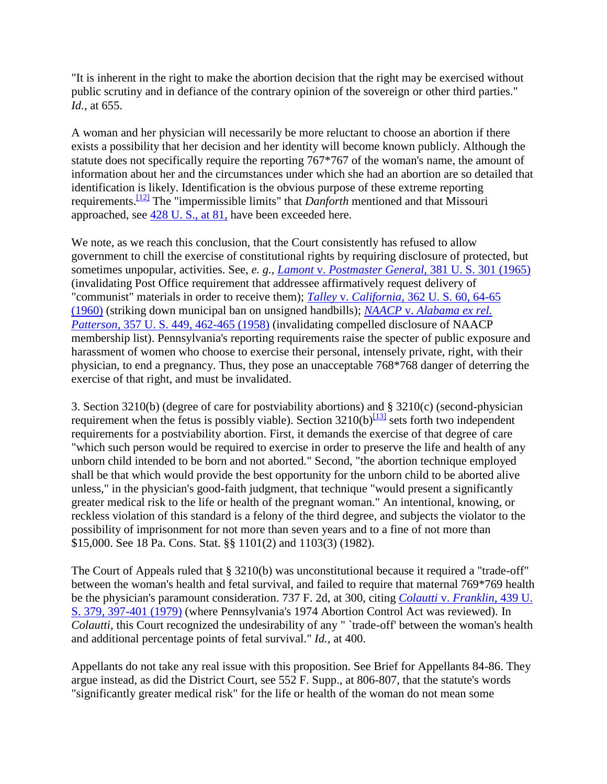"It is inherent in the right to make the abortion decision that the right may be exercised without public scrutiny and in defiance of the contrary opinion of the sovereign or other third parties." *Id.,* at 655.

A woman and her physician will necessarily be more reluctant to choose an abortion if there exists a possibility that her decision and her identity will become known publicly. Although the statute does not specifically require the reporting 767\*767 of the woman's name, the amount of information about her and the circumstances under which she had an abortion are so detailed that identification is likely. Identification is the obvious purpose of these extreme reporting requirements.[\[12\]](http://scholar.google.co.in/scholar_case?case=3420134328076928385&q=Thornburgh+&hl=en&as_sdt=2002#[13]) The "impermissible limits" that *Danforth* mentioned and that Missouri approached, see [428 U. S., at 81,](http://scholar.google.co.in/scholar_case?case=3638004152923873163&q=Thornburgh+&hl=en&as_sdt=2002) have been exceeded here.

We note, as we reach this conclusion, that the Court consistently has refused to allow government to chill the exercise of constitutional rights by requiring disclosure of protected, but sometimes unpopular, activities. See, *e. g., Lamont* v. *[Postmaster General,](http://scholar.google.co.in/scholar_case?case=15113870878255403910&q=Thornburgh+&hl=en&as_sdt=2002)* 381 U. S. 301 (1965) (invalidating Post Office requirement that addressee affirmatively request delivery of "communist" materials in order to receive them); *Talley* v. *California,* [362 U. S. 60, 64-65](http://scholar.google.co.in/scholar_case?case=592414098425467641&q=Thornburgh+&hl=en&as_sdt=2002)  [\(1960\)](http://scholar.google.co.in/scholar_case?case=592414098425467641&q=Thornburgh+&hl=en&as_sdt=2002) (striking down municipal ban on unsigned handbills); *NAACP* v. *[Alabama ex rel.](http://scholar.google.co.in/scholar_case?case=4515566352758049665&q=Thornburgh+&hl=en&as_sdt=2002)  Patterson,* [357 U. S. 449, 462-465 \(1958\)](http://scholar.google.co.in/scholar_case?case=4515566352758049665&q=Thornburgh+&hl=en&as_sdt=2002) (invalidating compelled disclosure of NAACP membership list). Pennsylvania's reporting requirements raise the specter of public exposure and harassment of women who choose to exercise their personal, intensely private, right, with their physician, to end a pregnancy. Thus, they pose an unacceptable 768\*768 danger of deterring the exercise of that right, and must be invalidated.

3. Section 3210(b) (degree of care for postviability abortions) and § 3210(c) (second-physician requirement when the fetus is possibly viable). Section  $3210(b)$ <sup>[\[13\]](http://scholar.google.co.in/scholar_case?case=3420134328076928385&q=Thornburgh+&hl=en&as_sdt=2002#[14])</sup> sets forth two independent requirements for a postviability abortion. First, it demands the exercise of that degree of care "which such person would be required to exercise in order to preserve the life and health of any unborn child intended to be born and not aborted." Second, "the abortion technique employed shall be that which would provide the best opportunity for the unborn child to be aborted alive unless," in the physician's good-faith judgment, that technique "would present a significantly greater medical risk to the life or health of the pregnant woman." An intentional, knowing, or reckless violation of this standard is a felony of the third degree, and subjects the violator to the possibility of imprisonment for not more than seven years and to a fine of not more than \$15,000. See 18 Pa. Cons. Stat. §§ 1101(2) and 1103(3) (1982).

The Court of Appeals ruled that § 3210(b) was unconstitutional because it required a "trade-off" between the woman's health and fetal survival, and failed to require that maternal 769\*769 health be the physician's paramount consideration. 737 F. 2d, at 300, citing *Colautti* v. *[Franklin,](http://scholar.google.co.in/scholar_case?case=11995294142285279951&q=Thornburgh+&hl=en&as_sdt=2002)* 439 U. [S. 379, 397-401 \(1979\)](http://scholar.google.co.in/scholar_case?case=11995294142285279951&q=Thornburgh+&hl=en&as_sdt=2002) (where Pennsylvania's 1974 Abortion Control Act was reviewed). In *Colautti,* this Court recognized the undesirability of any " `trade-off' between the woman's health and additional percentage points of fetal survival." *Id.,* at 400.

Appellants do not take any real issue with this proposition. See Brief for Appellants 84-86. They argue instead, as did the District Court, see 552 F. Supp., at 806-807, that the statute's words "significantly greater medical risk" for the life or health of the woman do not mean some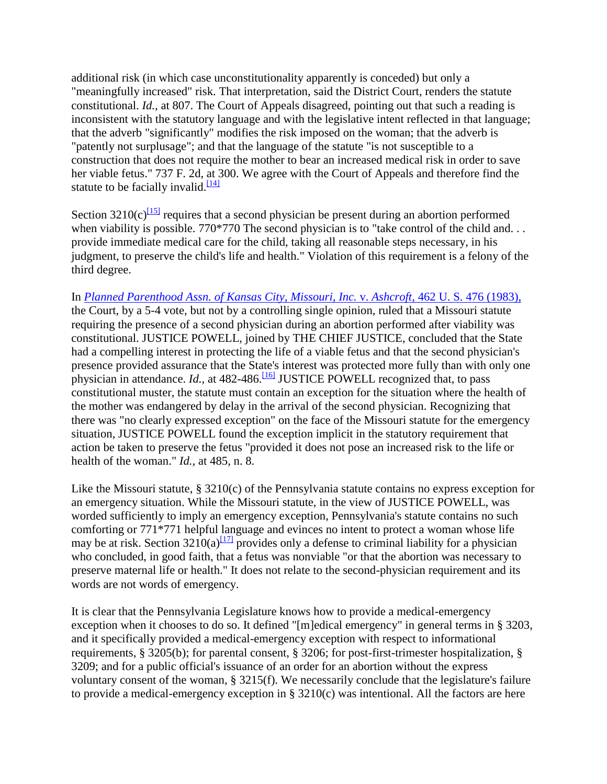additional risk (in which case unconstitutionality apparently is conceded) but only a "meaningfully increased" risk. That interpretation, said the District Court, renders the statute constitutional. *Id.,* at 807. The Court of Appeals disagreed, pointing out that such a reading is inconsistent with the statutory language and with the legislative intent reflected in that language; that the adverb "significantly" modifies the risk imposed on the woman; that the adverb is "patently not surplusage"; and that the language of the statute "is not susceptible to a construction that does not require the mother to bear an increased medical risk in order to save her viable fetus." 737 F. 2d, at 300. We agree with the Court of Appeals and therefore find the statute to be facially invalid. $\frac{114}{4}$ 

Section  $3210(c)$ <sup>[\[15\]](http://scholar.google.co.in/scholar_case?case=3420134328076928385&q=Thornburgh+&hl=en&as_sdt=2002#[16])</sup> requires that a second physician be present during an abortion performed when viability is possible. 770\*770 The second physician is to "take control of the child and... provide immediate medical care for the child, taking all reasonable steps necessary, in his judgment, to preserve the child's life and health." Violation of this requirement is a felony of the third degree.

In *[Planned Parenthood Assn. of Kansas City,](http://scholar.google.co.in/scholar_case?case=16358226321487983194&q=Thornburgh+&hl=en&as_sdt=2002) Missouri, Inc.* v. *Ashcroft,* 462 U. S. 476 (1983), the Court, by a 5-4 vote, but not by a controlling single opinion, ruled that a Missouri statute requiring the presence of a second physician during an abortion performed after viability was constitutional. JUSTICE POWELL, joined by THE CHIEF JUSTICE, concluded that the State had a compelling interest in protecting the life of a viable fetus and that the second physician's presence provided assurance that the State's interest was protected more fully than with only one physician in attendance. *Id.*, at  $482-486$ .<sup>[\[16\]](http://scholar.google.co.in/scholar_case?case=3420134328076928385&q=Thornburgh+&hl=en&as_sdt=2002#[17])</sup> JUSTICE POWELL recognized that, to pass constitutional muster, the statute must contain an exception for the situation where the health of the mother was endangered by delay in the arrival of the second physician. Recognizing that there was "no clearly expressed exception" on the face of the Missouri statute for the emergency situation, JUSTICE POWELL found the exception implicit in the statutory requirement that action be taken to preserve the fetus "provided it does not pose an increased risk to the life or health of the woman." *Id.,* at 485, n. 8.

Like the Missouri statute, § 3210(c) of the Pennsylvania statute contains no express exception for an emergency situation. While the Missouri statute, in the view of JUSTICE POWELL, was worded sufficiently to imply an emergency exception, Pennsylvania's statute contains no such comforting or 771\*771 helpful language and evinces no intent to protect a woman whose life may be at risk. Section  $3210(a)^{117}$  provides only a defense to criminal liability for a physician who concluded, in good faith, that a fetus was nonviable "or that the abortion was necessary to preserve maternal life or health." It does not relate to the second-physician requirement and its words are not words of emergency.

It is clear that the Pennsylvania Legislature knows how to provide a medical-emergency exception when it chooses to do so. It defined "[m]edical emergency" in general terms in § 3203, and it specifically provided a medical-emergency exception with respect to informational requirements, § 3205(b); for parental consent, § 3206; for post-first-trimester hospitalization, § 3209; and for a public official's issuance of an order for an abortion without the express voluntary consent of the woman, § 3215(f). We necessarily conclude that the legislature's failure to provide a medical-emergency exception in § 3210(c) was intentional. All the factors are here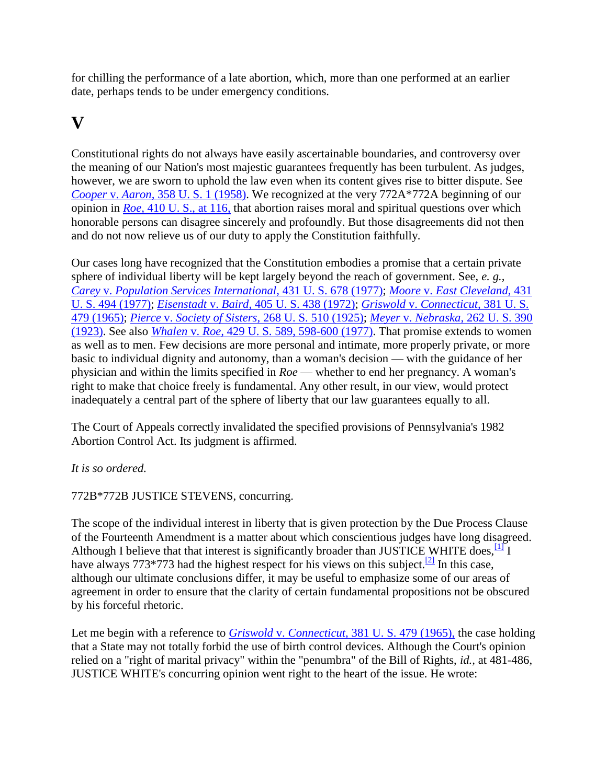for chilling the performance of a late abortion, which, more than one performed at an earlier date, perhaps tends to be under emergency conditions.

### **V**

Constitutional rights do not always have easily ascertainable boundaries, and controversy over the meaning of our Nation's most majestic guarantees frequently has been turbulent. As judges, however, we are sworn to uphold the law even when its content gives rise to bitter dispute. See *Cooper* v. *Aaron,* [358 U. S. 1 \(1958\).](http://scholar.google.co.in/scholar_case?case=8453213781987973736&q=Thornburgh+&hl=en&as_sdt=2002) We recognized at the very 772A\*772A beginning of our opinion in *Roe,* [410 U. S., at 116,](http://scholar.google.co.in/scholar_case?case=12334123945835207673&q=Thornburgh+&hl=en&as_sdt=2002) that abortion raises moral and spiritual questions over which honorable persons can disagree sincerely and profoundly. But those disagreements did not then and do not now relieve us of our duty to apply the Constitution faithfully.

Our cases long have recognized that the Constitution embodies a promise that a certain private sphere of individual liberty will be kept largely beyond the reach of government. See, *e. g., Carey* v. *[Population Services International,](http://scholar.google.co.in/scholar_case?case=4801034783278981738&q=Thornburgh+&hl=en&as_sdt=2002)* 431 U. S. 678 (1977); *Moore* v. *[East Cleveland,](http://scholar.google.co.in/scholar_case?case=2901986314146432010&q=Thornburgh+&hl=en&as_sdt=2002)* 431 [U. S. 494 \(1977\);](http://scholar.google.co.in/scholar_case?case=2901986314146432010&q=Thornburgh+&hl=en&as_sdt=2002) *Eisenstadt* v. *Baird,* [405 U. S. 438 \(1972\);](http://scholar.google.co.in/scholar_case?case=14131534241682283357&q=Thornburgh+&hl=en&as_sdt=2002) *Griswold* v. *[Connecticut,](http://scholar.google.co.in/scholar_case?case=12276922145000050979&q=Thornburgh+&hl=en&as_sdt=2002)* 381 U. S. [479 \(1965\);](http://scholar.google.co.in/scholar_case?case=12276922145000050979&q=Thornburgh+&hl=en&as_sdt=2002) *Pierce* v. *Society of Sisters,* [268 U. S. 510 \(1925\);](http://scholar.google.co.in/scholar_case?case=6094501649208458004&q=Thornburgh+&hl=en&as_sdt=2002) *Meyer* v. *Nebraska,* [262 U. S. 390](http://scholar.google.co.in/scholar_case?case=16175793893966768030&q=Thornburgh+&hl=en&as_sdt=2002)  [\(1923\).](http://scholar.google.co.in/scholar_case?case=16175793893966768030&q=Thornburgh+&hl=en&as_sdt=2002) See also *Whalen* v. *Roe,* [429 U. S. 589, 598-600 \(1977\).](http://scholar.google.co.in/scholar_case?case=8555735987895894452&q=Thornburgh+&hl=en&as_sdt=2002) That promise extends to women as well as to men. Few decisions are more personal and intimate, more properly private, or more basic to individual dignity and autonomy, than a woman's decision — with the guidance of her physician and within the limits specified in *Roe* — whether to end her pregnancy. A woman's right to make that choice freely is fundamental. Any other result, in our view, would protect inadequately a central part of the sphere of liberty that our law guarantees equally to all.

The Court of Appeals correctly invalidated the specified provisions of Pennsylvania's 1982 Abortion Control Act. Its judgment is affirmed.

*It is so ordered.*

772B\*772B JUSTICE STEVENS, concurring.

The scope of the individual interest in liberty that is given protection by the Due Process Clause of the Fourteenth Amendment is a matter about which conscientious judges have long disagreed. Although I believe that that interest is significantly broader than JUSTICE WHITE does,  $\Box$  I have always 773\*773 had the highest respect for his views on this subject.<sup>[\[2\]](http://scholar.google.co.in/scholar_case?case=3420134328076928385&q=Thornburgh+&hl=en&as_sdt=2002#[20])</sup> In this case, although our ultimate conclusions differ, it may be useful to emphasize some of our areas of agreement in order to ensure that the clarity of certain fundamental propositions not be obscured by his forceful rhetoric.

Let me begin with a reference to *Griswold* v. *Connecticut,* [381 U. S. 479 \(1965\),](http://scholar.google.co.in/scholar_case?case=12276922145000050979&q=Thornburgh+&hl=en&as_sdt=2002) the case holding that a State may not totally forbid the use of birth control devices. Although the Court's opinion relied on a "right of marital privacy" within the "penumbra" of the Bill of Rights, *id.,* at 481-486, JUSTICE WHITE's concurring opinion went right to the heart of the issue. He wrote: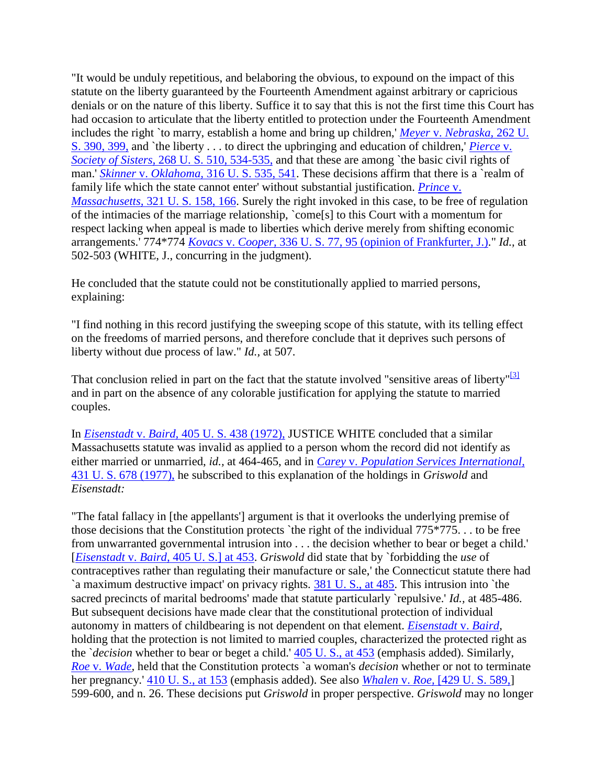"It would be unduly repetitious, and belaboring the obvious, to expound on the impact of this statute on the liberty guaranteed by the Fourteenth Amendment against arbitrary or capricious denials or on the nature of this liberty. Suffice it to say that this is not the first time this Court has had occasion to articulate that the liberty entitled to protection under the Fourteenth Amendment includes the right `to marry, establish a home and bring up children,' *Meyer* v. *[Nebraska,](http://scholar.google.co.in/scholar_case?case=16175793893966768030&q=Thornburgh+&hl=en&as_sdt=2002)* 262 U. [S. 390, 399,](http://scholar.google.co.in/scholar_case?case=16175793893966768030&q=Thornburgh+&hl=en&as_sdt=2002) and `the liberty . . . to direct the upbringing and education of children,' *[Pierce](http://scholar.google.co.in/scholar_case?case=6094501649208458004&q=Thornburgh+&hl=en&as_sdt=2002)* v. *Society of Sisters,* [268 U. S. 510, 534-535,](http://scholar.google.co.in/scholar_case?case=6094501649208458004&q=Thornburgh+&hl=en&as_sdt=2002) and that these are among `the basic civil rights of man.' *Skinner* v. *Oklahoma*, [316 U. S. 535, 541.](http://scholar.google.co.in/scholar_case?case=8050731321644873759&q=Thornburgh+&hl=en&as_sdt=2002) These decisions affirm that there is a 'realm of family life which the state cannot enter' without substantial justification. *[Prince](http://scholar.google.co.in/scholar_case?case=3012582275354260465&q=Thornburgh+&hl=en&as_sdt=2002)* v. *Massachusetts,* [321 U. S. 158, 166.](http://scholar.google.co.in/scholar_case?case=3012582275354260465&q=Thornburgh+&hl=en&as_sdt=2002) Surely the right invoked in this case, to be free of regulation of the intimacies of the marriage relationship, `come[s] to this Court with a momentum for respect lacking when appeal is made to liberties which derive merely from shifting economic arrangements.' 774\*774 *Kovacs* v. *Cooper,* [336 U. S. 77, 95 \(opinion of Frankfurter, J.\).](http://scholar.google.co.in/scholar_case?case=15254119947371011856&q=Thornburgh+&hl=en&as_sdt=2002)" *Id.,* at 502-503 (WHITE, J., concurring in the judgment).

He concluded that the statute could not be constitutionally applied to married persons, explaining:

"I find nothing in this record justifying the sweeping scope of this statute, with its telling effect on the freedoms of married persons, and therefore conclude that it deprives such persons of liberty without due process of law." *Id.,* at 507.

That conclusion relied in part on the fact that the statute involved "sensitive areas of liberty"<sup>[\[3\]](http://scholar.google.co.in/scholar_case?case=3420134328076928385&q=Thornburgh+&hl=en&as_sdt=2002#[21])</sup> and in part on the absence of any colorable justification for applying the statute to married couples.

In *Eisenstadt* v. *Baird,* [405 U. S. 438 \(1972\),](http://scholar.google.co.in/scholar_case?case=14131534241682283357&q=Thornburgh+&hl=en&as_sdt=2002) JUSTICE WHITE concluded that a similar Massachusetts statute was invalid as applied to a person whom the record did not identify as either married or unmarried, *id.,* at 464-465, and in *Carey* v. *[Population Services International,](http://scholar.google.co.in/scholar_case?case=4801034783278981738&q=Thornburgh+&hl=en&as_sdt=2002)* [431 U. S. 678 \(1977\),](http://scholar.google.co.in/scholar_case?case=4801034783278981738&q=Thornburgh+&hl=en&as_sdt=2002) he subscribed to this explanation of the holdings in *Griswold* and *Eisenstadt:*

"The fatal fallacy in [the appellants'] argument is that it overlooks the underlying premise of those decisions that the Constitution protects `the right of the individual 775\*775. . . to be free from unwarranted governmental intrusion into . . . the decision whether to bear or beget a child.' [*Eisenstadt* v. *Baird,* [405 U. S.\] at 453.](http://scholar.google.co.in/scholar_case?case=14131534241682283357&q=Thornburgh+&hl=en&as_sdt=2002) *Griswold* did state that by `forbidding the *use* of contraceptives rather than regulating their manufacture or sale,' the Connecticut statute there had `a maximum destructive impact' on privacy rights. [381 U. S., at 485.](http://scholar.google.co.in/scholar_case?case=12276922145000050979&q=Thornburgh+&hl=en&as_sdt=2002) This intrusion into `the sacred precincts of marital bedrooms' made that statute particularly 'repulsive.' *Id.*, at 485-486. But subsequent decisions have made clear that the constitutional protection of individual autonomy in matters of childbearing is not dependent on that element. *[Eisenstadt](http://scholar.google.co.in/scholar_case?case=14131534241682283357&q=Thornburgh+&hl=en&as_sdt=2002)* v. *Baird,* holding that the protection is not limited to married couples, characterized the protected right as the `*decision* whether to bear or beget a child.' [405 U. S., at 453](http://scholar.google.co.in/scholar_case?case=14131534241682283357&q=Thornburgh+&hl=en&as_sdt=2002) (emphasis added). Similarly, *Roe* v. *[Wade,](http://scholar.google.co.in/scholar_case?case=12334123945835207673&q=Thornburgh+&hl=en&as_sdt=2002)* held that the Constitution protects `a woman's *decision* whether or not to terminate her pregnancy.' [410 U. S., at 153](http://scholar.google.co.in/scholar_case?case=12334123945835207673&q=Thornburgh+&hl=en&as_sdt=2002) (emphasis added). See also *Whalen* v. *Roe,* [\[429 U. S. 589,\]](http://scholar.google.co.in/scholar_case?case=8555735987895894452&q=Thornburgh+&hl=en&as_sdt=2002) 599-600, and n. 26. These decisions put *Griswold* in proper perspective. *Griswold* may no longer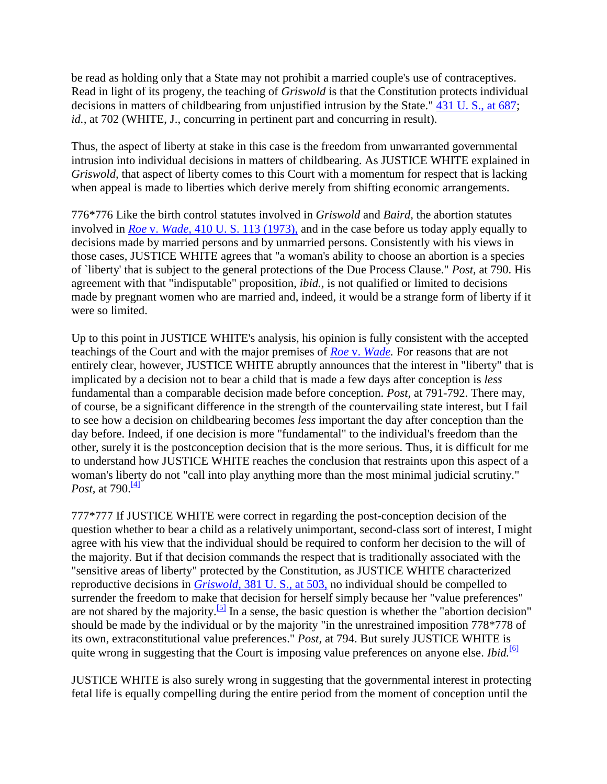be read as holding only that a State may not prohibit a married couple's use of contraceptives. Read in light of its progeny, the teaching of *Griswold* is that the Constitution protects individual decisions in matters of childbearing from unjustified intrusion by the State." [431 U. S., at 687;](http://scholar.google.co.in/scholar_case?case=4801034783278981738&q=Thornburgh+&hl=en&as_sdt=2002) *id.*, at 702 (WHITE, J., concurring in pertinent part and concurring in result).

Thus, the aspect of liberty at stake in this case is the freedom from unwarranted governmental intrusion into individual decisions in matters of childbearing. As JUSTICE WHITE explained in *Griswold,* that aspect of liberty comes to this Court with a momentum for respect that is lacking when appeal is made to liberties which derive merely from shifting economic arrangements.

776\*776 Like the birth control statutes involved in *Griswold* and *Baird,* the abortion statutes involved in *Roe* v. *Wade,* [410 U. S. 113 \(1973\),](http://scholar.google.co.in/scholar_case?case=12334123945835207673&q=Thornburgh+&hl=en&as_sdt=2002) and in the case before us today apply equally to decisions made by married persons and by unmarried persons. Consistently with his views in those cases, JUSTICE WHITE agrees that "a woman's ability to choose an abortion is a species of `liberty' that is subject to the general protections of the Due Process Clause." *Post,* at 790. His agreement with that "indisputable" proposition, *ibid.,* is not qualified or limited to decisions made by pregnant women who are married and, indeed, it would be a strange form of liberty if it were so limited.

Up to this point in JUSTICE WHITE's analysis, his opinion is fully consistent with the accepted teachings of the Court and with the major premises of *Roe* v. *[Wade.](http://scholar.google.co.in/scholar_case?case=12334123945835207673&q=Thornburgh+&hl=en&as_sdt=2002)* For reasons that are not entirely clear, however, JUSTICE WHITE abruptly announces that the interest in "liberty" that is implicated by a decision not to bear a child that is made a few days after conception is *less* fundamental than a comparable decision made before conception. *Post,* at 791-792. There may, of course, be a significant difference in the strength of the countervailing state interest, but I fail to see how a decision on childbearing becomes *less* important the day after conception than the day before. Indeed, if one decision is more "fundamental" to the individual's freedom than the other, surely it is the postconception decision that is the more serious. Thus, it is difficult for me to understand how JUSTICE WHITE reaches the conclusion that restraints upon this aspect of a woman's liberty do not "call into play anything more than the most minimal judicial scrutiny." *Post,* at 790.<sup>[\[4\]](http://scholar.google.co.in/scholar_case?case=3420134328076928385&q=Thornburgh+&hl=en&as_sdt=2002#[22])</sup>

777\*777 If JUSTICE WHITE were correct in regarding the post-conception decision of the question whether to bear a child as a relatively unimportant, second-class sort of interest, I might agree with his view that the individual should be required to conform her decision to the will of the majority. But if that decision commands the respect that is traditionally associated with the "sensitive areas of liberty" protected by the Constitution, as JUSTICE WHITE characterized reproductive decisions in *Griswold,* [381 U. S., at 503,](http://scholar.google.co.in/scholar_case?case=12276922145000050979&q=Thornburgh+&hl=en&as_sdt=2002) no individual should be compelled to surrender the freedom to make that decision for herself simply because her "value preferences" are not shared by the majority.<sup>[\[5\]](http://scholar.google.co.in/scholar_case?case=3420134328076928385&q=Thornburgh+&hl=en&as_sdt=2002#[23])</sup> In a sense, the basic question is whether the "abortion decision" should be made by the individual or by the majority "in the unrestrained imposition 778\*778 of its own, extraconstitutional value preferences." *Post,* at 794. But surely JUSTICE WHITE is quite wrong in suggesting that the Court is imposing value preferences on anyone else. *Ibid.*<sup>[\[6\]](http://scholar.google.co.in/scholar_case?case=3420134328076928385&q=Thornburgh+&hl=en&as_sdt=2002#[24])</sup>

JUSTICE WHITE is also surely wrong in suggesting that the governmental interest in protecting fetal life is equally compelling during the entire period from the moment of conception until the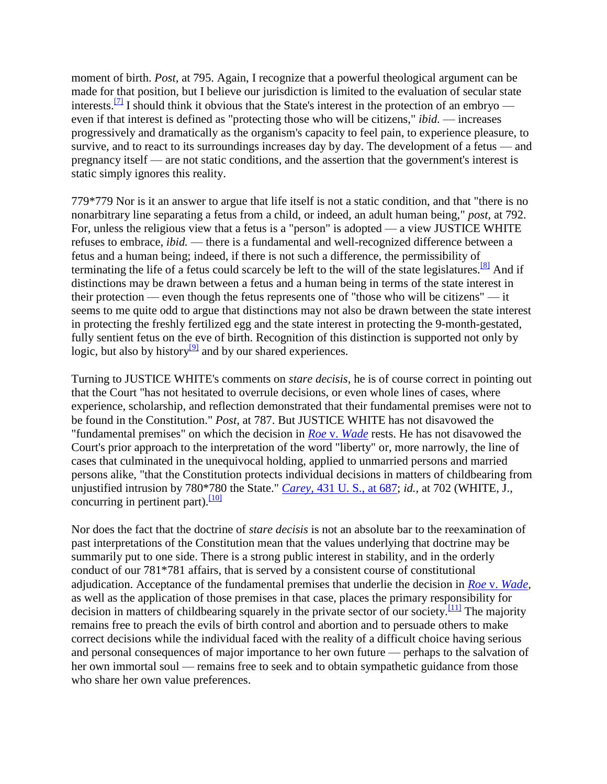moment of birth. *Post,* at 795. Again, I recognize that a powerful theological argument can be made for that position, but I believe our jurisdiction is limited to the evaluation of secular state interests.<sup>[\[7\]](http://scholar.google.co.in/scholar_case?case=3420134328076928385&q=Thornburgh+&hl=en&as_sdt=2002#[25])</sup> I should think it obvious that the State's interest in the protection of an embryo even if that interest is defined as "protecting those who will be citizens," *ibid.* — increases progressively and dramatically as the organism's capacity to feel pain, to experience pleasure, to survive, and to react to its surroundings increases day by day. The development of a fetus — and pregnancy itself — are not static conditions, and the assertion that the government's interest is static simply ignores this reality.

779\*779 Nor is it an answer to argue that life itself is not a static condition, and that "there is no nonarbitrary line separating a fetus from a child, or indeed, an adult human being," *post,* at 792. For, unless the religious view that a fetus is a "person" is adopted — a view JUSTICE WHITE refuses to embrace, *ibid.* — there is a fundamental and well-recognized difference between a fetus and a human being; indeed, if there is not such a difference, the permissibility of terminating the life of a fetus could scarcely be left to the will of the state legislatures.<sup>[\[8\]](http://scholar.google.co.in/scholar_case?case=3420134328076928385&q=Thornburgh+&hl=en&as_sdt=2002#[26])</sup> And if distinctions may be drawn between a fetus and a human being in terms of the state interest in their protection — even though the fetus represents one of "those who will be citizens" — it seems to me quite odd to argue that distinctions may not also be drawn between the state interest in protecting the freshly fertilized egg and the state interest in protecting the 9-month-gestated, fully sentient fetus on the eve of birth. Recognition of this distinction is supported not only by logic, but also by history<sup>[\[9\]](http://scholar.google.co.in/scholar_case?case=3420134328076928385&q=Thornburgh+&hl=en&as_sdt=2002#[27])</sup> and by our shared experiences.

Turning to JUSTICE WHITE's comments on *stare decisis,* he is of course correct in pointing out that the Court "has not hesitated to overrule decisions, or even whole lines of cases, where experience, scholarship, and reflection demonstrated that their fundamental premises were not to be found in the Constitution." *Post,* at 787. But JUSTICE WHITE has not disavowed the "fundamental premises" on which the decision in *Roe* v. *[Wade](http://scholar.google.co.in/scholar_case?case=12334123945835207673&q=Thornburgh+&hl=en&as_sdt=2002)* rests. He has not disavowed the Court's prior approach to the interpretation of the word "liberty" or, more narrowly, the line of cases that culminated in the unequivocal holding, applied to unmarried persons and married persons alike, "that the Constitution protects individual decisions in matters of childbearing from unjustified intrusion by 780\*780 the State." *Carey,* [431 U. S., at 687;](http://scholar.google.co.in/scholar_case?case=4801034783278981738&q=Thornburgh+&hl=en&as_sdt=2002) *id.,* at 702 (WHITE, J., concurring in pertinent part). $\frac{[10]}{[10]}$  $\frac{[10]}{[10]}$  $\frac{[10]}{[10]}$ 

Nor does the fact that the doctrine of *stare decisis* is not an absolute bar to the reexamination of past interpretations of the Constitution mean that the values underlying that doctrine may be summarily put to one side. There is a strong public interest in stability, and in the orderly conduct of our 781\*781 affairs, that is served by a consistent course of constitutional adjudication. Acceptance of the fundamental premises that underlie the decision in *Roe* v. *[Wade,](http://scholar.google.co.in/scholar_case?case=12334123945835207673&q=Thornburgh+&hl=en&as_sdt=2002)* as well as the application of those premises in that case, places the primary responsibility for decision in matters of childbearing squarely in the private sector of our society.<sup>[\[11\]](http://scholar.google.co.in/scholar_case?case=3420134328076928385&q=Thornburgh+&hl=en&as_sdt=2002#[29])</sup> The majority remains free to preach the evils of birth control and abortion and to persuade others to make correct decisions while the individual faced with the reality of a difficult choice having serious and personal consequences of major importance to her own future — perhaps to the salvation of her own immortal soul — remains free to seek and to obtain sympathetic guidance from those who share her own value preferences.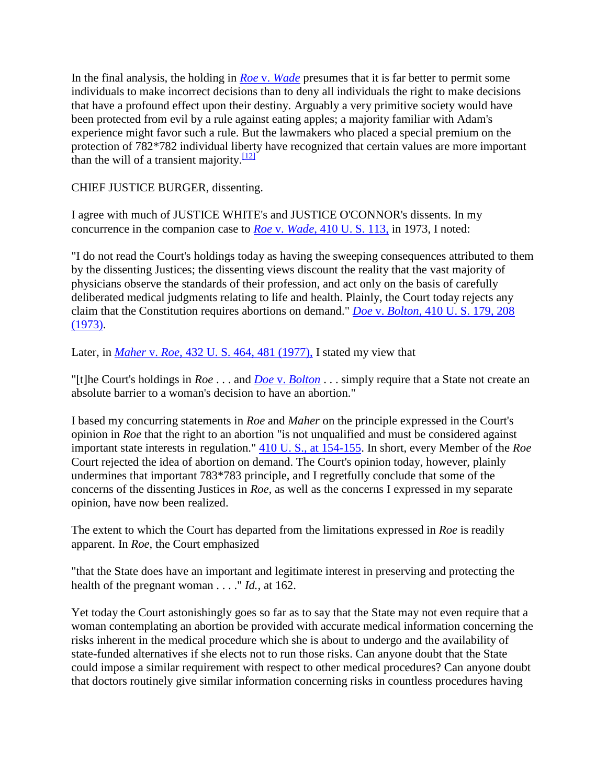In the final analysis, the holding in *Roe* v. *[Wade](http://scholar.google.co.in/scholar_case?case=12334123945835207673&q=Thornburgh+&hl=en&as_sdt=2002)* presumes that it is far better to permit some individuals to make incorrect decisions than to deny all individuals the right to make decisions that have a profound effect upon their destiny. Arguably a very primitive society would have been protected from evil by a rule against eating apples; a majority familiar with Adam's experience might favor such a rule. But the lawmakers who placed a special premium on the protection of 782\*782 individual liberty have recognized that certain values are more important than the will of a transient majority. $\frac{12}{2}$ 

CHIEF JUSTICE BURGER, dissenting.

I agree with much of JUSTICE WHITE's and JUSTICE O'CONNOR's dissents. In my concurrence in the companion case to *Roe* v. *Wade,* [410 U. S. 113,](http://scholar.google.co.in/scholar_case?case=12334123945835207673&q=Thornburgh+&hl=en&as_sdt=2002) in 1973, I noted:

"I do not read the Court's holdings today as having the sweeping consequences attributed to them by the dissenting Justices; the dissenting views discount the reality that the vast majority of physicians observe the standards of their profession, and act only on the basis of carefully deliberated medical judgments relating to life and health. Plainly, the Court today rejects any claim that the Constitution requires abortions on demand." *Doe* v. *Bolton,* [410 U. S. 179, 208](http://scholar.google.co.in/scholar_case?case=11713857759343795310&q=Thornburgh+&hl=en&as_sdt=2002)  [\(1973\).](http://scholar.google.co.in/scholar_case?case=11713857759343795310&q=Thornburgh+&hl=en&as_sdt=2002)

Later, in *Maher* v. *Roe,* [432 U. S. 464, 481 \(1977\),](http://scholar.google.co.in/scholar_case?case=10803349459097846233&q=Thornburgh+&hl=en&as_sdt=2002) I stated my view that

"[t]he Court's holdings in *Roe* . . . and *Doe* v. *[Bolton](http://scholar.google.co.in/scholar_case?case=11713857759343795310&q=Thornburgh+&hl=en&as_sdt=2002)* . . . simply require that a State not create an absolute barrier to a woman's decision to have an abortion."

I based my concurring statements in *Roe* and *Maher* on the principle expressed in the Court's opinion in *Roe* that the right to an abortion "is not unqualified and must be considered against important state interests in regulation." [410 U. S., at 154-155.](http://scholar.google.co.in/scholar_case?case=12334123945835207673&q=Thornburgh+&hl=en&as_sdt=2002) In short, every Member of the *Roe* Court rejected the idea of abortion on demand. The Court's opinion today, however, plainly undermines that important 783\*783 principle, and I regretfully conclude that some of the concerns of the dissenting Justices in *Roe,* as well as the concerns I expressed in my separate opinion, have now been realized.

The extent to which the Court has departed from the limitations expressed in *Roe* is readily apparent. In *Roe,* the Court emphasized

"that the State does have an important and legitimate interest in preserving and protecting the health of the pregnant woman . . . ." *Id.,* at 162.

Yet today the Court astonishingly goes so far as to say that the State may not even require that a woman contemplating an abortion be provided with accurate medical information concerning the risks inherent in the medical procedure which she is about to undergo and the availability of state-funded alternatives if she elects not to run those risks. Can anyone doubt that the State could impose a similar requirement with respect to other medical procedures? Can anyone doubt that doctors routinely give similar information concerning risks in countless procedures having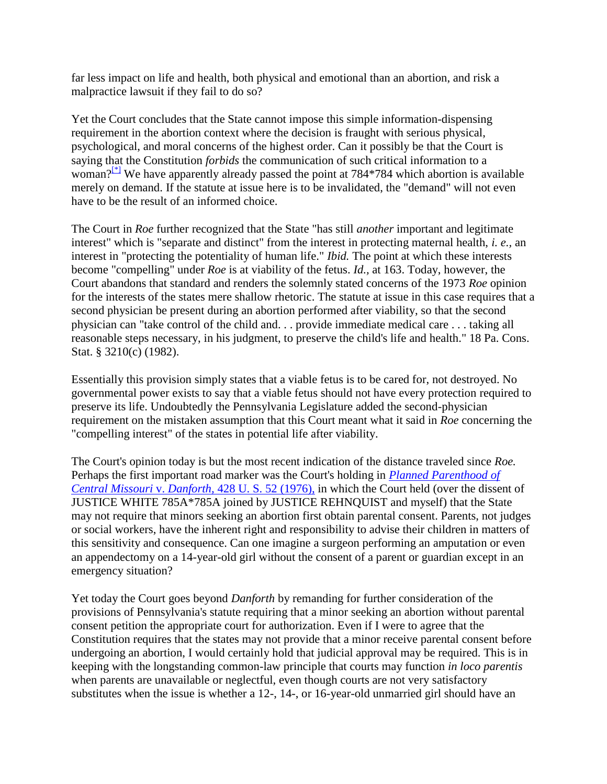far less impact on life and health, both physical and emotional than an abortion, and risk a malpractice lawsuit if they fail to do so?

Yet the Court concludes that the State cannot impose this simple information-dispensing requirement in the abortion context where the decision is fraught with serious physical, psychological, and moral concerns of the highest order. Can it possibly be that the Court is saying that the Constitution *forbids* the communication of such critical information to a woman?<sup>[\[\\*\]](http://scholar.google.co.in/scholar_case?case=3420134328076928385&q=Thornburgh+&hl=en&as_sdt=2002#[31])</sup> We have apparently already passed the point at 784\*784 which abortion is available merely on demand. If the statute at issue here is to be invalidated, the "demand" will not even have to be the result of an informed choice.

The Court in *Roe* further recognized that the State "has still *another* important and legitimate interest" which is "separate and distinct" from the interest in protecting maternal health, *i. e.,* an interest in "protecting the potentiality of human life." *Ibid.* The point at which these interests become "compelling" under *Roe* is at viability of the fetus. *Id.,* at 163. Today, however, the Court abandons that standard and renders the solemnly stated concerns of the 1973 *Roe* opinion for the interests of the states mere shallow rhetoric. The statute at issue in this case requires that a second physician be present during an abortion performed after viability, so that the second physician can "take control of the child and. . . provide immediate medical care . . . taking all reasonable steps necessary, in his judgment, to preserve the child's life and health." 18 Pa. Cons. Stat. § 3210(c) (1982).

Essentially this provision simply states that a viable fetus is to be cared for, not destroyed. No governmental power exists to say that a viable fetus should not have every protection required to preserve its life. Undoubtedly the Pennsylvania Legislature added the second-physician requirement on the mistaken assumption that this Court meant what it said in *Roe* concerning the "compelling interest" of the states in potential life after viability.

The Court's opinion today is but the most recent indication of the distance traveled since *Roe.* Perhaps the first important road marker was the Court's holding in *[Planned Parenthood of](http://scholar.google.co.in/scholar_case?case=3638004152923873163&q=Thornburgh+&hl=en&as_sdt=2002)  Central Missouri* v. *Danforth,* [428 U. S. 52 \(1976\),](http://scholar.google.co.in/scholar_case?case=3638004152923873163&q=Thornburgh+&hl=en&as_sdt=2002) in which the Court held (over the dissent of JUSTICE WHITE 785A\*785A joined by JUSTICE REHNQUIST and myself) that the State may not require that minors seeking an abortion first obtain parental consent. Parents, not judges or social workers, have the inherent right and responsibility to advise their children in matters of this sensitivity and consequence. Can one imagine a surgeon performing an amputation or even an appendectomy on a 14-year-old girl without the consent of a parent or guardian except in an emergency situation?

Yet today the Court goes beyond *Danforth* by remanding for further consideration of the provisions of Pennsylvania's statute requiring that a minor seeking an abortion without parental consent petition the appropriate court for authorization. Even if I were to agree that the Constitution requires that the states may not provide that a minor receive parental consent before undergoing an abortion, I would certainly hold that judicial approval may be required. This is in keeping with the longstanding common-law principle that courts may function *in loco parentis* when parents are unavailable or neglectful, even though courts are not very satisfactory substitutes when the issue is whether a 12-, 14-, or 16-year-old unmarried girl should have an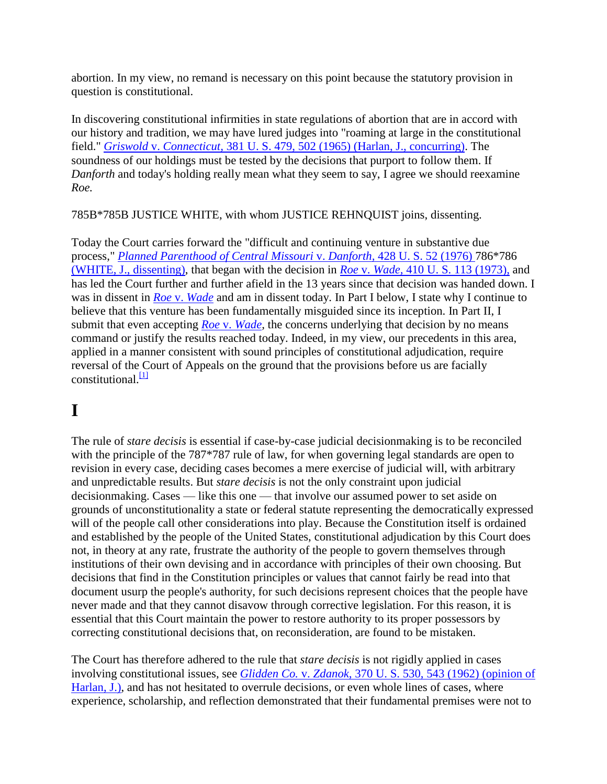abortion. In my view, no remand is necessary on this point because the statutory provision in question is constitutional.

In discovering constitutional infirmities in state regulations of abortion that are in accord with our history and tradition, we may have lured judges into "roaming at large in the constitutional field." *Griswold* v. *Connecticut,* [381 U. S. 479, 502 \(1965\) \(Harlan, J., concurring\).](http://scholar.google.co.in/scholar_case?case=12276922145000050979&q=Thornburgh+&hl=en&as_sdt=2002) The soundness of our holdings must be tested by the decisions that purport to follow them. If *Danforth* and today's holding really mean what they seem to say, I agree we should reexamine *Roe.*

785B\*785B JUSTICE WHITE, with whom JUSTICE REHNQUIST joins, dissenting.

Today the Court carries forward the "difficult and continuing venture in substantive due process," *[Planned Parenthood of Central Missouri](http://scholar.google.co.in/scholar_case?case=3638004152923873163&q=Thornburgh+&hl=en&as_sdt=2002)* v. *Danforth,* 428 U. S. 52 (1976) 786\*78[6](http://scholar.google.co.in/scholar_case?case=3638004152923873163&q=Thornburgh+&hl=en&as_sdt=2002) [\(WHITE, J., dissenting\),](http://scholar.google.co.in/scholar_case?case=3638004152923873163&q=Thornburgh+&hl=en&as_sdt=2002) that began with the decision in *Roe* v. *Wade,* [410 U. S. 113 \(1973\),](http://scholar.google.co.in/scholar_case?case=12334123945835207673&q=Thornburgh+&hl=en&as_sdt=2002) and has led the Court further and further afield in the 13 years since that decision was handed down. I was in dissent in *Roe* v. *[Wade](http://scholar.google.co.in/scholar_case?case=12334123945835207673&q=Thornburgh+&hl=en&as_sdt=2002)* and am in dissent today. In Part I below, I state why I continue to believe that this venture has been fundamentally misguided since its inception. In Part II, I submit that even accepting *Roe* v. *Wade*, the concerns underlying that decision by no means command or justify the results reached today. Indeed, in my view, our precedents in this area, applied in a manner consistent with sound principles of constitutional adjudication, require reversal of the Court of Appeals on the ground that the provisions before us are facially constitutional. $\frac{11}{2}$ 

## **I**

The rule of *stare decisis* is essential if case-by-case judicial decisionmaking is to be reconciled with the principle of the 787\*787 rule of law, for when governing legal standards are open to revision in every case, deciding cases becomes a mere exercise of judicial will, with arbitrary and unpredictable results. But *stare decisis* is not the only constraint upon judicial decisionmaking. Cases — like this one — that involve our assumed power to set aside on grounds of unconstitutionality a state or federal statute representing the democratically expressed will of the people call other considerations into play. Because the Constitution itself is ordained and established by the people of the United States, constitutional adjudication by this Court does not, in theory at any rate, frustrate the authority of the people to govern themselves through institutions of their own devising and in accordance with principles of their own choosing. But decisions that find in the Constitution principles or values that cannot fairly be read into that document usurp the people's authority, for such decisions represent choices that the people have never made and that they cannot disavow through corrective legislation. For this reason, it is essential that this Court maintain the power to restore authority to its proper possessors by correcting constitutional decisions that, on reconsideration, are found to be mistaken.

The Court has therefore adhered to the rule that *stare decisis* is not rigidly applied in cases involving constitutional issues, see *Glidden Co.* v. *Zdanok,* [370 U. S. 530, 543 \(1962\) \(opinion of](http://scholar.google.co.in/scholar_case?case=15552964412581012161&q=Thornburgh+&hl=en&as_sdt=2002)  [Harlan, J.\),](http://scholar.google.co.in/scholar_case?case=15552964412581012161&q=Thornburgh+&hl=en&as_sdt=2002) and has not hesitated to overrule decisions, or even whole lines of cases, where experience, scholarship, and reflection demonstrated that their fundamental premises were not to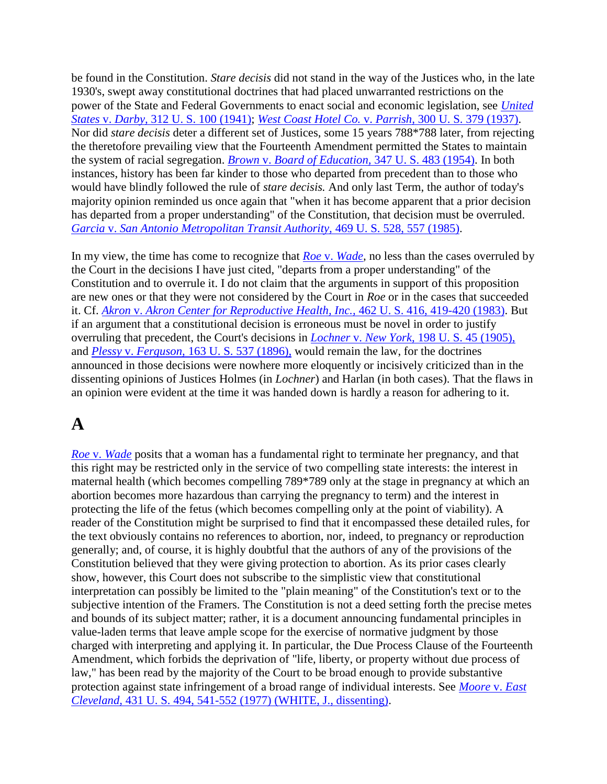be found in the Constitution. *Stare decisis* did not stand in the way of the Justices who, in the late 1930's, swept away constitutional doctrines that had placed unwarranted restrictions on the power of the State and Federal Governments to enact social and economic legislation, see *[United](http://scholar.google.co.in/scholar_case?case=1183543472021488573&q=Thornburgh+&hl=en&as_sdt=2002)  States* v. *Darby,* [312 U. S. 100 \(1941\);](http://scholar.google.co.in/scholar_case?case=1183543472021488573&q=Thornburgh+&hl=en&as_sdt=2002) *[West Coast Hotel Co.](http://scholar.google.co.in/scholar_case?case=3438251361651586340&q=Thornburgh+&hl=en&as_sdt=2002)* v. *Parrish,* 300 U. S. 379 (1937). Nor did *stare decisis* deter a different set of Justices, some 15 years 788\*788 later, from rejecting the theretofore prevailing view that the Fourteenth Amendment permitted the States to maintain the system of racial segregation. *Brown* v. *Board of Education,* [347 U. S. 483 \(1954\).](http://scholar.google.co.in/scholar_case?case=12120372216939101759&q=Thornburgh+&hl=en&as_sdt=2002) In both instances, history has been far kinder to those who departed from precedent than to those who would have blindly followed the rule of *stare decisis.* And only last Term, the author of today's majority opinion reminded us once again that "when it has become apparent that a prior decision has departed from a proper understanding" of the Constitution, that decision must be overruled. *Garcia* v. *[San Antonio Metropolitan Transit Authority,](http://scholar.google.co.in/scholar_case?case=14324093602590092926&q=Thornburgh+&hl=en&as_sdt=2002)* 469 U. S. 528, 557 (1985).

In my view, the time has come to recognize that *Roe* v. *[Wade,](http://scholar.google.co.in/scholar_case?case=12334123945835207673&q=Thornburgh+&hl=en&as_sdt=2002)* no less than the cases overruled by the Court in the decisions I have just cited, "departs from a proper understanding" of the Constitution and to overrule it. I do not claim that the arguments in support of this proposition are new ones or that they were not considered by the Court in *Roe* or in the cases that succeeded it. Cf. *Akron* v. *[Akron Center for Reproductive Health, Inc.,](http://scholar.google.co.in/scholar_case?case=7944230995323582140&q=Thornburgh+&hl=en&as_sdt=2002)* 462 U. S. 416, 419-420 (1983). But if an argument that a constitutional decision is erroneous must be novel in order to justify overruling that precedent, the Court's decisions in *Lochner* v. *New York,* [198 U. S. 45 \(1905\),](http://scholar.google.co.in/scholar_case?case=10760991087928264675&q=Thornburgh+&hl=en&as_sdt=2002) and *Plessy* v. *Ferguson,* [163 U. S. 537 \(1896\),](http://scholar.google.co.in/scholar_case?case=16038751515555215717&q=Thornburgh+&hl=en&as_sdt=2002) would remain the law, for the doctrines announced in those decisions were nowhere more eloquently or incisively criticized than in the dissenting opinions of Justices Holmes (in *Lochner*) and Harlan (in both cases). That the flaws in an opinion were evident at the time it was handed down is hardly a reason for adhering to it.

## **A**

*Roe* v. *[Wade](http://scholar.google.co.in/scholar_case?case=12334123945835207673&q=Thornburgh+&hl=en&as_sdt=2002)* posits that a woman has a fundamental right to terminate her pregnancy, and that this right may be restricted only in the service of two compelling state interests: the interest in maternal health (which becomes compelling 789\*789 only at the stage in pregnancy at which an abortion becomes more hazardous than carrying the pregnancy to term) and the interest in protecting the life of the fetus (which becomes compelling only at the point of viability). A reader of the Constitution might be surprised to find that it encompassed these detailed rules, for the text obviously contains no references to abortion, nor, indeed, to pregnancy or reproduction generally; and, of course, it is highly doubtful that the authors of any of the provisions of the Constitution believed that they were giving protection to abortion. As its prior cases clearly show, however, this Court does not subscribe to the simplistic view that constitutional interpretation can possibly be limited to the "plain meaning" of the Constitution's text or to the subjective intention of the Framers. The Constitution is not a deed setting forth the precise metes and bounds of its subject matter; rather, it is a document announcing fundamental principles in value-laden terms that leave ample scope for the exercise of normative judgment by those charged with interpreting and applying it. In particular, the Due Process Clause of the Fourteenth Amendment, which forbids the deprivation of "life, liberty, or property without due process of law," has been read by the majority of the Court to be broad enough to provide substantive protection against state infringement of a broad range of individual interests. See *[Moore](http://scholar.google.co.in/scholar_case?case=2901986314146432010&q=Thornburgh+&hl=en&as_sdt=2002)* v. *East Cleveland,* [431 U. S. 494, 541-552 \(1977\) \(WHITE, J., dissenting\).](http://scholar.google.co.in/scholar_case?case=2901986314146432010&q=Thornburgh+&hl=en&as_sdt=2002)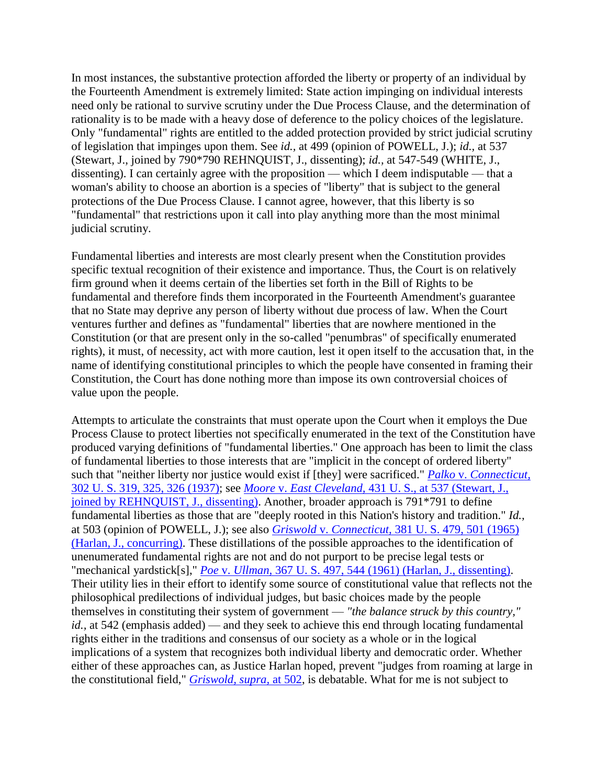In most instances, the substantive protection afforded the liberty or property of an individual by the Fourteenth Amendment is extremely limited: State action impinging on individual interests need only be rational to survive scrutiny under the Due Process Clause, and the determination of rationality is to be made with a heavy dose of deference to the policy choices of the legislature. Only "fundamental" rights are entitled to the added protection provided by strict judicial scrutiny of legislation that impinges upon them. See *id.,* at 499 (opinion of POWELL, J.); *id.,* at 537 (Stewart, J., joined by 790\*790 REHNQUIST, J., dissenting); *id.,* at 547-549 (WHITE, J., dissenting). I can certainly agree with the proposition — which I deem indisputable — that a woman's ability to choose an abortion is a species of "liberty" that is subject to the general protections of the Due Process Clause. I cannot agree, however, that this liberty is so "fundamental" that restrictions upon it call into play anything more than the most minimal judicial scrutiny.

Fundamental liberties and interests are most clearly present when the Constitution provides specific textual recognition of their existence and importance. Thus, the Court is on relatively firm ground when it deems certain of the liberties set forth in the Bill of Rights to be fundamental and therefore finds them incorporated in the Fourteenth Amendment's guarantee that no State may deprive any person of liberty without due process of law. When the Court ventures further and defines as "fundamental" liberties that are nowhere mentioned in the Constitution (or that are present only in the so-called "penumbras" of specifically enumerated rights), it must, of necessity, act with more caution, lest it open itself to the accusation that, in the name of identifying constitutional principles to which the people have consented in framing their Constitution, the Court has done nothing more than impose its own controversial choices of value upon the people.

Attempts to articulate the constraints that must operate upon the Court when it employs the Due Process Clause to protect liberties not specifically enumerated in the text of the Constitution have produced varying definitions of "fundamental liberties." One approach has been to limit the class of fundamental liberties to those interests that are "implicit in the concept of ordered liberty" such that "neither liberty nor justice would exist if [they] were sacrificed." *Palko* v. *[Connecticut,](http://scholar.google.co.in/scholar_case?case=12321164045846135407&q=Thornburgh+&hl=en&as_sdt=2002)* [302 U. S. 319, 325, 326 \(1937\);](http://scholar.google.co.in/scholar_case?case=12321164045846135407&q=Thornburgh+&hl=en&as_sdt=2002) see *Moore* v. *East Cleveland,* [431 U. S., at 537 \(Stewart, J.,](http://scholar.google.co.in/scholar_case?case=2901986314146432010&q=Thornburgh+&hl=en&as_sdt=2002)  [joined by REHNQUIST, J., dissenting\).](http://scholar.google.co.in/scholar_case?case=2901986314146432010&q=Thornburgh+&hl=en&as_sdt=2002) Another, broader approach is 791\*791 to define fundamental liberties as those that are "deeply rooted in this Nation's history and tradition." *Id.,* at 503 (opinion of POWELL, J.); see also *Griswold* v. *Connecticut,* [381 U. S. 479, 501 \(1965\)](http://scholar.google.co.in/scholar_case?case=12276922145000050979&q=Thornburgh+&hl=en&as_sdt=2002)  [\(Harlan, J., concurring\).](http://scholar.google.co.in/scholar_case?case=12276922145000050979&q=Thornburgh+&hl=en&as_sdt=2002) These distillations of the possible approaches to the identification of unenumerated fundamental rights are not and do not purport to be precise legal tests or "mechanical yardstick[s]," *Poe* v. *Ullman,* [367 U. S. 497, 544 \(1961\) \(Harlan, J., dissenting\).](http://scholar.google.co.in/scholar_case?case=642884283459215206&q=Thornburgh+&hl=en&as_sdt=2002) Their utility lies in their effort to identify some source of constitutional value that reflects not the philosophical predilections of individual judges, but basic choices made by the people themselves in constituting their system of government — *"the balance struck by this country," id.,* at 542 (emphasis added) — and they seek to achieve this end through locating fundamental rights either in the traditions and consensus of our society as a whole or in the logical implications of a system that recognizes both individual liberty and democratic order. Whether either of these approaches can, as Justice Harlan hoped, prevent "judges from roaming at large in the constitutional field," *[Griswold, supra,](http://scholar.google.co.in/scholar_case?case=12276922145000050979&q=Thornburgh+&hl=en&as_sdt=2002)* at 502, is debatable. What for me is not subject to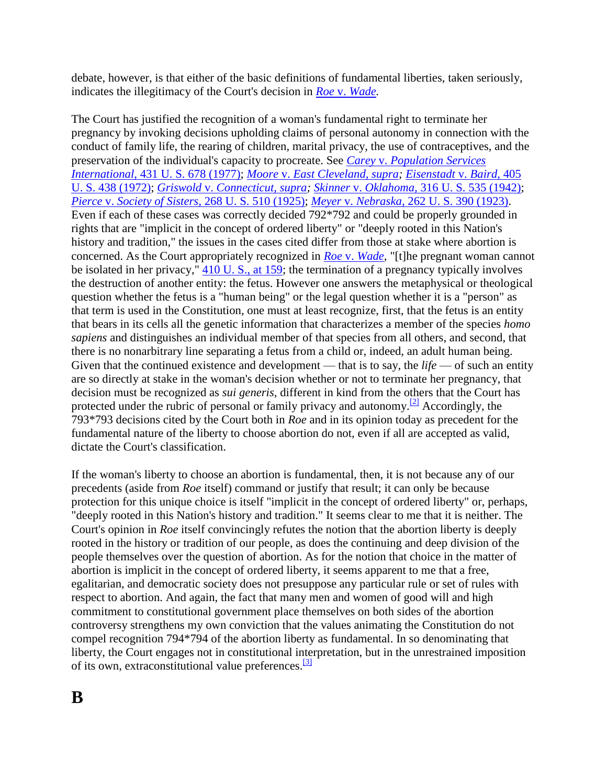debate, however, is that either of the basic definitions of fundamental liberties, taken seriously, indicates the illegitimacy of the Court's decision in *Roe* v. *[Wade.](http://scholar.google.co.in/scholar_case?case=12334123945835207673&q=Thornburgh+&hl=en&as_sdt=2002)*

The Court has justified the recognition of a woman's fundamental right to terminate her pregnancy by invoking decisions upholding claims of personal autonomy in connection with the conduct of family life, the rearing of children, marital privacy, the use of contraceptives, and the preservation of the individual's capacity to procreate. See *Carey* v. *[Population Services](http://scholar.google.co.in/scholar_case?case=4801034783278981738&q=Thornburgh+&hl=en&as_sdt=2002)  International,* [431 U. S. 678 \(1977\);](http://scholar.google.co.in/scholar_case?case=4801034783278981738&q=Thornburgh+&hl=en&as_sdt=2002) *Moore* v. *[East Cleveland, supra;](http://scholar.google.co.in/scholar_case?case=2901986314146432010&q=Thornburgh+&hl=en&as_sdt=2002) [Eisenstadt](http://scholar.google.co.in/scholar_case?case=14131534241682283357&q=Thornburgh+&hl=en&as_sdt=2002)* v. *Baird,* 405 [U. S. 438 \(1972\);](http://scholar.google.co.in/scholar_case?case=14131534241682283357&q=Thornburgh+&hl=en&as_sdt=2002) *Griswold* v. *[Connecticut, supra;](http://scholar.google.co.in/scholar_case?case=12276922145000050979&q=Thornburgh+&hl=en&as_sdt=2002) Skinner* v. *Oklahoma,* [316 U. S. 535 \(1942\);](http://scholar.google.co.in/scholar_case?case=8050731321644873759&q=Thornburgh+&hl=en&as_sdt=2002) *Pierce* v. *Society of Sisters,* [268 U. S. 510 \(1925\);](http://scholar.google.co.in/scholar_case?case=6094501649208458004&q=Thornburgh+&hl=en&as_sdt=2002) *Meyer* v. *Nebraska,* [262 U. S. 390 \(1923\).](http://scholar.google.co.in/scholar_case?case=16175793893966768030&q=Thornburgh+&hl=en&as_sdt=2002) Even if each of these cases was correctly decided 792\*792 and could be properly grounded in rights that are "implicit in the concept of ordered liberty" or "deeply rooted in this Nation's history and tradition," the issues in the cases cited differ from those at stake where abortion is concerned. As the Court appropriately recognized in *Roe* v. *[Wade,](http://scholar.google.co.in/scholar_case?case=12334123945835207673&q=Thornburgh+&hl=en&as_sdt=2002)* "[t]he pregnant woman cannot be isolated in her privacy," [410 U. S., at 159;](http://scholar.google.co.in/scholar_case?case=12334123945835207673&q=Thornburgh+&hl=en&as_sdt=2002) the termination of a pregnancy typically involves the destruction of another entity: the fetus. However one answers the metaphysical or theological question whether the fetus is a "human being" or the legal question whether it is a "person" as that term is used in the Constitution, one must at least recognize, first, that the fetus is an entity that bears in its cells all the genetic information that characterizes a member of the species *homo sapiens* and distinguishes an individual member of that species from all others, and second, that there is no nonarbitrary line separating a fetus from a child or, indeed, an adult human being. Given that the continued existence and development — that is to say, the *life* — of such an entity are so directly at stake in the woman's decision whether or not to terminate her pregnancy, that decision must be recognized as *sui generis,* different in kind from the others that the Court has protected under the rubric of personal or family privacy and autonomy.<sup>[\[2\]](http://scholar.google.co.in/scholar_case?case=3420134328076928385&q=Thornburgh+&hl=en&as_sdt=2002#[33])</sup> Accordingly, the 793\*793 decisions cited by the Court both in *Roe* and in its opinion today as precedent for the fundamental nature of the liberty to choose abortion do not, even if all are accepted as valid, dictate the Court's classification.

If the woman's liberty to choose an abortion is fundamental, then, it is not because any of our precedents (aside from *Roe* itself) command or justify that result; it can only be because protection for this unique choice is itself "implicit in the concept of ordered liberty" or, perhaps, "deeply rooted in this Nation's history and tradition." It seems clear to me that it is neither. The Court's opinion in *Roe* itself convincingly refutes the notion that the abortion liberty is deeply rooted in the history or tradition of our people, as does the continuing and deep division of the people themselves over the question of abortion. As for the notion that choice in the matter of abortion is implicit in the concept of ordered liberty, it seems apparent to me that a free, egalitarian, and democratic society does not presuppose any particular rule or set of rules with respect to abortion. And again, the fact that many men and women of good will and high commitment to constitutional government place themselves on both sides of the abortion controversy strengthens my own conviction that the values animating the Constitution do not compel recognition 794\*794 of the abortion liberty as fundamental. In so denominating that liberty, the Court engages not in constitutional interpretation, but in the unrestrained imposition of its own, extraconstitutional value preferences.<sup>[\[3\]](http://scholar.google.co.in/scholar_case?case=3420134328076928385&q=Thornburgh+&hl=en&as_sdt=2002#[34])</sup>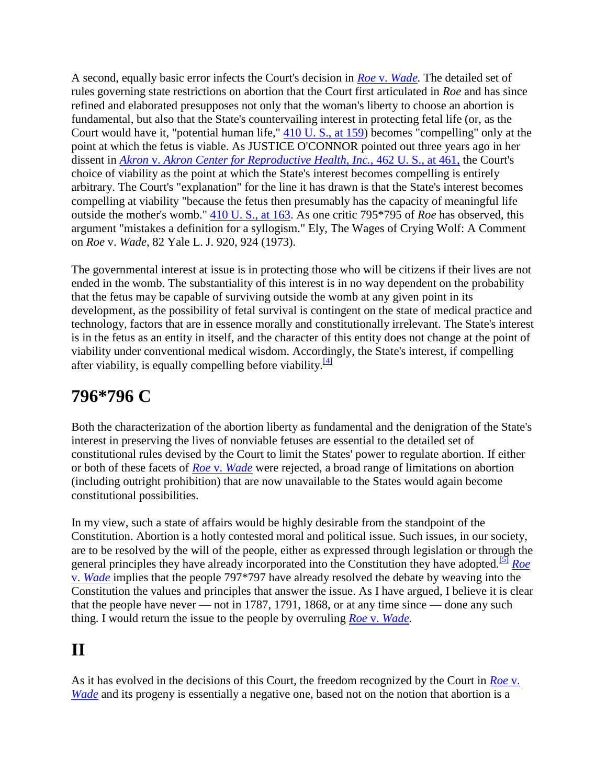A second, equally basic error infects the Court's decision in *Roe* v. *[Wade.](http://scholar.google.co.in/scholar_case?case=12334123945835207673&q=Thornburgh+&hl=en&as_sdt=2002)* The detailed set of rules governing state restrictions on abortion that the Court first articulated in *Roe* and has since refined and elaborated presupposes not only that the woman's liberty to choose an abortion is fundamental, but also that the State's countervailing interest in protecting fetal life (or, as the Court would have it, "potential human life," [410 U. S., at 159\)](http://scholar.google.co.in/scholar_case?case=12334123945835207673&q=Thornburgh+&hl=en&as_sdt=2002) becomes "compelling" only at the point at which the fetus is viable. As JUSTICE O'CONNOR pointed out three years ago in her dissent in *Akron* v. *[Akron Center for Reproductive Health, Inc.,](http://scholar.google.co.in/scholar_case?case=7944230995323582140&q=Thornburgh+&hl=en&as_sdt=2002)* 462 U. S., at 461, the Court's choice of viability as the point at which the State's interest becomes compelling is entirely arbitrary. The Court's "explanation" for the line it has drawn is that the State's interest becomes compelling at viability "because the fetus then presumably has the capacity of meaningful life outside the mother's womb." [410 U. S., at 163.](http://scholar.google.co.in/scholar_case?case=12334123945835207673&q=Thornburgh+&hl=en&as_sdt=2002) As one critic 795\*795 of *Roe* has observed, this argument "mistakes a definition for a syllogism." Ely, The Wages of Crying Wolf: A Comment on *Roe* v. *Wade,* 82 Yale L. J. 920, 924 (1973).

The governmental interest at issue is in protecting those who will be citizens if their lives are not ended in the womb. The substantiality of this interest is in no way dependent on the probability that the fetus may be capable of surviving outside the womb at any given point in its development, as the possibility of fetal survival is contingent on the state of medical practice and technology, factors that are in essence morally and constitutionally irrelevant. The State's interest is in the fetus as an entity in itself, and the character of this entity does not change at the point of viability under conventional medical wisdom. Accordingly, the State's interest, if compelling after viability, is equally compelling before viability. $\frac{[4]}{[4]}$  $\frac{[4]}{[4]}$  $\frac{[4]}{[4]}$ 

## **796\*796 C**

Both the characterization of the abortion liberty as fundamental and the denigration of the State's interest in preserving the lives of nonviable fetuses are essential to the detailed set of constitutional rules devised by the Court to limit the States' power to regulate abortion. If either or both of these facets of *Roe* v. *[Wade](http://scholar.google.co.in/scholar_case?case=12334123945835207673&q=Thornburgh+&hl=en&as_sdt=2002)* were rejected, a broad range of limitations on abortion (including outright prohibition) that are now unavailable to the States would again become constitutional possibilities.

In my view, such a state of affairs would be highly desirable from the standpoint of the Constitution. Abortion is a hotly contested moral and political issue. Such issues, in our society, are to be resolved by the will of the people, either as expressed through legislation or through the general principles they have already incorporated into the Constitution they have adopted.[\[5\]](http://scholar.google.co.in/scholar_case?case=3420134328076928385&q=Thornburgh+&hl=en&as_sdt=2002#[36]) *[Roe](http://scholar.google.co.in/scholar_case?case=12334123945835207673&q=Thornburgh+&hl=en&as_sdt=2002)* v. *[Wade](http://scholar.google.co.in/scholar_case?case=12334123945835207673&q=Thornburgh+&hl=en&as_sdt=2002)* implies that the people 797\*797 have already resolved the debate by weaving into the Constitution the values and principles that answer the issue. As I have argued, I believe it is clear that the people have never — not in 1787, 1791, 1868, or at any time since — done any such thing. I would return the issue to the people by overruling *Roe* v. *[Wade.](http://scholar.google.co.in/scholar_case?case=12334123945835207673&q=Thornburgh+&hl=en&as_sdt=2002)*

## **II**

As it has evolved in the decisions of this Court, the freedom recognized by the Court in *[Roe](http://scholar.google.co.in/scholar_case?case=12334123945835207673&q=Thornburgh+&hl=en&as_sdt=2002)* v. *[Wade](http://scholar.google.co.in/scholar_case?case=12334123945835207673&q=Thornburgh+&hl=en&as_sdt=2002)* and its progeny is essentially a negative one, based not on the notion that abortion is a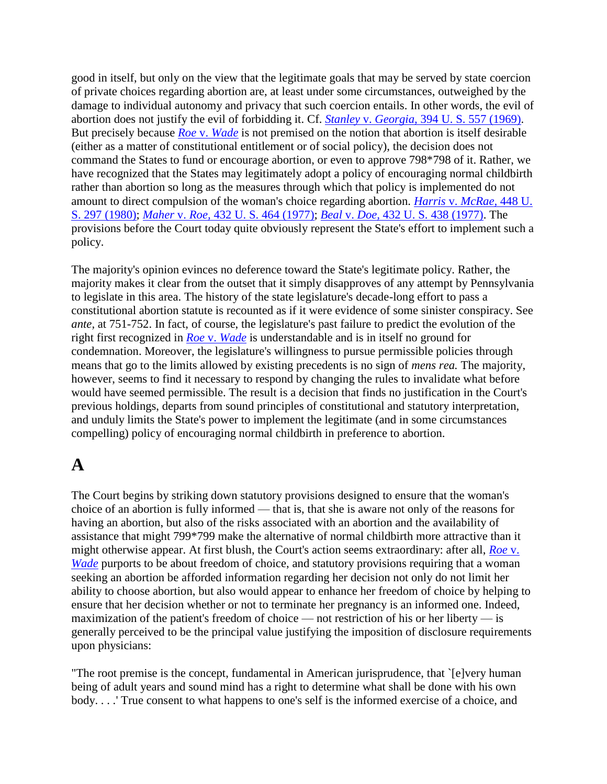good in itself, but only on the view that the legitimate goals that may be served by state coercion of private choices regarding abortion are, at least under some circumstances, outweighed by the damage to individual autonomy and privacy that such coercion entails. In other words, the evil of abortion does not justify the evil of forbidding it. Cf. *Stanley* v. *Georgia,* [394 U. S. 557 \(1969\).](http://scholar.google.co.in/scholar_case?case=6728320798248524934&q=Thornburgh+&hl=en&as_sdt=2002) But precisely because *Roe* v. *[Wade](http://scholar.google.co.in/scholar_case?case=12334123945835207673&q=Thornburgh+&hl=en&as_sdt=2002)* is not premised on the notion that abortion is itself desirable (either as a matter of constitutional entitlement or of social policy), the decision does not command the States to fund or encourage abortion, or even to approve 798\*798 of it. Rather, we have recognized that the States may legitimately adopt a policy of encouraging normal childbirth rather than abortion so long as the measures through which that policy is implemented do not amount to direct compulsion of the woman's choice regarding abortion. *Harris* v. *[McRae,](http://scholar.google.co.in/scholar_case?case=8833310949486291357&q=Thornburgh+&hl=en&as_sdt=2002)* 448 U. [S. 297 \(1980\);](http://scholar.google.co.in/scholar_case?case=8833310949486291357&q=Thornburgh+&hl=en&as_sdt=2002) *Maher* v. *Roe,* [432 U. S. 464 \(1977\);](http://scholar.google.co.in/scholar_case?case=10803349459097846233&q=Thornburgh+&hl=en&as_sdt=2002) *Beal* v. *Doe,* [432 U. S. 438 \(1977\).](http://scholar.google.co.in/scholar_case?case=4067161982742187409&q=Thornburgh+&hl=en&as_sdt=2002) The provisions before the Court today quite obviously represent the State's effort to implement such a policy.

The majority's opinion evinces no deference toward the State's legitimate policy. Rather, the majority makes it clear from the outset that it simply disapproves of any attempt by Pennsylvania to legislate in this area. The history of the state legislature's decade-long effort to pass a constitutional abortion statute is recounted as if it were evidence of some sinister conspiracy. See *ante,* at 751-752. In fact, of course, the legislature's past failure to predict the evolution of the right first recognized in *Roe* v. *[Wade](http://scholar.google.co.in/scholar_case?case=12334123945835207673&q=Thornburgh+&hl=en&as_sdt=2002)* is understandable and is in itself no ground for condemnation. Moreover, the legislature's willingness to pursue permissible policies through means that go to the limits allowed by existing precedents is no sign of *mens rea.* The majority, however, seems to find it necessary to respond by changing the rules to invalidate what before would have seemed permissible. The result is a decision that finds no justification in the Court's previous holdings, departs from sound principles of constitutional and statutory interpretation, and unduly limits the State's power to implement the legitimate (and in some circumstances compelling) policy of encouraging normal childbirth in preference to abortion.

#### **A**

The Court begins by striking down statutory provisions designed to ensure that the woman's choice of an abortion is fully informed — that is, that she is aware not only of the reasons for having an abortion, but also of the risks associated with an abortion and the availability of assistance that might 799\*799 make the alternative of normal childbirth more attractive than it might otherwise appear. At first blush, the Court's action seems extraordinary: after all, *[Roe](http://scholar.google.co.in/scholar_case?case=12334123945835207673&q=Thornburgh+&hl=en&as_sdt=2002)* v. *[Wade](http://scholar.google.co.in/scholar_case?case=12334123945835207673&q=Thornburgh+&hl=en&as_sdt=2002)* purports to be about freedom of choice, and statutory provisions requiring that a woman seeking an abortion be afforded information regarding her decision not only do not limit her ability to choose abortion, but also would appear to enhance her freedom of choice by helping to ensure that her decision whether or not to terminate her pregnancy is an informed one. Indeed, maximization of the patient's freedom of choice — not restriction of his or her liberty — is generally perceived to be the principal value justifying the imposition of disclosure requirements upon physicians:

"The root premise is the concept, fundamental in American jurisprudence, that `[e]very human being of adult years and sound mind has a right to determine what shall be done with his own body. . . .' True consent to what happens to one's self is the informed exercise of a choice, and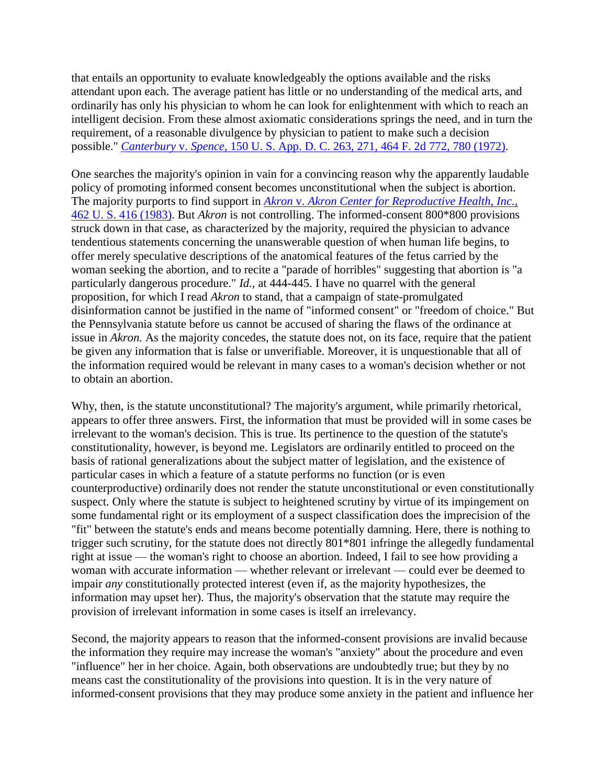that entails an opportunity to evaluate knowledgeably the options available and the risks attendant upon each. The average patient has little or no understanding of the medical arts, and ordinarily has only his physician to whom he can look for enlightenment with which to reach an intelligent decision. From these almost axiomatic considerations springs the need, and in turn the requirement, of a reasonable divulgence by physician to patient to make such a decision possible." *Canterbury* v. *Spence,* [150 U. S. App. D. C. 263, 271, 464 F. 2d 772, 780 \(1972\).](http://scholar.google.co.in/scholar_case?case=16106013819601769055&q=Thornburgh+&hl=en&as_sdt=2002)

One searches the majority's opinion in vain for a convincing reason why the apparently laudable policy of promoting informed consent becomes unconstitutional when the subject is abortion. The majority purports to find support in *Akron* v. *[Akron Center for Reproductive Health, Inc.,](http://scholar.google.co.in/scholar_case?case=7944230995323582140&q=Thornburgh+&hl=en&as_sdt=2002)* [462 U. S. 416 \(1983\).](http://scholar.google.co.in/scholar_case?case=7944230995323582140&q=Thornburgh+&hl=en&as_sdt=2002) But *Akron* is not controlling. The informed-consent 800\*800 provisions struck down in that case, as characterized by the majority, required the physician to advance tendentious statements concerning the unanswerable question of when human life begins, to offer merely speculative descriptions of the anatomical features of the fetus carried by the woman seeking the abortion, and to recite a "parade of horribles" suggesting that abortion is "a particularly dangerous procedure." *Id.,* at 444-445. I have no quarrel with the general proposition, for which I read *Akron* to stand, that a campaign of state-promulgated disinformation cannot be justified in the name of "informed consent" or "freedom of choice." But the Pennsylvania statute before us cannot be accused of sharing the flaws of the ordinance at issue in *Akron.* As the majority concedes, the statute does not, on its face, require that the patient be given any information that is false or unverifiable. Moreover, it is unquestionable that all of the information required would be relevant in many cases to a woman's decision whether or not to obtain an abortion.

Why, then, is the statute unconstitutional? The majority's argument, while primarily rhetorical, appears to offer three answers. First, the information that must be provided will in some cases be irrelevant to the woman's decision. This is true. Its pertinence to the question of the statute's constitutionality, however, is beyond me. Legislators are ordinarily entitled to proceed on the basis of rational generalizations about the subject matter of legislation, and the existence of particular cases in which a feature of a statute performs no function (or is even counterproductive) ordinarily does not render the statute unconstitutional or even constitutionally suspect. Only where the statute is subject to heightened scrutiny by virtue of its impingement on some fundamental right or its employment of a suspect classification does the imprecision of the "fit" between the statute's ends and means become potentially damning. Here, there is nothing to trigger such scrutiny, for the statute does not directly 801\*801 infringe the allegedly fundamental right at issue — the woman's right to choose an abortion. Indeed, I fail to see how providing a woman with accurate information — whether relevant or irrelevant — could ever be deemed to impair *any* constitutionally protected interest (even if, as the majority hypothesizes, the information may upset her). Thus, the majority's observation that the statute may require the provision of irrelevant information in some cases is itself an irrelevancy.

Second, the majority appears to reason that the informed-consent provisions are invalid because the information they require may increase the woman's "anxiety" about the procedure and even "influence" her in her choice. Again, both observations are undoubtedly true; but they by no means cast the constitutionality of the provisions into question. It is in the very nature of informed-consent provisions that they may produce some anxiety in the patient and influence her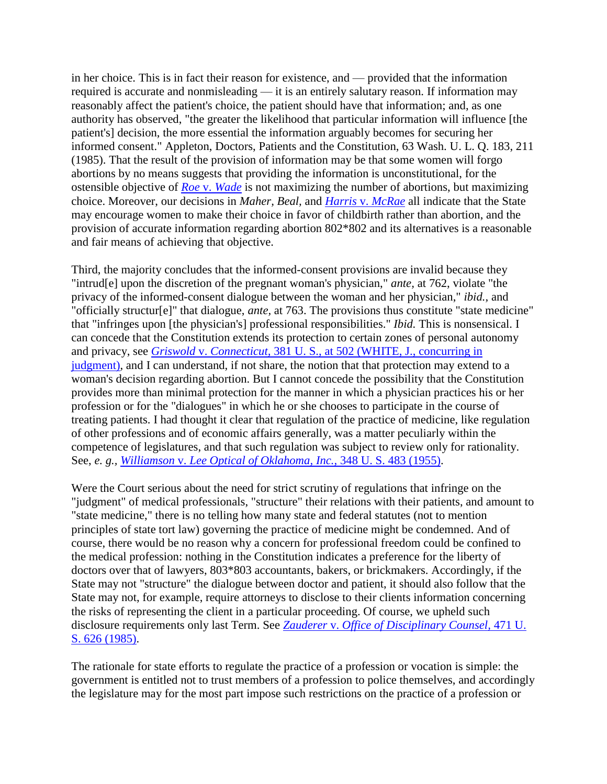in her choice. This is in fact their reason for existence, and — provided that the information required is accurate and nonmisleading — it is an entirely salutary reason. If information may reasonably affect the patient's choice, the patient should have that information; and, as one authority has observed, "the greater the likelihood that particular information will influence [the patient's] decision, the more essential the information arguably becomes for securing her informed consent." Appleton, Doctors, Patients and the Constitution, 63 Wash. U. L. Q. 183, 211 (1985). That the result of the provision of information may be that some women will forgo abortions by no means suggests that providing the information is unconstitutional, for the ostensible objective of *Roe* v. *[Wade](http://scholar.google.co.in/scholar_case?case=12334123945835207673&q=Thornburgh+&hl=en&as_sdt=2002)* is not maximizing the number of abortions, but maximizing choice. Moreover, our decisions in *Maher, Beal,* and *Harris* v. *[McRae](http://scholar.google.co.in/scholar_case?case=8833310949486291357&q=Thornburgh+&hl=en&as_sdt=2002)* all indicate that the State may encourage women to make their choice in favor of childbirth rather than abortion, and the provision of accurate information regarding abortion 802\*802 and its alternatives is a reasonable and fair means of achieving that objective.

Third, the majority concludes that the informed-consent provisions are invalid because they "intrud[e] upon the discretion of the pregnant woman's physician," *ante,* at 762, violate "the privacy of the informed-consent dialogue between the woman and her physician," *ibid.,* and "officially structur[e]" that dialogue, *ante,* at 763. The provisions thus constitute "state medicine" that "infringes upon [the physician's] professional responsibilities." *Ibid.* This is nonsensical. I can concede that the Constitution extends its protection to certain zones of personal autonomy and privacy, see *Griswold* v. *Connecticut,* [381 U. S., at 502 \(WHITE, J., concurring in](http://scholar.google.co.in/scholar_case?case=12276922145000050979&q=Thornburgh+&hl=en&as_sdt=2002)  [judgment\),](http://scholar.google.co.in/scholar_case?case=12276922145000050979&q=Thornburgh+&hl=en&as_sdt=2002) and I can understand, if not share, the notion that that protection may extend to a woman's decision regarding abortion. But I cannot concede the possibility that the Constitution provides more than minimal protection for the manner in which a physician practices his or her profession or for the "dialogues" in which he or she chooses to participate in the course of treating patients. I had thought it clear that regulation of the practice of medicine, like regulation of other professions and of economic affairs generally, was a matter peculiarly within the competence of legislatures, and that such regulation was subject to review only for rationality. See, *e. g., Williamson* v. *[Lee Optical of Oklahoma, Inc.,](http://scholar.google.co.in/scholar_case?case=17779134010247423421&q=Thornburgh+&hl=en&as_sdt=2002)* 348 U. S. 483 (1955).

Were the Court serious about the need for strict scrutiny of regulations that infringe on the "judgment" of medical professionals, "structure" their relations with their patients, and amount to "state medicine," there is no telling how many state and federal statutes (not to mention principles of state tort law) governing the practice of medicine might be condemned. And of course, there would be no reason why a concern for professional freedom could be confined to the medical profession: nothing in the Constitution indicates a preference for the liberty of doctors over that of lawyers, 803\*803 accountants, bakers, or brickmakers. Accordingly, if the State may not "structure" the dialogue between doctor and patient, it should also follow that the State may not, for example, require attorneys to disclose to their clients information concerning the risks of representing the client in a particular proceeding. Of course, we upheld such disclosure requirements only last Term. See *Zauderer* v. *[Office of Disciplinary Counsel,](http://scholar.google.co.in/scholar_case?case=9961821012845558561&q=Thornburgh+&hl=en&as_sdt=2002)* 471 U. [S. 626 \(1985\).](http://scholar.google.co.in/scholar_case?case=9961821012845558561&q=Thornburgh+&hl=en&as_sdt=2002)

The rationale for state efforts to regulate the practice of a profession or vocation is simple: the government is entitled not to trust members of a profession to police themselves, and accordingly the legislature may for the most part impose such restrictions on the practice of a profession or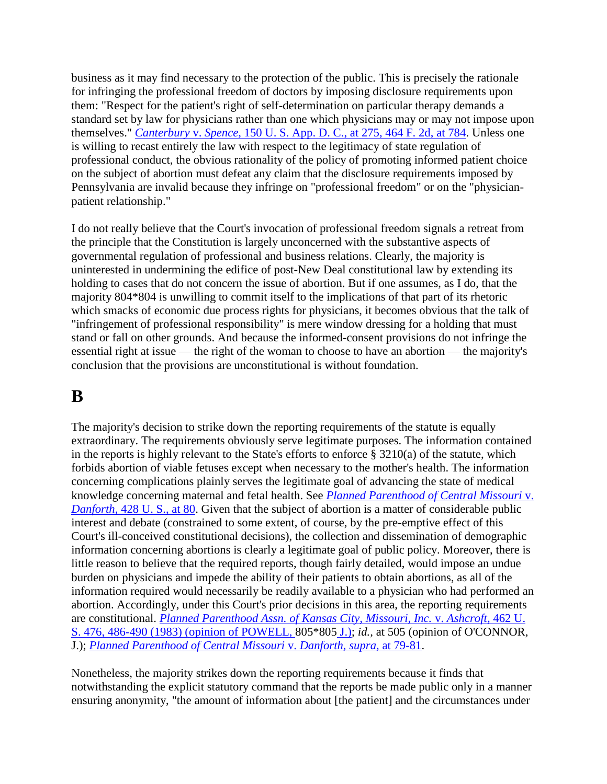business as it may find necessary to the protection of the public. This is precisely the rationale for infringing the professional freedom of doctors by imposing disclosure requirements upon them: "Respect for the patient's right of self-determination on particular therapy demands a standard set by law for physicians rather than one which physicians may or may not impose upon themselves." *Canterbury* v. *Spence,* [150 U. S. App. D. C., at 275, 464 F. 2d, at 784.](http://scholar.google.co.in/scholar_case?case=16106013819601769055&q=Thornburgh+&hl=en&as_sdt=2002) Unless one is willing to recast entirely the law with respect to the legitimacy of state regulation of professional conduct, the obvious rationality of the policy of promoting informed patient choice on the subject of abortion must defeat any claim that the disclosure requirements imposed by Pennsylvania are invalid because they infringe on "professional freedom" or on the "physicianpatient relationship."

I do not really believe that the Court's invocation of professional freedom signals a retreat from the principle that the Constitution is largely unconcerned with the substantive aspects of governmental regulation of professional and business relations. Clearly, the majority is uninterested in undermining the edifice of post-New Deal constitutional law by extending its holding to cases that do not concern the issue of abortion. But if one assumes, as I do, that the majority 804\*804 is unwilling to commit itself to the implications of that part of its rhetoric which smacks of economic due process rights for physicians, it becomes obvious that the talk of "infringement of professional responsibility" is mere window dressing for a holding that must stand or fall on other grounds. And because the informed-consent provisions do not infringe the essential right at issue — the right of the woman to choose to have an abortion — the majority's conclusion that the provisions are unconstitutional is without foundation.

## **B**

The majority's decision to strike down the reporting requirements of the statute is equally extraordinary. The requirements obviously serve legitimate purposes. The information contained in the reports is highly relevant to the State's efforts to enforce § 3210(a) of the statute, which forbids abortion of viable fetuses except when necessary to the mother's health. The information concerning complications plainly serves the legitimate goal of advancing the state of medical knowledge concerning maternal and fetal health. See *[Planned Parenthood of Central Missouri](http://scholar.google.co.in/scholar_case?case=3638004152923873163&q=Thornburgh+&hl=en&as_sdt=2002)* v. *Danforth*, [428 U. S., at 80.](http://scholar.google.co.in/scholar_case?case=3638004152923873163&q=Thornburgh+&hl=en&as_sdt=2002) Given that the subject of abortion is a matter of considerable public interest and debate (constrained to some extent, of course, by the pre-emptive effect of this Court's ill-conceived constitutional decisions), the collection and dissemination of demographic information concerning abortions is clearly a legitimate goal of public policy. Moreover, there is little reason to believe that the required reports, though fairly detailed, would impose an undue burden on physicians and impede the ability of their patients to obtain abortions, as all of the information required would necessarily be readily available to a physician who had performed an abortion. Accordingly, under this Court's prior decisions in this area, the reporting requirements are constitutional. *[Planned Parenthood Assn. of Kansas City, Missouri, Inc.](http://scholar.google.co.in/scholar_case?case=16358226321487983194&q=Thornburgh+&hl=en&as_sdt=2002)* v. *Ashcroft,* 462 U. [S. 476, 486-490 \(1983\) \(opinion of POWELL, 8](http://scholar.google.co.in/scholar_case?case=16358226321487983194&q=Thornburgh+&hl=en&as_sdt=2002)05\*805 [J.\);](http://scholar.google.co.in/scholar_case?case=16358226321487983194&q=Thornburgh+&hl=en&as_sdt=2002) *id.,* at 505 (opinion of O'CONNOR, J.); *[Planned Parenthood of Central Missouri](http://scholar.google.co.in/scholar_case?case=3638004152923873163&q=Thornburgh+&hl=en&as_sdt=2002)* v. *Danforth, supra,* at 79-81.

Nonetheless, the majority strikes down the reporting requirements because it finds that notwithstanding the explicit statutory command that the reports be made public only in a manner ensuring anonymity, "the amount of information about [the patient] and the circumstances under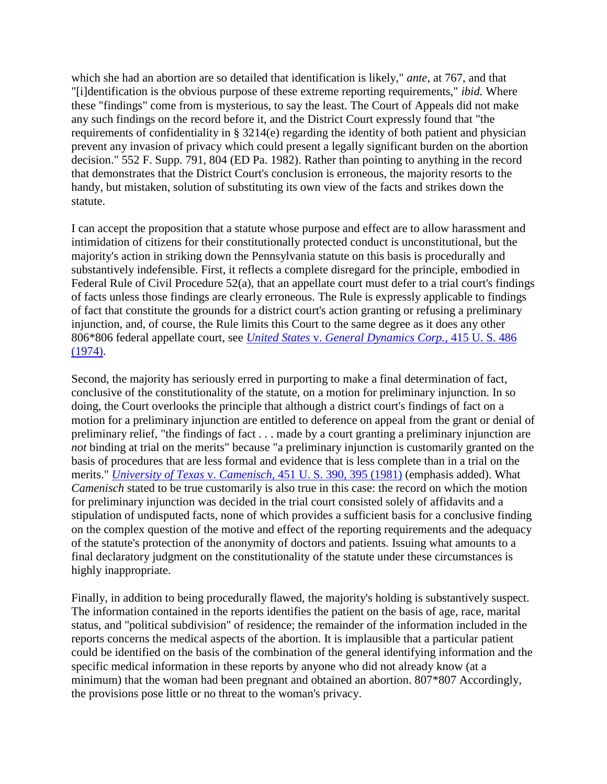which she had an abortion are so detailed that identification is likely," *ante,* at 767, and that "[i]dentification is the obvious purpose of these extreme reporting requirements," *ibid.* Where these "findings" come from is mysterious, to say the least. The Court of Appeals did not make any such findings on the record before it, and the District Court expressly found that "the requirements of confidentiality in § 3214(e) regarding the identity of both patient and physician prevent any invasion of privacy which could present a legally significant burden on the abortion decision." 552 F. Supp. 791, 804 (ED Pa. 1982). Rather than pointing to anything in the record that demonstrates that the District Court's conclusion is erroneous, the majority resorts to the handy, but mistaken, solution of substituting its own view of the facts and strikes down the statute.

I can accept the proposition that a statute whose purpose and effect are to allow harassment and intimidation of citizens for their constitutionally protected conduct is unconstitutional, but the majority's action in striking down the Pennsylvania statute on this basis is procedurally and substantively indefensible. First, it reflects a complete disregard for the principle, embodied in Federal Rule of Civil Procedure 52(a), that an appellate court must defer to a trial court's findings of facts unless those findings are clearly erroneous. The Rule is expressly applicable to findings of fact that constitute the grounds for a district court's action granting or refusing a preliminary injunction, and, of course, the Rule limits this Court to the same degree as it does any other 806\*806 federal appellate court, see *United States* v. *[General Dynamics Corp.,](http://scholar.google.co.in/scholar_case?case=18077910118696099183&q=Thornburgh+&hl=en&as_sdt=2002)* 415 U. S. 486 [\(1974\).](http://scholar.google.co.in/scholar_case?case=18077910118696099183&q=Thornburgh+&hl=en&as_sdt=2002)

Second, the majority has seriously erred in purporting to make a final determination of fact, conclusive of the constitutionality of the statute, on a motion for preliminary injunction. In so doing, the Court overlooks the principle that although a district court's findings of fact on a motion for a preliminary injunction are entitled to deference on appeal from the grant or denial of preliminary relief, "the findings of fact . . . made by a court granting a preliminary injunction are *not* binding at trial on the merits" because "a preliminary injunction is customarily granted on the basis of procedures that are less formal and evidence that is less complete than in a trial on the merits." *University of Texas* v. *Camenisch,* [451 U. S. 390, 395 \(1981\)](http://scholar.google.co.in/scholar_case?case=13807488466147767233&q=Thornburgh+&hl=en&as_sdt=2002) (emphasis added). What *Camenisch* stated to be true customarily is also true in this case: the record on which the motion for preliminary injunction was decided in the trial court consisted solely of affidavits and a stipulation of undisputed facts, none of which provides a sufficient basis for a conclusive finding on the complex question of the motive and effect of the reporting requirements and the adequacy of the statute's protection of the anonymity of doctors and patients. Issuing what amounts to a final declaratory judgment on the constitutionality of the statute under these circumstances is highly inappropriate.

Finally, in addition to being procedurally flawed, the majority's holding is substantively suspect. The information contained in the reports identifies the patient on the basis of age, race, marital status, and "political subdivision" of residence; the remainder of the information included in the reports concerns the medical aspects of the abortion. It is implausible that a particular patient could be identified on the basis of the combination of the general identifying information and the specific medical information in these reports by anyone who did not already know (at a minimum) that the woman had been pregnant and obtained an abortion. 807\*807 Accordingly, the provisions pose little or no threat to the woman's privacy.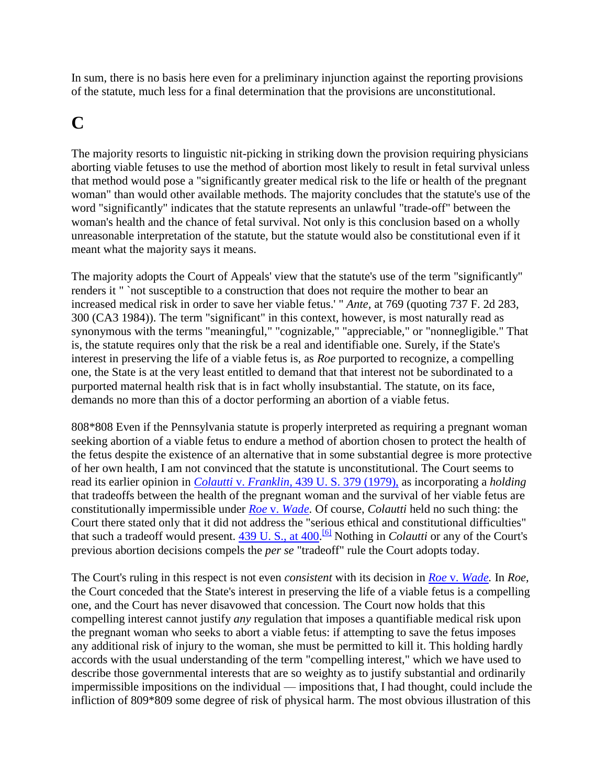In sum, there is no basis here even for a preliminary injunction against the reporting provisions of the statute, much less for a final determination that the provisions are unconstitutional.

## **C**

The majority resorts to linguistic nit-picking in striking down the provision requiring physicians aborting viable fetuses to use the method of abortion most likely to result in fetal survival unless that method would pose a "significantly greater medical risk to the life or health of the pregnant woman" than would other available methods. The majority concludes that the statute's use of the word "significantly" indicates that the statute represents an unlawful "trade-off" between the woman's health and the chance of fetal survival. Not only is this conclusion based on a wholly unreasonable interpretation of the statute, but the statute would also be constitutional even if it meant what the majority says it means.

The majority adopts the Court of Appeals' view that the statute's use of the term "significantly" renders it " `not susceptible to a construction that does not require the mother to bear an increased medical risk in order to save her viable fetus.' " *Ante,* at 769 (quoting 737 F. 2d 283, 300 (CA3 1984)). The term "significant" in this context, however, is most naturally read as synonymous with the terms "meaningful," "cognizable," "appreciable," or "nonnegligible." That is, the statute requires only that the risk be a real and identifiable one. Surely, if the State's interest in preserving the life of a viable fetus is, as *Roe* purported to recognize, a compelling one, the State is at the very least entitled to demand that that interest not be subordinated to a purported maternal health risk that is in fact wholly insubstantial. The statute, on its face, demands no more than this of a doctor performing an abortion of a viable fetus.

808\*808 Even if the Pennsylvania statute is properly interpreted as requiring a pregnant woman seeking abortion of a viable fetus to endure a method of abortion chosen to protect the health of the fetus despite the existence of an alternative that in some substantial degree is more protective of her own health, I am not convinced that the statute is unconstitutional. The Court seems to read its earlier opinion in *Colautti* v. *Franklin,* [439 U. S. 379 \(1979\),](http://scholar.google.co.in/scholar_case?case=11995294142285279951&q=Thornburgh+&hl=en&as_sdt=2002) as incorporating a *holding* that tradeoffs between the health of the pregnant woman and the survival of her viable fetus are constitutionally impermissible under *Roe* v. *[Wade.](http://scholar.google.co.in/scholar_case?case=12334123945835207673&q=Thornburgh+&hl=en&as_sdt=2002)* Of course, *Colautti* held no such thing: the Court there stated only that it did not address the "serious ethical and constitutional difficulties" that such a tradeoff would present. [439 U. S., at 400.](http://scholar.google.co.in/scholar_case?case=11995294142285279951&q=Thornburgh+&hl=en&as_sdt=2002) [\[6\]](http://scholar.google.co.in/scholar_case?case=3420134328076928385&q=Thornburgh+&hl=en&as_sdt=2002#[37]) Nothing in *Colautti* or any of the Court's previous abortion decisions compels the *per se* "tradeoff" rule the Court adopts today.

The Court's ruling in this respect is not even *consistent* with its decision in *Roe* v. *[Wade.](http://scholar.google.co.in/scholar_case?case=12334123945835207673&q=Thornburgh+&hl=en&as_sdt=2002)* In *Roe,* the Court conceded that the State's interest in preserving the life of a viable fetus is a compelling one, and the Court has never disavowed that concession. The Court now holds that this compelling interest cannot justify *any* regulation that imposes a quantifiable medical risk upon the pregnant woman who seeks to abort a viable fetus: if attempting to save the fetus imposes any additional risk of injury to the woman, she must be permitted to kill it. This holding hardly accords with the usual understanding of the term "compelling interest," which we have used to describe those governmental interests that are so weighty as to justify substantial and ordinarily impermissible impositions on the individual — impositions that, I had thought, could include the infliction of 809\*809 some degree of risk of physical harm. The most obvious illustration of this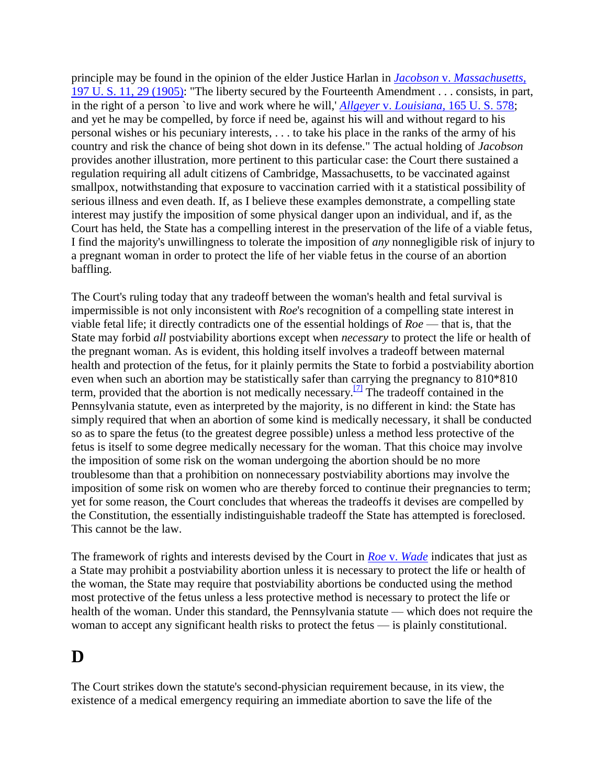principle may be found in the opinion of the elder Justice Harlan in *Jacobson* v. *[Massachusetts,](http://scholar.google.co.in/scholar_case?case=16169198038706839183&q=Thornburgh+&hl=en&as_sdt=2002)* [197 U. S. 11, 29 \(1905\):](http://scholar.google.co.in/scholar_case?case=16169198038706839183&q=Thornburgh+&hl=en&as_sdt=2002) "The liberty secured by the Fourteenth Amendment . . . consists, in part, in the right of a person `to live and work where he will,' *Allgeyer* v. *Louisiana,* [165 U. S. 578;](http://scholar.google.co.in/scholar_case?case=8434070620249495815&q=Thornburgh+&hl=en&as_sdt=2002) and yet he may be compelled, by force if need be, against his will and without regard to his personal wishes or his pecuniary interests, . . . to take his place in the ranks of the army of his country and risk the chance of being shot down in its defense." The actual holding of *Jacobson* provides another illustration, more pertinent to this particular case: the Court there sustained a regulation requiring all adult citizens of Cambridge, Massachusetts, to be vaccinated against smallpox, notwithstanding that exposure to vaccination carried with it a statistical possibility of serious illness and even death. If, as I believe these examples demonstrate, a compelling state interest may justify the imposition of some physical danger upon an individual, and if, as the Court has held, the State has a compelling interest in the preservation of the life of a viable fetus, I find the majority's unwillingness to tolerate the imposition of *any* nonnegligible risk of injury to a pregnant woman in order to protect the life of her viable fetus in the course of an abortion baffling.

The Court's ruling today that any tradeoff between the woman's health and fetal survival is impermissible is not only inconsistent with *Roe*'s recognition of a compelling state interest in viable fetal life; it directly contradicts one of the essential holdings of *Roe* — that is, that the State may forbid *all* postviability abortions except when *necessary* to protect the life or health of the pregnant woman. As is evident, this holding itself involves a tradeoff between maternal health and protection of the fetus, for it plainly permits the State to forbid a postviability abortion even when such an abortion may be statistically safer than carrying the pregnancy to 810\*810 term, provided that the abortion is not medically necessary.<sup>[\[7\]](http://scholar.google.co.in/scholar_case?case=3420134328076928385&q=Thornburgh+&hl=en&as_sdt=2002#[38])</sup> The tradeoff contained in the Pennsylvania statute, even as interpreted by the majority, is no different in kind: the State has simply required that when an abortion of some kind is medically necessary, it shall be conducted so as to spare the fetus (to the greatest degree possible) unless a method less protective of the fetus is itself to some degree medically necessary for the woman. That this choice may involve the imposition of some risk on the woman undergoing the abortion should be no more troublesome than that a prohibition on nonnecessary postviability abortions may involve the imposition of some risk on women who are thereby forced to continue their pregnancies to term; yet for some reason, the Court concludes that whereas the tradeoffs it devises are compelled by the Constitution, the essentially indistinguishable tradeoff the State has attempted is foreclosed. This cannot be the law.

The framework of rights and interests devised by the Court in *Roe* v. *[Wade](http://scholar.google.co.in/scholar_case?case=12334123945835207673&q=Thornburgh+&hl=en&as_sdt=2002)* indicates that just as a State may prohibit a postviability abortion unless it is necessary to protect the life or health of the woman, the State may require that postviability abortions be conducted using the method most protective of the fetus unless a less protective method is necessary to protect the life or health of the woman. Under this standard, the Pennsylvania statute — which does not require the woman to accept any significant health risks to protect the fetus — is plainly constitutional.

## **D**

The Court strikes down the statute's second-physician requirement because, in its view, the existence of a medical emergency requiring an immediate abortion to save the life of the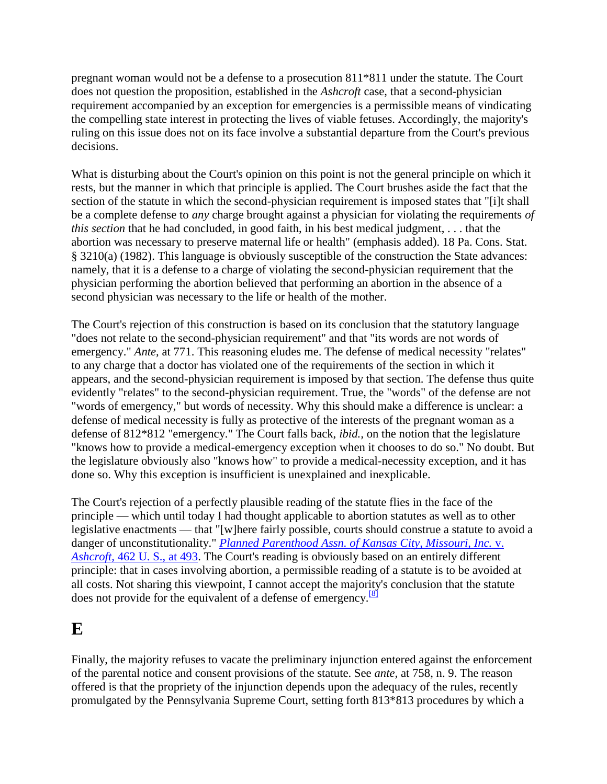pregnant woman would not be a defense to a prosecution 811\*811 under the statute. The Court does not question the proposition, established in the *Ashcroft* case, that a second-physician requirement accompanied by an exception for emergencies is a permissible means of vindicating the compelling state interest in protecting the lives of viable fetuses. Accordingly, the majority's ruling on this issue does not on its face involve a substantial departure from the Court's previous decisions.

What is disturbing about the Court's opinion on this point is not the general principle on which it rests, but the manner in which that principle is applied. The Court brushes aside the fact that the section of the statute in which the second-physician requirement is imposed states that "[i]t shall be a complete defense to *any* charge brought against a physician for violating the requirements *of this section* that he had concluded, in good faith, in his best medical judgment, . . . that the abortion was necessary to preserve maternal life or health" (emphasis added). 18 Pa. Cons. Stat. § 3210(a) (1982). This language is obviously susceptible of the construction the State advances: namely, that it is a defense to a charge of violating the second-physician requirement that the physician performing the abortion believed that performing an abortion in the absence of a second physician was necessary to the life or health of the mother.

The Court's rejection of this construction is based on its conclusion that the statutory language "does not relate to the second-physician requirement" and that "its words are not words of emergency." *Ante,* at 771. This reasoning eludes me. The defense of medical necessity "relates" to any charge that a doctor has violated one of the requirements of the section in which it appears, and the second-physician requirement is imposed by that section. The defense thus quite evidently "relates" to the second-physician requirement. True, the "words" of the defense are not "words of emergency," but words of necessity. Why this should make a difference is unclear: a defense of medical necessity is fully as protective of the interests of the pregnant woman as a defense of 812\*812 "emergency." The Court falls back, *ibid.,* on the notion that the legislature "knows how to provide a medical-emergency exception when it chooses to do so." No doubt. But the legislature obviously also "knows how" to provide a medical-necessity exception, and it has done so. Why this exception is insufficient is unexplained and inexplicable.

The Court's rejection of a perfectly plausible reading of the statute flies in the face of the principle — which until today I had thought applicable to abortion statutes as well as to other legislative enactments — that "[w]here fairly possible, courts should construe a statute to avoid a danger of unconstitutionality." *[Planned Parenthood Assn. of Kansas City, Missouri, Inc.](http://scholar.google.co.in/scholar_case?case=16358226321487983194&q=Thornburgh+&hl=en&as_sdt=2002)* v. *Ashcroft,* [462 U. S., at 493.](http://scholar.google.co.in/scholar_case?case=16358226321487983194&q=Thornburgh+&hl=en&as_sdt=2002) The Court's reading is obviously based on an entirely different principle: that in cases involving abortion, a permissible reading of a statute is to be avoided at all costs. Not sharing this viewpoint, I cannot accept the majority's conclusion that the statute does not provide for the equivalent of a defense of emergency.<sup>[\[8\]](http://scholar.google.co.in/scholar_case?case=3420134328076928385&q=Thornburgh+&hl=en&as_sdt=2002#[39])</sup>

### **E**

Finally, the majority refuses to vacate the preliminary injunction entered against the enforcement of the parental notice and consent provisions of the statute. See *ante,* at 758, n. 9. The reason offered is that the propriety of the injunction depends upon the adequacy of the rules, recently promulgated by the Pennsylvania Supreme Court, setting forth 813\*813 procedures by which a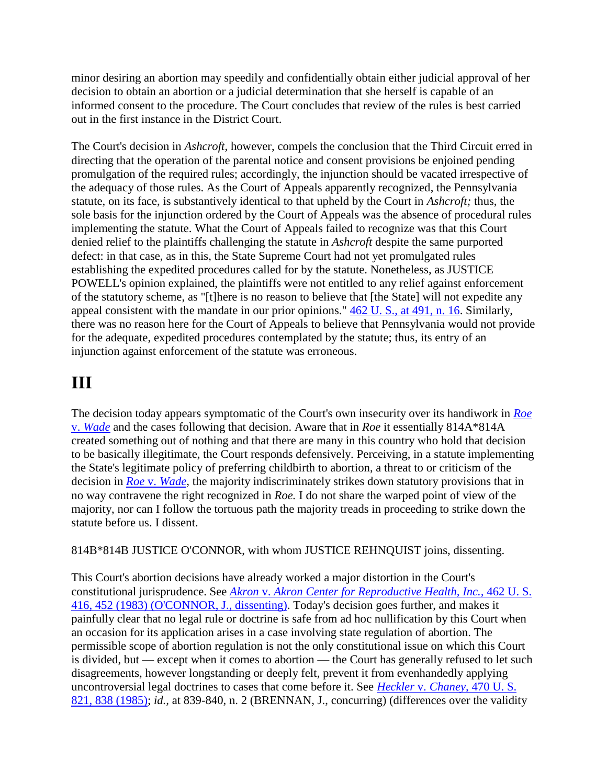minor desiring an abortion may speedily and confidentially obtain either judicial approval of her decision to obtain an abortion or a judicial determination that she herself is capable of an informed consent to the procedure. The Court concludes that review of the rules is best carried out in the first instance in the District Court.

The Court's decision in *Ashcroft,* however, compels the conclusion that the Third Circuit erred in directing that the operation of the parental notice and consent provisions be enjoined pending promulgation of the required rules; accordingly, the injunction should be vacated irrespective of the adequacy of those rules. As the Court of Appeals apparently recognized, the Pennsylvania statute, on its face, is substantively identical to that upheld by the Court in *Ashcroft;* thus, the sole basis for the injunction ordered by the Court of Appeals was the absence of procedural rules implementing the statute. What the Court of Appeals failed to recognize was that this Court denied relief to the plaintiffs challenging the statute in *Ashcroft* despite the same purported defect: in that case, as in this, the State Supreme Court had not yet promulgated rules establishing the expedited procedures called for by the statute. Nonetheless, as JUSTICE POWELL's opinion explained, the plaintiffs were not entitled to any relief against enforcement of the statutory scheme, as "[t]here is no reason to believe that [the State] will not expedite any appeal consistent with the mandate in our prior opinions." [462 U. S., at 491, n. 16.](http://scholar.google.co.in/scholar_case?case=16358226321487983194&q=Thornburgh+&hl=en&as_sdt=2002) Similarly, there was no reason here for the Court of Appeals to believe that Pennsylvania would not provide for the adequate, expedited procedures contemplated by the statute; thus, its entry of an injunction against enforcement of the statute was erroneous.

## **III**

The decision today appears symptomatic of the Court's own insecurity over its handiwork in *[Roe](http://scholar.google.co.in/scholar_case?case=12334123945835207673&q=Thornburgh+&hl=en&as_sdt=2002)* v. *[Wade](http://scholar.google.co.in/scholar_case?case=12334123945835207673&q=Thornburgh+&hl=en&as_sdt=2002)* and the cases following that decision. Aware that in *Roe* it essentially 814A\*814A created something out of nothing and that there are many in this country who hold that decision to be basically illegitimate, the Court responds defensively. Perceiving, in a statute implementing the State's legitimate policy of preferring childbirth to abortion, a threat to or criticism of the decision in *Roe* v. *[Wade,](http://scholar.google.co.in/scholar_case?case=12334123945835207673&q=Thornburgh+&hl=en&as_sdt=2002)* the majority indiscriminately strikes down statutory provisions that in no way contravene the right recognized in *Roe.* I do not share the warped point of view of the majority, nor can I follow the tortuous path the majority treads in proceeding to strike down the statute before us. I dissent.

814B\*814B JUSTICE O'CONNOR, with whom JUSTICE REHNQUIST joins, dissenting.

This Court's abortion decisions have already worked a major distortion in the Court's constitutional jurisprudence. See *Akron* v. *[Akron Center for Reproductive Health, Inc.,](http://scholar.google.co.in/scholar_case?case=7944230995323582140&q=Thornburgh+&hl=en&as_sdt=2002)* 462 U. S. [416, 452 \(1983\) \(O'CONNOR, J., dissenting\).](http://scholar.google.co.in/scholar_case?case=7944230995323582140&q=Thornburgh+&hl=en&as_sdt=2002) Today's decision goes further, and makes it painfully clear that no legal rule or doctrine is safe from ad hoc nullification by this Court when an occasion for its application arises in a case involving state regulation of abortion. The permissible scope of abortion regulation is not the only constitutional issue on which this Court is divided, but — except when it comes to abortion — the Court has generally refused to let such disagreements, however longstanding or deeply felt, prevent it from evenhandedly applying uncontroversial legal doctrines to cases that come before it. See *Heckler* v. *Chaney,* [470 U. S.](http://scholar.google.co.in/scholar_case?case=7080789915693710984&q=Thornburgh+&hl=en&as_sdt=2002)  [821, 838 \(1985\);](http://scholar.google.co.in/scholar_case?case=7080789915693710984&q=Thornburgh+&hl=en&as_sdt=2002) *id.,* at 839-840, n. 2 (BRENNAN, J., concurring) (differences over the validity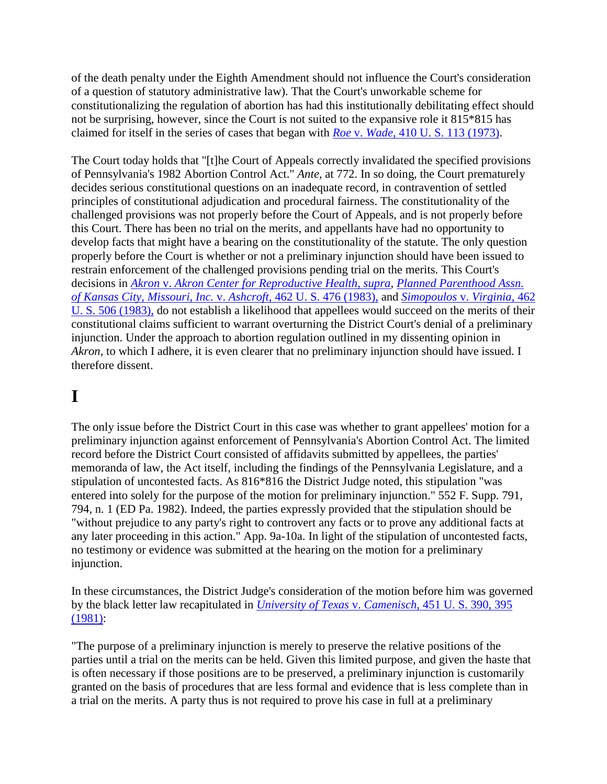of the death penalty under the Eighth Amendment should not influence the Court's consideration of a question of statutory administrative law). That the Court's unworkable scheme for constitutionalizing the regulation of abortion has had this institutionally debilitating effect should not be surprising, however, since the Court is not suited to the expansive role it 815\*815 has claimed for itself in the series of cases that began with *Roe* v. *Wade,* [410 U. S. 113 \(1973\).](http://scholar.google.co.in/scholar_case?case=12334123945835207673&q=Thornburgh+&hl=en&as_sdt=2002)

The Court today holds that "[t]he Court of Appeals correctly invalidated the specified provisions of Pennsylvania's 1982 Abortion Control Act." *Ante,* at 772. In so doing, the Court prematurely decides serious constitutional questions on an inadequate record, in contravention of settled principles of constitutional adjudication and procedural fairness. The constitutionality of the challenged provisions was not properly before the Court of Appeals, and is not properly before this Court. There has been no trial on the merits, and appellants have had no opportunity to develop facts that might have a bearing on the constitutionality of the statute. The only question properly before the Court is whether or not a preliminary injunction should have been issued to restrain enforcement of the challenged provisions pending trial on the merits. This Court's decisions in *Akron* v. *[Akron Center for Reproductive Health, supra,](http://scholar.google.co.in/scholar_case?case=7944230995323582140&q=Thornburgh+&hl=en&as_sdt=2002) [Planned Parenthood Assn.](http://scholar.google.co.in/scholar_case?case=16358226321487983194&q=Thornburgh+&hl=en&as_sdt=2002)  [of Kansas City, Missouri, Inc.](http://scholar.google.co.in/scholar_case?case=16358226321487983194&q=Thornburgh+&hl=en&as_sdt=2002)* v. *Ashcroft,* 462 U. S. 476 (1983), and *[Simopoulos](http://scholar.google.co.in/scholar_case?case=383681397468331850&q=Thornburgh+&hl=en&as_sdt=2002)* v. *Virginia,* 462 [U. S. 506 \(1983\),](http://scholar.google.co.in/scholar_case?case=383681397468331850&q=Thornburgh+&hl=en&as_sdt=2002) do not establish a likelihood that appellees would succeed on the merits of their constitutional claims sufficient to warrant overturning the District Court's denial of a preliminary injunction. Under the approach to abortion regulation outlined in my dissenting opinion in *Akron*, to which I adhere, it is even clearer that no preliminary injunction should have issued. I therefore dissent.

# **I**

The only issue before the District Court in this case was whether to grant appellees' motion for a preliminary injunction against enforcement of Pennsylvania's Abortion Control Act. The limited record before the District Court consisted of affidavits submitted by appellees, the parties' memoranda of law, the Act itself, including the findings of the Pennsylvania Legislature, and a stipulation of uncontested facts. As 816\*816 the District Judge noted, this stipulation "was entered into solely for the purpose of the motion for preliminary injunction." 552 F. Supp. 791, 794, n. 1 (ED Pa. 1982). Indeed, the parties expressly provided that the stipulation should be "without prejudice to any party's right to controvert any facts or to prove any additional facts at any later proceeding in this action." App. 9a-10a. In light of the stipulation of uncontested facts, no testimony or evidence was submitted at the hearing on the motion for a preliminary injunction.

In these circumstances, the District Judge's consideration of the motion before him was governed by the black letter law recapitulated in *University of Texas* v. *Camenisch,* [451 U. S. 390, 395](http://scholar.google.co.in/scholar_case?case=13807488466147767233&q=Thornburgh+&hl=en&as_sdt=2002)  [\(1981\):](http://scholar.google.co.in/scholar_case?case=13807488466147767233&q=Thornburgh+&hl=en&as_sdt=2002)

"The purpose of a preliminary injunction is merely to preserve the relative positions of the parties until a trial on the merits can be held. Given this limited purpose, and given the haste that is often necessary if those positions are to be preserved, a preliminary injunction is customarily granted on the basis of procedures that are less formal and evidence that is less complete than in a trial on the merits. A party thus is not required to prove his case in full at a preliminary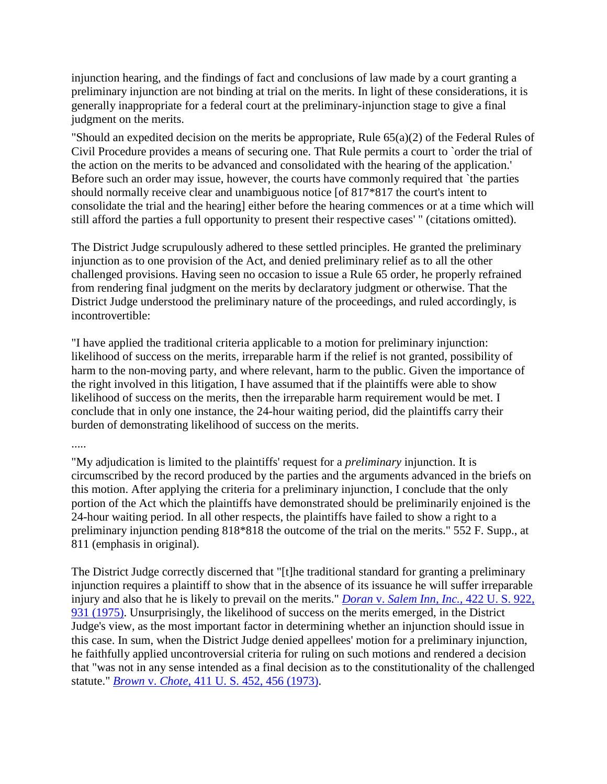injunction hearing, and the findings of fact and conclusions of law made by a court granting a preliminary injunction are not binding at trial on the merits. In light of these considerations, it is generally inappropriate for a federal court at the preliminary-injunction stage to give a final judgment on the merits.

"Should an expedited decision on the merits be appropriate, Rule  $65(a)(2)$  of the Federal Rules of Civil Procedure provides a means of securing one. That Rule permits a court to `order the trial of the action on the merits to be advanced and consolidated with the hearing of the application.' Before such an order may issue, however, the courts have commonly required that `the parties should normally receive clear and unambiguous notice [of 817\*817 the court's intent to consolidate the trial and the hearing] either before the hearing commences or at a time which will still afford the parties a full opportunity to present their respective cases' " (citations omitted).

The District Judge scrupulously adhered to these settled principles. He granted the preliminary injunction as to one provision of the Act, and denied preliminary relief as to all the other challenged provisions. Having seen no occasion to issue a Rule 65 order, he properly refrained from rendering final judgment on the merits by declaratory judgment or otherwise. That the District Judge understood the preliminary nature of the proceedings, and ruled accordingly, is incontrovertible:

"I have applied the traditional criteria applicable to a motion for preliminary injunction: likelihood of success on the merits, irreparable harm if the relief is not granted, possibility of harm to the non-moving party, and where relevant, harm to the public. Given the importance of the right involved in this litigation, I have assumed that if the plaintiffs were able to show likelihood of success on the merits, then the irreparable harm requirement would be met. I conclude that in only one instance, the 24-hour waiting period, did the plaintiffs carry their burden of demonstrating likelihood of success on the merits.

.....

"My adjudication is limited to the plaintiffs' request for a *preliminary* injunction. It is circumscribed by the record produced by the parties and the arguments advanced in the briefs on this motion. After applying the criteria for a preliminary injunction, I conclude that the only portion of the Act which the plaintiffs have demonstrated should be preliminarily enjoined is the 24-hour waiting period. In all other respects, the plaintiffs have failed to show a right to a preliminary injunction pending 818\*818 the outcome of the trial on the merits." 552 F. Supp., at 811 (emphasis in original).

The District Judge correctly discerned that "[t]he traditional standard for granting a preliminary injunction requires a plaintiff to show that in the absence of its issuance he will suffer irreparable injury and also that he is likely to prevail on the merits." *Doran* v. *[Salem Inn, Inc.,](http://scholar.google.co.in/scholar_case?case=5037129356036202482&q=Thornburgh+&hl=en&as_sdt=2002)* 422 U. S. 922, [931 \(1975\).](http://scholar.google.co.in/scholar_case?case=5037129356036202482&q=Thornburgh+&hl=en&as_sdt=2002) Unsurprisingly, the likelihood of success on the merits emerged, in the District Judge's view, as the most important factor in determining whether an injunction should issue in this case. In sum, when the District Judge denied appellees' motion for a preliminary injunction, he faithfully applied uncontroversial criteria for ruling on such motions and rendered a decision that "was not in any sense intended as a final decision as to the constitutionality of the challenged statute." *Brown* v. *Chote,* [411 U. S. 452, 456 \(1973\).](http://scholar.google.co.in/scholar_case?case=13462802965454610803&q=Thornburgh+&hl=en&as_sdt=2002)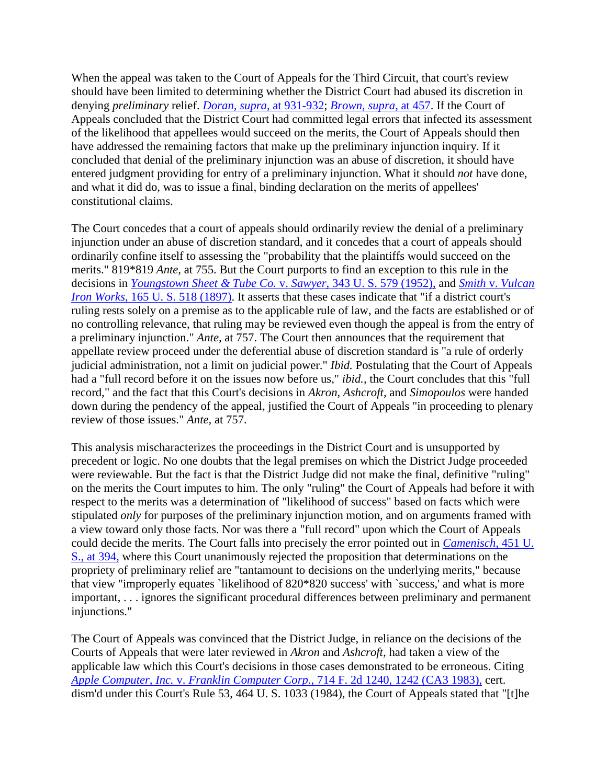When the appeal was taken to the Court of Appeals for the Third Circuit, that court's review should have been limited to determining whether the District Court had abused its discretion in denying *preliminary* relief. *[Doran, supra,](http://scholar.google.co.in/scholar_case?case=5037129356036202482&q=Thornburgh+&hl=en&as_sdt=2002)* at 931-932; *[Brown, supra,](http://scholar.google.co.in/scholar_case?case=13462802965454610803&q=Thornburgh+&hl=en&as_sdt=2002)* at 457. If the Court of Appeals concluded that the District Court had committed legal errors that infected its assessment of the likelihood that appellees would succeed on the merits, the Court of Appeals should then have addressed the remaining factors that make up the preliminary injunction inquiry. If it concluded that denial of the preliminary injunction was an abuse of discretion, it should have entered judgment providing for entry of a preliminary injunction. What it should *not* have done, and what it did do, was to issue a final, binding declaration on the merits of appellees' constitutional claims.

The Court concedes that a court of appeals should ordinarily review the denial of a preliminary injunction under an abuse of discretion standard, and it concedes that a court of appeals should ordinarily confine itself to assessing the "probability that the plaintiffs would succeed on the merits." 819\*819 *Ante,* at 755. But the Court purports to find an exception to this rule in the decisions in *[Youngstown Sheet & Tube Co.](http://scholar.google.co.in/scholar_case?case=14460863599772421355&q=Thornburgh+&hl=en&as_sdt=2002)* v. *Sawyer,* 343 U. S. 579 (1952), and *Smith* v. *[Vulcan](http://scholar.google.co.in/scholar_case?case=18081867056874883140&q=Thornburgh+&hl=en&as_sdt=2002)  Iron Works,* [165 U. S. 518 \(1897\).](http://scholar.google.co.in/scholar_case?case=18081867056874883140&q=Thornburgh+&hl=en&as_sdt=2002) It asserts that these cases indicate that "if a district court's ruling rests solely on a premise as to the applicable rule of law, and the facts are established or of no controlling relevance, that ruling may be reviewed even though the appeal is from the entry of a preliminary injunction." *Ante,* at 757. The Court then announces that the requirement that appellate review proceed under the deferential abuse of discretion standard is "a rule of orderly judicial administration, not a limit on judicial power." *Ibid.* Postulating that the Court of Appeals had a "full record before it on the issues now before us," *ibid.,* the Court concludes that this "full record," and the fact that this Court's decisions in *Akron, Ashcroft,* and *Simopoulos* were handed down during the pendency of the appeal, justified the Court of Appeals "in proceeding to plenary review of those issues." *Ante,* at 757.

This analysis mischaracterizes the proceedings in the District Court and is unsupported by precedent or logic. No one doubts that the legal premises on which the District Judge proceeded were reviewable. But the fact is that the District Judge did not make the final, definitive "ruling" on the merits the Court imputes to him. The only "ruling" the Court of Appeals had before it with respect to the merits was a determination of "likelihood of success" based on facts which were stipulated *only* for purposes of the preliminary injunction motion, and on arguments framed with a view toward only those facts. Nor was there a "full record" upon which the Court of Appeals could decide the merits. The Court falls into precisely the error pointed out in *[Camenisch,](http://scholar.google.co.in/scholar_case?case=13807488466147767233&q=Thornburgh+&hl=en&as_sdt=2002)* 451 U. [S., at 394,](http://scholar.google.co.in/scholar_case?case=13807488466147767233&q=Thornburgh+&hl=en&as_sdt=2002) where this Court unanimously rejected the proposition that determinations on the propriety of preliminary relief are "tantamount to decisions on the underlying merits," because that view "improperly equates `likelihood of 820\*820 success' with `success,' and what is more important, . . . ignores the significant procedural differences between preliminary and permanent injunctions."

The Court of Appeals was convinced that the District Judge, in reliance on the decisions of the Courts of Appeals that were later reviewed in *Akron* and *Ashcroft,* had taken a view of the applicable law which this Court's decisions in those cases demonstrated to be erroneous. Citing *Apple Computer, Inc.* v. *Franklin Computer Corp.,* [714 F. 2d 1240, 1242 \(CA3 1983\),](http://scholar.google.co.in/scholar_case?case=10063204125696546680&q=Thornburgh+&hl=en&as_sdt=2002) cert. dism'd under this Court's Rule 53, 464 U. S. 1033 (1984), the Court of Appeals stated that "[t]he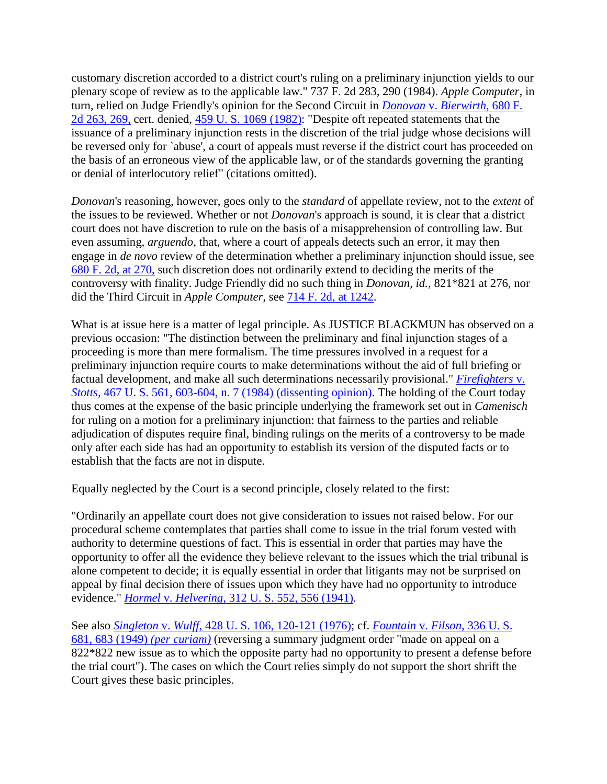customary discretion accorded to a district court's ruling on a preliminary injunction yields to our plenary scope of review as to the applicable law." 737 F. 2d 283, 290 (1984). *Apple Computer,* in turn, relied on Judge Friendly's opinion for the Second Circuit in *Donovan* v. *[Bierwirth,](http://scholar.google.co.in/scholar_case?case=7151406529895035583&q=Thornburgh+&hl=en&as_sdt=2002)* 680 F. [2d 263, 269,](http://scholar.google.co.in/scholar_case?case=7151406529895035583&q=Thornburgh+&hl=en&as_sdt=2002) cert. denied, [459 U. S. 1069 \(1982\):](http://scholar.google.co.in/scholar_case?about=12733504530646801410&q=Thornburgh+&hl=en&as_sdt=2002) "Despite oft repeated statements that the issuance of a preliminary injunction rests in the discretion of the trial judge whose decisions will be reversed only for `abuse', a court of appeals must reverse if the district court has proceeded on the basis of an erroneous view of the applicable law, or of the standards governing the granting or denial of interlocutory relief" (citations omitted).

*Donovan*'s reasoning, however, goes only to the *standard* of appellate review, not to the *extent* of the issues to be reviewed. Whether or not *Donovan*'s approach is sound, it is clear that a district court does not have discretion to rule on the basis of a misapprehension of controlling law. But even assuming, *arguendo,* that, where a court of appeals detects such an error, it may then engage in *de novo* review of the determination whether a preliminary injunction should issue, see [680 F. 2d, at 270,](http://scholar.google.co.in/scholar_case?case=7151406529895035583&q=Thornburgh+&hl=en&as_sdt=2002) such discretion does not ordinarily extend to deciding the merits of the controversy with finality. Judge Friendly did no such thing in *Donovan, id.,* 821\*821 at 276, nor did the Third Circuit in *Apple Computer,* see [714 F. 2d, at 1242.](http://scholar.google.co.in/scholar_case?case=10063204125696546680&q=Thornburgh+&hl=en&as_sdt=2002)

What is at issue here is a matter of legal principle. As JUSTICE BLACKMUN has observed on a previous occasion: "The distinction between the preliminary and final injunction stages of a proceeding is more than mere formalism. The time pressures involved in a request for a preliminary injunction require courts to make determinations without the aid of full briefing or factual development, and make all such determinations necessarily provisional." *[Firefighters](http://scholar.google.co.in/scholar_case?case=2193676005767426573&q=Thornburgh+&hl=en&as_sdt=2002)* v. *Stotts,* [467 U. S. 561, 603-604, n. 7 \(1984\) \(dissenting opinion\).](http://scholar.google.co.in/scholar_case?case=2193676005767426573&q=Thornburgh+&hl=en&as_sdt=2002) The holding of the Court today thus comes at the expense of the basic principle underlying the framework set out in *Camenisch* for ruling on a motion for a preliminary injunction: that fairness to the parties and reliable adjudication of disputes require final, binding rulings on the merits of a controversy to be made only after each side has had an opportunity to establish its version of the disputed facts or to establish that the facts are not in dispute.

Equally neglected by the Court is a second principle, closely related to the first:

"Ordinarily an appellate court does not give consideration to issues not raised below. For our procedural scheme contemplates that parties shall come to issue in the trial forum vested with authority to determine questions of fact. This is essential in order that parties may have the opportunity to offer all the evidence they believe relevant to the issues which the trial tribunal is alone competent to decide; it is equally essential in order that litigants may not be surprised on appeal by final decision there of issues upon which they have had no opportunity to introduce evidence." *Hormel* v. *Helvering,* [312 U. S. 552, 556 \(1941\).](http://scholar.google.co.in/scholar_case?case=5248665351713170582&q=Thornburgh+&hl=en&as_sdt=2002)

See also *Singleton* v. *Wulff,* [428 U. S. 106, 120-121 \(1976\);](http://scholar.google.co.in/scholar_case?case=16620691888255927253&q=Thornburgh+&hl=en&as_sdt=2002) cf. *Fountain* v. *Filson,* [336 U. S.](http://scholar.google.co.in/scholar_case?case=1472642697831384126&q=Thornburgh+&hl=en&as_sdt=2002)  [681, 683 \(1949\)](http://scholar.google.co.in/scholar_case?case=1472642697831384126&q=Thornburgh+&hl=en&as_sdt=2002) *(per curiam)* (reversing a summary judgment order "made on appeal on a 822\*822 new issue as to which the opposite party had no opportunity to present a defense before the trial court"). The cases on which the Court relies simply do not support the short shrift the Court gives these basic principles.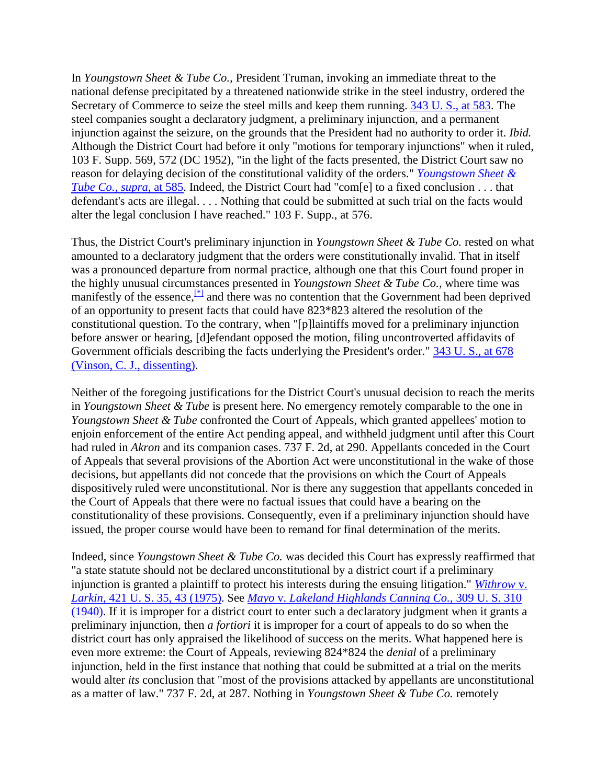In *Youngstown Sheet & Tube Co.,* President Truman, invoking an immediate threat to the national defense precipitated by a threatened nationwide strike in the steel industry, ordered the Secretary of Commerce to seize the steel mills and keep them running. [343 U. S., at 583.](http://scholar.google.co.in/scholar_case?case=14460863599772421355&q=Thornburgh+&hl=en&as_sdt=2002) The steel companies sought a declaratory judgment, a preliminary injunction, and a permanent injunction against the seizure, on the grounds that the President had no authority to order it. *Ibid.* Although the District Court had before it only "motions for temporary injunctions" when it ruled, 103 F. Supp. 569, 572 (DC 1952), "in the light of the facts presented, the District Court saw no reason for delaying decision of the constitutional validity of the orders." *[Youngstown Sheet &](http://scholar.google.co.in/scholar_case?case=14460863599772421355&q=Thornburgh+&hl=en&as_sdt=2002)  [Tube Co., supra,](http://scholar.google.co.in/scholar_case?case=14460863599772421355&q=Thornburgh+&hl=en&as_sdt=2002)* at 585. Indeed, the District Court had "com[e] to a fixed conclusion . . . that defendant's acts are illegal. . . . Nothing that could be submitted at such trial on the facts would alter the legal conclusion I have reached." 103 F. Supp., at 576.

Thus, the District Court's preliminary injunction in *Youngstown Sheet & Tube Co.* rested on what amounted to a declaratory judgment that the orders were constitutionally invalid. That in itself was a pronounced departure from normal practice, although one that this Court found proper in the highly unusual circumstances presented in *Youngstown Sheet & Tube Co.,* where time was manifestly of the essence, $\mathbb{R}$  and there was no contention that the Government had been deprived of an opportunity to present facts that could have 823\*823 altered the resolution of the constitutional question. To the contrary, when "[p]laintiffs moved for a preliminary injunction before answer or hearing, [d]efendant opposed the motion, filing uncontroverted affidavits of Government officials describing the facts underlying the President's order." [343 U. S., at 678](http://scholar.google.co.in/scholar_case?case=14460863599772421355&q=Thornburgh+&hl=en&as_sdt=2002)  [\(Vinson, C. J., dissenting\).](http://scholar.google.co.in/scholar_case?case=14460863599772421355&q=Thornburgh+&hl=en&as_sdt=2002)

Neither of the foregoing justifications for the District Court's unusual decision to reach the merits in *Youngstown Sheet & Tube* is present here. No emergency remotely comparable to the one in *Youngstown Sheet & Tube* confronted the Court of Appeals, which granted appellees' motion to enjoin enforcement of the entire Act pending appeal, and withheld judgment until after this Court had ruled in *Akron* and its companion cases. 737 F. 2d, at 290. Appellants conceded in the Court of Appeals that several provisions of the Abortion Act were unconstitutional in the wake of those decisions, but appellants did not concede that the provisions on which the Court of Appeals dispositively ruled were unconstitutional. Nor is there any suggestion that appellants conceded in the Court of Appeals that there were no factual issues that could have a bearing on the constitutionality of these provisions. Consequently, even if a preliminary injunction should have issued, the proper course would have been to remand for final determination of the merits.

Indeed, since *Youngstown Sheet & Tube Co.* was decided this Court has expressly reaffirmed that "a state statute should not be declared unconstitutional by a district court if a preliminary injunction is granted a plaintiff to protect his interests during the ensuing litigation." *[Withrow](http://scholar.google.co.in/scholar_case?case=750810052816860311&q=Thornburgh+&hl=en&as_sdt=2002)* v. *Larkin,* [421 U. S. 35, 43 \(1975\).](http://scholar.google.co.in/scholar_case?case=750810052816860311&q=Thornburgh+&hl=en&as_sdt=2002) See *Mayo* v. *[Lakeland Highlands Canning Co.,](http://scholar.google.co.in/scholar_case?case=1901201290671201045&q=Thornburgh+&hl=en&as_sdt=2002)* 309 U. S. 310 [\(1940\).](http://scholar.google.co.in/scholar_case?case=1901201290671201045&q=Thornburgh+&hl=en&as_sdt=2002) If it is improper for a district court to enter such a declaratory judgment when it grants a preliminary injunction, then *a fortiori* it is improper for a court of appeals to do so when the district court has only appraised the likelihood of success on the merits. What happened here is even more extreme: the Court of Appeals, reviewing 824\*824 the *denial* of a preliminary injunction, held in the first instance that nothing that could be submitted at a trial on the merits would alter *its* conclusion that "most of the provisions attacked by appellants are unconstitutional as a matter of law." 737 F. 2d, at 287. Nothing in *Youngstown Sheet & Tube Co.* remotely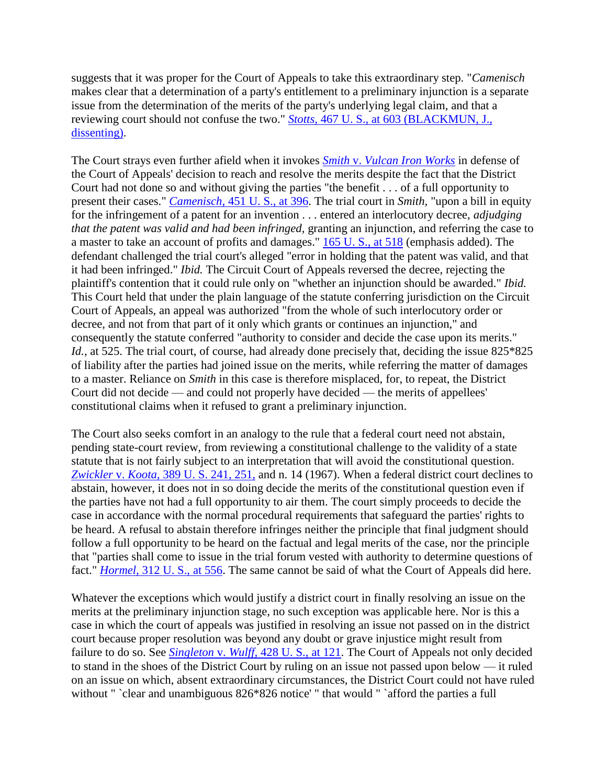suggests that it was proper for the Court of Appeals to take this extraordinary step. "*Camenisch* makes clear that a determination of a party's entitlement to a preliminary injunction is a separate issue from the determination of the merits of the party's underlying legal claim, and that a reviewing court should not confuse the two." *Stotts,* [467 U. S., at 603 \(BLACKMUN, J.,](http://scholar.google.co.in/scholar_case?case=2193676005767426573&q=Thornburgh+&hl=en&as_sdt=2002)  [dissenting\).](http://scholar.google.co.in/scholar_case?case=2193676005767426573&q=Thornburgh+&hl=en&as_sdt=2002)

The Court strays even further afield when it invokes *Smith* v. *[Vulcan Iron Works](http://scholar.google.co.in/scholar_case?case=18081867056874883140&q=Thornburgh+&hl=en&as_sdt=2002)* in defense of the Court of Appeals' decision to reach and resolve the merits despite the fact that the District Court had not done so and without giving the parties "the benefit . . . of a full opportunity to present their cases." *Camenisch,* [451 U. S., at 396.](http://scholar.google.co.in/scholar_case?case=13807488466147767233&q=Thornburgh+&hl=en&as_sdt=2002) The trial court in *Smith,* "upon a bill in equity for the infringement of a patent for an invention . . . entered an interlocutory decree, *adjudging that the patent was valid and had been infringed,* granting an injunction, and referring the case to a master to take an account of profits and damages." [165 U. S., at 518](http://scholar.google.co.in/scholar_case?case=18081867056874883140&q=Thornburgh+&hl=en&as_sdt=2002) (emphasis added). The defendant challenged the trial court's alleged "error in holding that the patent was valid, and that it had been infringed." *Ibid.* The Circuit Court of Appeals reversed the decree, rejecting the plaintiff's contention that it could rule only on "whether an injunction should be awarded." *Ibid.* This Court held that under the plain language of the statute conferring jurisdiction on the Circuit Court of Appeals, an appeal was authorized "from the whole of such interlocutory order or decree, and not from that part of it only which grants or continues an injunction," and consequently the statute conferred "authority to consider and decide the case upon its merits." *Id.*, at 525. The trial court, of course, had already done precisely that, deciding the issue 825\*825 of liability after the parties had joined issue on the merits, while referring the matter of damages to a master. Reliance on *Smith* in this case is therefore misplaced, for, to repeat, the District Court did not decide — and could not properly have decided — the merits of appellees' constitutional claims when it refused to grant a preliminary injunction.

The Court also seeks comfort in an analogy to the rule that a federal court need not abstain, pending state-court review, from reviewing a constitutional challenge to the validity of a state statute that is not fairly subject to an interpretation that will avoid the constitutional question. *Zwickler* v. *Koota,* [389 U. S. 241, 251,](http://scholar.google.co.in/scholar_case?case=16612557990331007585&q=Thornburgh+&hl=en&as_sdt=2002) and n. 14 (1967). When a federal district court declines to abstain, however, it does not in so doing decide the merits of the constitutional question even if the parties have not had a full opportunity to air them. The court simply proceeds to decide the case in accordance with the normal procedural requirements that safeguard the parties' rights to be heard. A refusal to abstain therefore infringes neither the principle that final judgment should follow a full opportunity to be heard on the factual and legal merits of the case, nor the principle that "parties shall come to issue in the trial forum vested with authority to determine questions of fact." *Hormel*, [312 U. S., at 556.](http://scholar.google.co.in/scholar_case?case=5248665351713170582&q=Thornburgh+&hl=en&as_sdt=2002) The same cannot be said of what the Court of Appeals did here.

Whatever the exceptions which would justify a district court in finally resolving an issue on the merits at the preliminary injunction stage, no such exception was applicable here. Nor is this a case in which the court of appeals was justified in resolving an issue not passed on in the district court because proper resolution was beyond any doubt or grave injustice might result from failure to do so. See *Singleton* v. *Wulff,* [428 U. S., at 121.](http://scholar.google.co.in/scholar_case?case=16620691888255927253&q=Thornburgh+&hl=en&as_sdt=2002) The Court of Appeals not only decided to stand in the shoes of the District Court by ruling on an issue not passed upon below — it ruled on an issue on which, absent extraordinary circumstances, the District Court could not have ruled without " `clear and unambiguous  $826*826$  notice' " that would " `afford the parties a full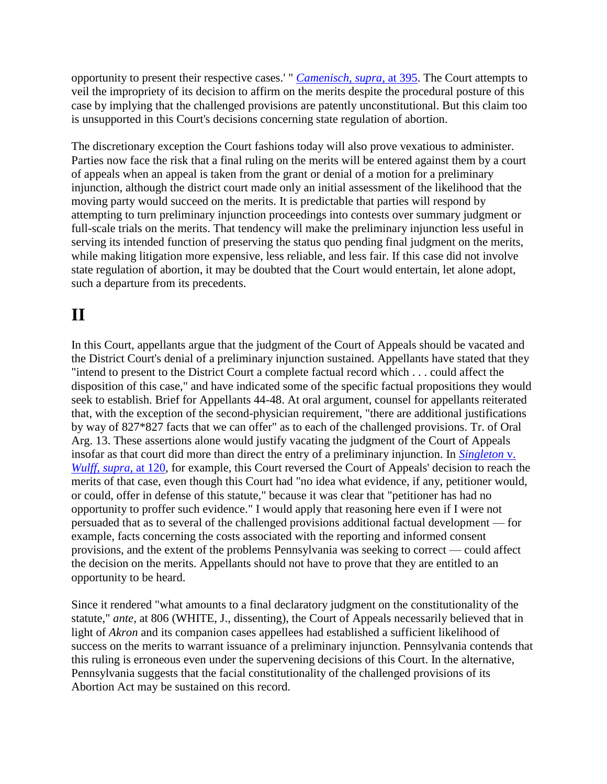opportunity to present their respective cases.' " *[Camenisch, supra,](http://scholar.google.co.in/scholar_case?case=13807488466147767233&q=Thornburgh+&hl=en&as_sdt=2002)* at 395. The Court attempts to veil the impropriety of its decision to affirm on the merits despite the procedural posture of this case by implying that the challenged provisions are patently unconstitutional. But this claim too is unsupported in this Court's decisions concerning state regulation of abortion.

The discretionary exception the Court fashions today will also prove vexatious to administer. Parties now face the risk that a final ruling on the merits will be entered against them by a court of appeals when an appeal is taken from the grant or denial of a motion for a preliminary injunction, although the district court made only an initial assessment of the likelihood that the moving party would succeed on the merits. It is predictable that parties will respond by attempting to turn preliminary injunction proceedings into contests over summary judgment or full-scale trials on the merits. That tendency will make the preliminary injunction less useful in serving its intended function of preserving the status quo pending final judgment on the merits, while making litigation more expensive, less reliable, and less fair. If this case did not involve state regulation of abortion, it may be doubted that the Court would entertain, let alone adopt, such a departure from its precedents.

# **II**

In this Court, appellants argue that the judgment of the Court of Appeals should be vacated and the District Court's denial of a preliminary injunction sustained. Appellants have stated that they "intend to present to the District Court a complete factual record which . . . could affect the disposition of this case," and have indicated some of the specific factual propositions they would seek to establish. Brief for Appellants 44-48. At oral argument, counsel for appellants reiterated that, with the exception of the second-physician requirement, "there are additional justifications by way of 827\*827 facts that we can offer" as to each of the challenged provisions. Tr. of Oral Arg. 13. These assertions alone would justify vacating the judgment of the Court of Appeals insofar as that court did more than direct the entry of a preliminary injunction. In *[Singleton](http://scholar.google.co.in/scholar_case?case=16620691888255927253&q=Thornburgh+&hl=en&as_sdt=2002)* v. *[Wulff, supra,](http://scholar.google.co.in/scholar_case?case=16620691888255927253&q=Thornburgh+&hl=en&as_sdt=2002)* at 120, for example, this Court reversed the Court of Appeals' decision to reach the merits of that case, even though this Court had "no idea what evidence, if any, petitioner would, or could, offer in defense of this statute," because it was clear that "petitioner has had no opportunity to proffer such evidence." I would apply that reasoning here even if I were not persuaded that as to several of the challenged provisions additional factual development — for example, facts concerning the costs associated with the reporting and informed consent provisions, and the extent of the problems Pennsylvania was seeking to correct — could affect the decision on the merits. Appellants should not have to prove that they are entitled to an opportunity to be heard.

Since it rendered "what amounts to a final declaratory judgment on the constitutionality of the statute," *ante,* at 806 (WHITE, J., dissenting), the Court of Appeals necessarily believed that in light of *Akron* and its companion cases appellees had established a sufficient likelihood of success on the merits to warrant issuance of a preliminary injunction. Pennsylvania contends that this ruling is erroneous even under the supervening decisions of this Court. In the alternative, Pennsylvania suggests that the facial constitutionality of the challenged provisions of its Abortion Act may be sustained on this record.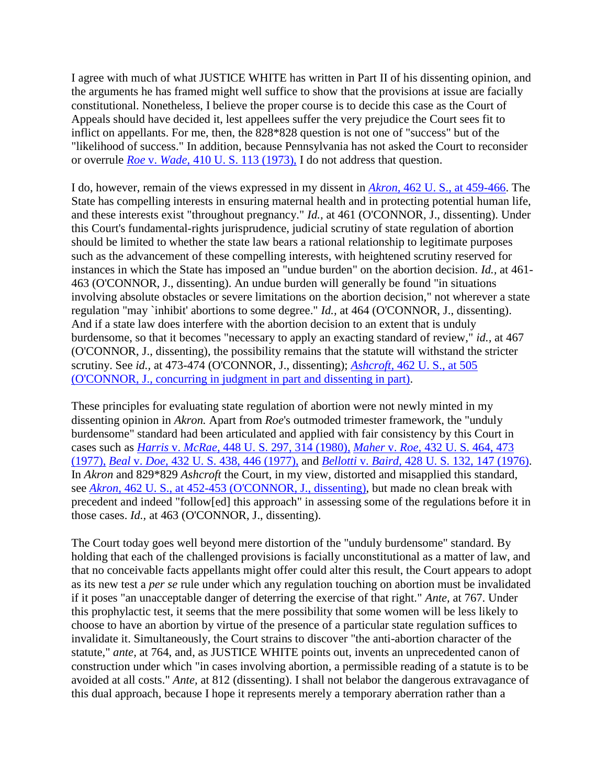I agree with much of what JUSTICE WHITE has written in Part II of his dissenting opinion, and the arguments he has framed might well suffice to show that the provisions at issue are facially constitutional. Nonetheless, I believe the proper course is to decide this case as the Court of Appeals should have decided it, lest appellees suffer the very prejudice the Court sees fit to inflict on appellants. For me, then, the 828\*828 question is not one of "success" but of the "likelihood of success." In addition, because Pennsylvania has not asked the Court to reconsider or overrule *Roe* v. *Wade,* [410 U. S. 113 \(1973\),](http://scholar.google.co.in/scholar_case?case=12334123945835207673&q=Thornburgh+&hl=en&as_sdt=2002) I do not address that question.

I do, however, remain of the views expressed in my dissent in *Akron,* [462 U. S., at 459-466.](http://scholar.google.co.in/scholar_case?case=7944230995323582140&q=Thornburgh+&hl=en&as_sdt=2002) The State has compelling interests in ensuring maternal health and in protecting potential human life, and these interests exist "throughout pregnancy." *Id.,* at 461 (O'CONNOR, J., dissenting). Under this Court's fundamental-rights jurisprudence, judicial scrutiny of state regulation of abortion should be limited to whether the state law bears a rational relationship to legitimate purposes such as the advancement of these compelling interests, with heightened scrutiny reserved for instances in which the State has imposed an "undue burden" on the abortion decision. *Id.,* at 461- 463 (O'CONNOR, J., dissenting). An undue burden will generally be found "in situations involving absolute obstacles or severe limitations on the abortion decision," not wherever a state regulation "may `inhibit' abortions to some degree." *Id.,* at 464 (O'CONNOR, J., dissenting). And if a state law does interfere with the abortion decision to an extent that is unduly burdensome, so that it becomes "necessary to apply an exacting standard of review," *id.,* at 467 (O'CONNOR, J., dissenting), the possibility remains that the statute will withstand the stricter scrutiny. See *id.,* at 473-474 (O'CONNOR, J., dissenting); *Ashcroft,* [462 U. S., at 505](http://scholar.google.co.in/scholar_case?case=16358226321487983194&q=Thornburgh+&hl=en&as_sdt=2002)  [\(O'CONNOR, J., concurring in judgment in part and dissenting in part\).](http://scholar.google.co.in/scholar_case?case=16358226321487983194&q=Thornburgh+&hl=en&as_sdt=2002)

These principles for evaluating state regulation of abortion were not newly minted in my dissenting opinion in *Akron.* Apart from *Roe*'s outmoded trimester framework, the "unduly burdensome" standard had been articulated and applied with fair consistency by this Court in cases such as *Harris* v. *McRae,* [448 U. S. 297, 314 \(1980\),](http://scholar.google.co.in/scholar_case?case=8833310949486291357&q=Thornburgh+&hl=en&as_sdt=2002) *Maher* v. *Roe,* [432 U. S. 464, 473](http://scholar.google.co.in/scholar_case?case=10803349459097846233&q=Thornburgh+&hl=en&as_sdt=2002)  [\(1977\),](http://scholar.google.co.in/scholar_case?case=10803349459097846233&q=Thornburgh+&hl=en&as_sdt=2002) *Beal* v. *Doe,* [432 U. S. 438, 446 \(1977\),](http://scholar.google.co.in/scholar_case?case=4067161982742187409&q=Thornburgh+&hl=en&as_sdt=2002) and *Bellotti* v. *Baird,* [428 U. S. 132, 147 \(1976\).](http://scholar.google.co.in/scholar_case?case=13318947486987437593&q=Thornburgh+&hl=en&as_sdt=2002) In *Akron* and 829\*829 *Ashcroft* the Court, in my view, distorted and misapplied this standard, see *Akron,* [462 U. S., at 452-453 \(O'CONNOR, J., dissenting\),](http://scholar.google.co.in/scholar_case?case=7944230995323582140&q=Thornburgh+&hl=en&as_sdt=2002) but made no clean break with precedent and indeed "follow[ed] this approach" in assessing some of the regulations before it in those cases. *Id.,* at 463 (O'CONNOR, J., dissenting).

The Court today goes well beyond mere distortion of the "unduly burdensome" standard. By holding that each of the challenged provisions is facially unconstitutional as a matter of law, and that no conceivable facts appellants might offer could alter this result, the Court appears to adopt as its new test a *per se* rule under which any regulation touching on abortion must be invalidated if it poses "an unacceptable danger of deterring the exercise of that right." *Ante,* at 767. Under this prophylactic test, it seems that the mere possibility that some women will be less likely to choose to have an abortion by virtue of the presence of a particular state regulation suffices to invalidate it. Simultaneously, the Court strains to discover "the anti-abortion character of the statute," *ante,* at 764, and, as JUSTICE WHITE points out, invents an unprecedented canon of construction under which "in cases involving abortion, a permissible reading of a statute is to be avoided at all costs." *Ante,* at 812 (dissenting). I shall not belabor the dangerous extravagance of this dual approach, because I hope it represents merely a temporary aberration rather than a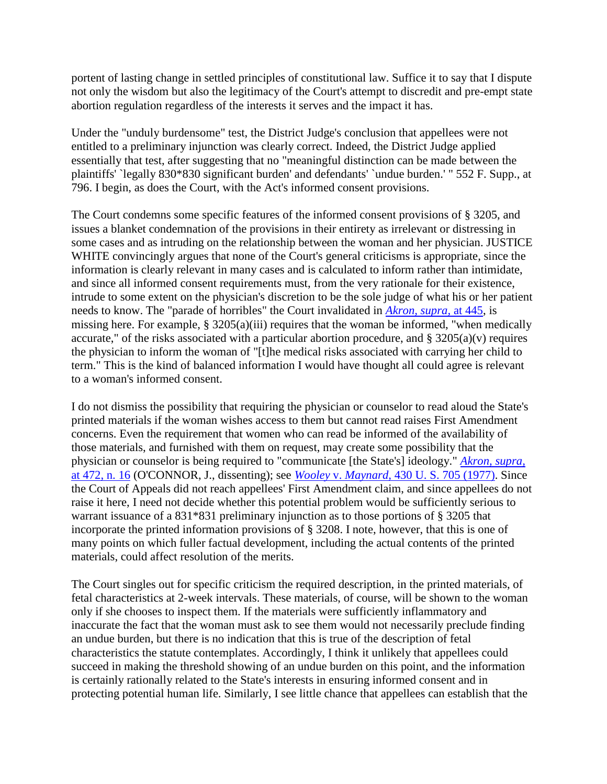portent of lasting change in settled principles of constitutional law. Suffice it to say that I dispute not only the wisdom but also the legitimacy of the Court's attempt to discredit and pre-empt state abortion regulation regardless of the interests it serves and the impact it has.

Under the "unduly burdensome" test, the District Judge's conclusion that appellees were not entitled to a preliminary injunction was clearly correct. Indeed, the District Judge applied essentially that test, after suggesting that no "meaningful distinction can be made between the plaintiffs' `legally 830\*830 significant burden' and defendants' `undue burden.' " 552 F. Supp., at 796. I begin, as does the Court, with the Act's informed consent provisions.

The Court condemns some specific features of the informed consent provisions of § 3205, and issues a blanket condemnation of the provisions in their entirety as irrelevant or distressing in some cases and as intruding on the relationship between the woman and her physician. JUSTICE WHITE convincingly argues that none of the Court's general criticisms is appropriate, since the information is clearly relevant in many cases and is calculated to inform rather than intimidate, and since all informed consent requirements must, from the very rationale for their existence, intrude to some extent on the physician's discretion to be the sole judge of what his or her patient needs to know. The "parade of horribles" the Court invalidated in *[Akron, supra,](http://scholar.google.co.in/scholar_case?case=7944230995323582140&q=Thornburgh+&hl=en&as_sdt=2002)* at 445, is missing here. For example, § 3205(a)(iii) requires that the woman be informed, "when medically accurate," of the risks associated with a particular abortion procedure, and  $\S$  3205(a)(v) requires the physician to inform the woman of "[t]he medical risks associated with carrying her child to term." This is the kind of balanced information I would have thought all could agree is relevant to a woman's informed consent.

I do not dismiss the possibility that requiring the physician or counselor to read aloud the State's printed materials if the woman wishes access to them but cannot read raises First Amendment concerns. Even the requirement that women who can read be informed of the availability of those materials, and furnished with them on request, may create some possibility that the physician or counselor is being required to "communicate [the State's] ideology." *[Akron, supra,](http://scholar.google.co.in/scholar_case?case=7944230995323582140&q=Thornburgh+&hl=en&as_sdt=2002)* [at 472, n. 16](http://scholar.google.co.in/scholar_case?case=7944230995323582140&q=Thornburgh+&hl=en&as_sdt=2002) (O'CONNOR, J., dissenting); see *Wooley* v. *Maynard,* [430 U. S. 705 \(1977\).](http://scholar.google.co.in/scholar_case?case=15210508422263730617&q=Thornburgh+&hl=en&as_sdt=2002) Since the Court of Appeals did not reach appellees' First Amendment claim, and since appellees do not raise it here, I need not decide whether this potential problem would be sufficiently serious to warrant issuance of a 831\*831 preliminary injunction as to those portions of § 3205 that incorporate the printed information provisions of § 3208. I note, however, that this is one of many points on which fuller factual development, including the actual contents of the printed materials, could affect resolution of the merits.

The Court singles out for specific criticism the required description, in the printed materials, of fetal characteristics at 2-week intervals. These materials, of course, will be shown to the woman only if she chooses to inspect them. If the materials were sufficiently inflammatory and inaccurate the fact that the woman must ask to see them would not necessarily preclude finding an undue burden, but there is no indication that this is true of the description of fetal characteristics the statute contemplates. Accordingly, I think it unlikely that appellees could succeed in making the threshold showing of an undue burden on this point, and the information is certainly rationally related to the State's interests in ensuring informed consent and in protecting potential human life. Similarly, I see little chance that appellees can establish that the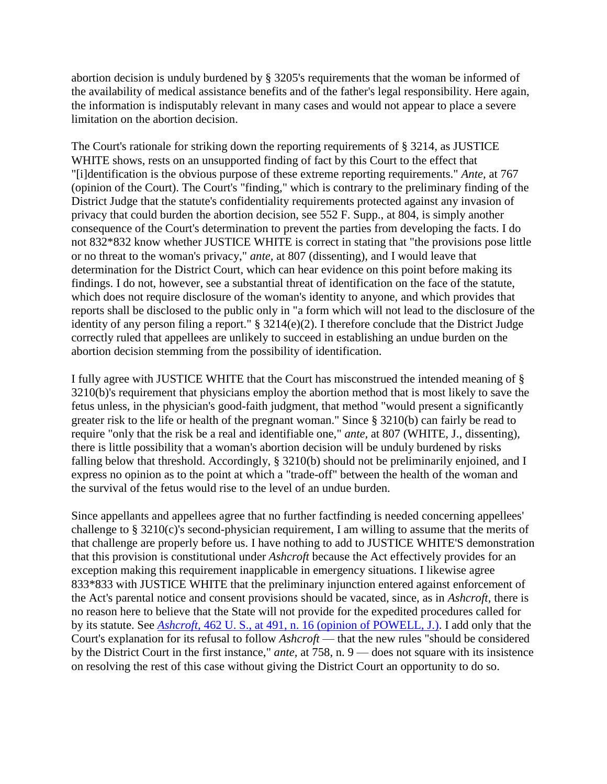abortion decision is unduly burdened by § 3205's requirements that the woman be informed of the availability of medical assistance benefits and of the father's legal responsibility. Here again, the information is indisputably relevant in many cases and would not appear to place a severe limitation on the abortion decision.

The Court's rationale for striking down the reporting requirements of § 3214, as JUSTICE WHITE shows, rests on an unsupported finding of fact by this Court to the effect that "[i]dentification is the obvious purpose of these extreme reporting requirements." *Ante,* at 767 (opinion of the Court). The Court's "finding," which is contrary to the preliminary finding of the District Judge that the statute's confidentiality requirements protected against any invasion of privacy that could burden the abortion decision, see 552 F. Supp., at 804, is simply another consequence of the Court's determination to prevent the parties from developing the facts. I do not 832\*832 know whether JUSTICE WHITE is correct in stating that "the provisions pose little or no threat to the woman's privacy," *ante,* at 807 (dissenting), and I would leave that determination for the District Court, which can hear evidence on this point before making its findings. I do not, however, see a substantial threat of identification on the face of the statute, which does not require disclosure of the woman's identity to anyone, and which provides that reports shall be disclosed to the public only in "a form which will not lead to the disclosure of the identity of any person filing a report." § 3214(e)(2). I therefore conclude that the District Judge correctly ruled that appellees are unlikely to succeed in establishing an undue burden on the abortion decision stemming from the possibility of identification.

I fully agree with JUSTICE WHITE that the Court has misconstrued the intended meaning of § 3210(b)'s requirement that physicians employ the abortion method that is most likely to save the fetus unless, in the physician's good-faith judgment, that method "would present a significantly greater risk to the life or health of the pregnant woman." Since § 3210(b) can fairly be read to require "only that the risk be a real and identifiable one," *ante,* at 807 (WHITE, J., dissenting), there is little possibility that a woman's abortion decision will be unduly burdened by risks falling below that threshold. Accordingly, § 3210(b) should not be preliminarily enjoined, and I express no opinion as to the point at which a "trade-off" between the health of the woman and the survival of the fetus would rise to the level of an undue burden.

Since appellants and appellees agree that no further factfinding is needed concerning appellees' challenge to § 3210(c)'s second-physician requirement, I am willing to assume that the merits of that challenge are properly before us. I have nothing to add to JUSTICE WHITE'S demonstration that this provision is constitutional under *Ashcroft* because the Act effectively provides for an exception making this requirement inapplicable in emergency situations. I likewise agree 833\*833 with JUSTICE WHITE that the preliminary injunction entered against enforcement of the Act's parental notice and consent provisions should be vacated, since, as in *Ashcroft,* there is no reason here to believe that the State will not provide for the expedited procedures called for by its statute. See *Ashcroft,* [462 U. S., at 491, n. 16 \(opinion of POWELL, J.\).](http://scholar.google.co.in/scholar_case?case=16358226321487983194&q=Thornburgh+&hl=en&as_sdt=2002) I add only that the Court's explanation for its refusal to follow *Ashcroft* — that the new rules "should be considered by the District Court in the first instance," *ante,* at 758, n. 9 — does not square with its insistence on resolving the rest of this case without giving the District Court an opportunity to do so.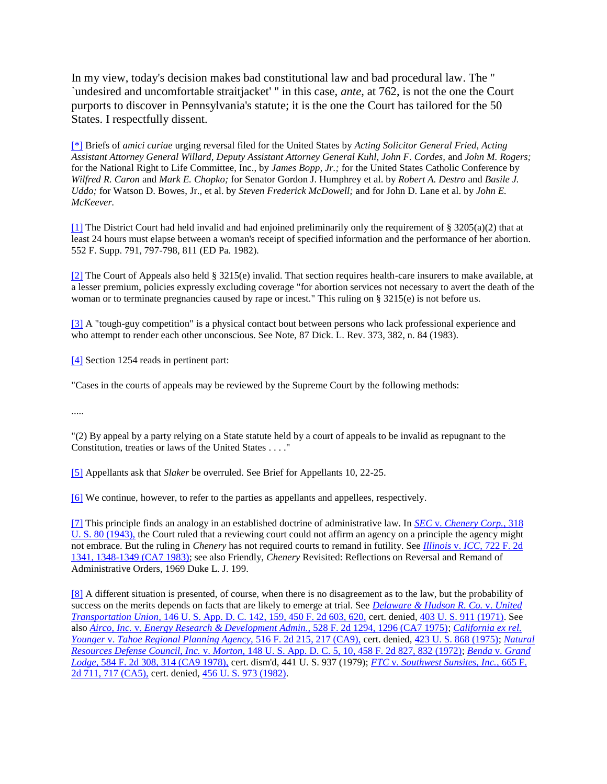In my view, today's decision makes bad constitutional law and bad procedural law. The " `undesired and uncomfortable straitjacket' " in this case, *ante,* at 762, is not the one the Court purports to discover in Pennsylvania's statute; it is the one the Court has tailored for the 50 States. I respectfully dissent.

[\[\\*\]](http://scholar.google.co.in/scholar_case?case=3420134328076928385&q=Thornburgh+&hl=en&as_sdt=2002#r[1]) Briefs of *amici curiae* urging reversal filed for the United States by *Acting Solicitor General Fried, Acting Assistant Attorney General Willard, Deputy Assistant Attorney General Kuhl, John F. Cordes,* and *John M. Rogers;* for the National Right to Life Committee, Inc., by *James Bopp, Jr.;* for the United States Catholic Conference by *Wilfred R. Caron* and *Mark E. Chopko;* for Senator Gordon J. Humphrey et al. by *Robert A. Destro* and *Basile J. Uddo;* for Watson D. Bowes, Jr., et al. by *Steven Frederick McDowell;* and for John D. Lane et al. by *John E. McKeever.*

[\[1\]](http://scholar.google.co.in/scholar_case?case=3420134328076928385&q=Thornburgh+&hl=en&as_sdt=2002#r[2]) The District Court had held invalid and had enjoined preliminarily only the requirement of § 3205(a)(2) that at least 24 hours must elapse between a woman's receipt of specified information and the performance of her abortion. 552 F. Supp. 791, 797-798, 811 (ED Pa. 1982).

[\[2\]](http://scholar.google.co.in/scholar_case?case=3420134328076928385&q=Thornburgh+&hl=en&as_sdt=2002#r[3]) The Court of Appeals also held § 3215(e) invalid. That section requires health-care insurers to make available, at a lesser premium, policies expressly excluding coverage "for abortion services not necessary to avert the death of the woman or to terminate pregnancies caused by rape or incest." This ruling on § 3215(e) is not before us.

[\[3\]](http://scholar.google.co.in/scholar_case?case=3420134328076928385&q=Thornburgh+&hl=en&as_sdt=2002#r[4]) A "tough-guy competition" is a physical contact bout between persons who lack professional experience and who attempt to render each other unconscious. See Note, 87 Dick. L. Rev. 373, 382, n. 84 (1983).

[\[4\]](http://scholar.google.co.in/scholar_case?case=3420134328076928385&q=Thornburgh+&hl=en&as_sdt=2002#r[5]) Section 1254 reads in pertinent part:

"Cases in the courts of appeals may be reviewed by the Supreme Court by the following methods:

.....

"(2) By appeal by a party relying on a State statute held by a court of appeals to be invalid as repugnant to the Constitution, treaties or laws of the United States . . . ."

[\[5\]](http://scholar.google.co.in/scholar_case?case=3420134328076928385&q=Thornburgh+&hl=en&as_sdt=2002#r[6]) Appellants ask that *Slaker* be overruled. See Brief for Appellants 10, 22-25.

[\[6\]](http://scholar.google.co.in/scholar_case?case=3420134328076928385&q=Thornburgh+&hl=en&as_sdt=2002#r[7]) We continue, however, to refer to the parties as appellants and appellees, respectively.

[\[7\]](http://scholar.google.co.in/scholar_case?case=3420134328076928385&q=Thornburgh+&hl=en&as_sdt=2002#r[8]) This principle finds an analogy in an established doctrine of administrative law. In *SEC* v. *[Chenery Corp.,](http://scholar.google.co.in/scholar_case?case=13958705648990815796&q=Thornburgh+&hl=en&as_sdt=2002)* 318 [U. S. 80 \(1943\),](http://scholar.google.co.in/scholar_case?case=13958705648990815796&q=Thornburgh+&hl=en&as_sdt=2002) the Court ruled that a reviewing court could not affirm an agency on a principle the agency might not embrace. But the ruling in *Chenery* has not required courts to remand in futility. See *Illinois* v. *ICC,* [722 F. 2d](http://scholar.google.co.in/scholar_case?case=13901591368093210956&q=Thornburgh+&hl=en&as_sdt=2002)  [1341, 1348-1349 \(CA7 1983\);](http://scholar.google.co.in/scholar_case?case=13901591368093210956&q=Thornburgh+&hl=en&as_sdt=2002) see also Friendly, *Chenery* Revisited: Reflections on Reversal and Remand of Administrative Orders, 1969 Duke L. J. 199.

[\[8\]](http://scholar.google.co.in/scholar_case?case=3420134328076928385&q=Thornburgh+&hl=en&as_sdt=2002#r[9]) A different situation is presented, of course, when there is no disagreement as to the law, but the probability of success on the merits depends on facts that are likely to emerge at trial. See *[Delaware & Hudson R. Co.](http://scholar.google.co.in/scholar_case?case=13930475530592708464&q=Thornburgh+&hl=en&as_sdt=2002)* v. *United Transportation Union,* [146 U. S. App. D. C. 142, 159, 450 F. 2d 603, 620,](http://scholar.google.co.in/scholar_case?case=13930475530592708464&q=Thornburgh+&hl=en&as_sdt=2002) cert. denied[, 403 U. S. 911 \(1971\).](http://scholar.google.co.in/scholar_case?about=12183924528424656653&q=Thornburgh+&hl=en&as_sdt=2002) See also *Airco, Inc.* v. *[Energy Research & Development Admin.,](http://scholar.google.co.in/scholar_case?case=13816772456150414285&q=Thornburgh+&hl=en&as_sdt=2002)* 528 F. 2d 1294, 1296 (CA7 1975); *[California ex rel.](http://scholar.google.co.in/scholar_case?case=7568544152223747660&q=Thornburgh+&hl=en&as_sdt=2002)  Younger* v. *[Tahoe Regional Planning Agency,](http://scholar.google.co.in/scholar_case?case=7568544152223747660&q=Thornburgh+&hl=en&as_sdt=2002)* 516 F. 2d 215, 217 (CA9), cert. denied, [423 U. S. 868 \(1975\);](http://scholar.google.co.in/scholar_case?about=4587871736695009566&q=Thornburgh+&hl=en&as_sdt=2002) *[Natural](http://scholar.google.co.in/scholar_case?case=177421862149898073&q=Thornburgh+&hl=en&as_sdt=2002)  Resources Defense Council, Inc.* v. *Morton,* [148 U. S. App. D. C. 5, 10, 458 F. 2d 827, 832 \(1972\);](http://scholar.google.co.in/scholar_case?case=177421862149898073&q=Thornburgh+&hl=en&as_sdt=2002) *Benda* v. *[Grand](http://scholar.google.co.in/scholar_case?case=971321620386190115&q=Thornburgh+&hl=en&as_sdt=2002)  Lodge,* [584 F. 2d 308, 314 \(CA9 1978\),](http://scholar.google.co.in/scholar_case?case=971321620386190115&q=Thornburgh+&hl=en&as_sdt=2002) cert. dism'd, 441 U. S. 937 (1979); *FTC* v. *[Southwest Sunsites, Inc.,](http://scholar.google.co.in/scholar_case?case=13635303218568183397&q=Thornburgh+&hl=en&as_sdt=2002)* 665 F. [2d 711, 717 \(CA5\),](http://scholar.google.co.in/scholar_case?case=13635303218568183397&q=Thornburgh+&hl=en&as_sdt=2002) cert. denied, [456 U. S. 973 \(1982\).](http://scholar.google.co.in/scholar_case?about=8116631196472331810&q=Thornburgh+&hl=en&as_sdt=2002)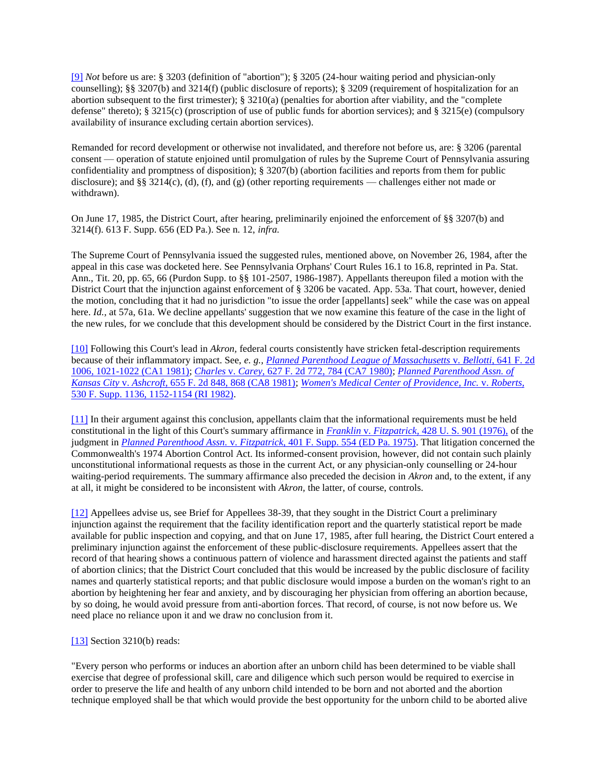[\[9\]](http://scholar.google.co.in/scholar_case?case=3420134328076928385&q=Thornburgh+&hl=en&as_sdt=2002#r[10]) *Not* before us are: § 3203 (definition of "abortion"); § 3205 (24-hour waiting period and physician-only counselling); §§ 3207(b) and 3214(f) (public disclosure of reports); § 3209 (requirement of hospitalization for an abortion subsequent to the first trimester); § 3210(a) (penalties for abortion after viability, and the "complete defense" thereto); § 3215(c) (proscription of use of public funds for abortion services); and § 3215(e) (compulsory availability of insurance excluding certain abortion services).

Remanded for record development or otherwise not invalidated, and therefore not before us, are: § 3206 (parental consent — operation of statute enjoined until promulgation of rules by the Supreme Court of Pennsylvania assuring confidentiality and promptness of disposition); § 3207(b) (abortion facilities and reports from them for public disclosure); and §§ 3214(c), (d), (f), and (g) (other reporting requirements — challenges either not made or withdrawn).

On June 17, 1985, the District Court, after hearing, preliminarily enjoined the enforcement of §§ 3207(b) and 3214(f). 613 F. Supp. 656 (ED Pa.). See n. 12, *infra.*

The Supreme Court of Pennsylvania issued the suggested rules, mentioned above, on November 26, 1984, after the appeal in this case was docketed here. See Pennsylvania Orphans' Court Rules 16.1 to 16.8, reprinted in Pa. Stat. Ann., Tit. 20, pp. 65, 66 (Purdon Supp. to §§ 101-2507, 1986-1987). Appellants thereupon filed a motion with the District Court that the injunction against enforcement of § 3206 be vacated. App. 53a. That court, however, denied the motion, concluding that it had no jurisdiction "to issue the order [appellants] seek" while the case was on appeal here. *Id.,* at 57a, 61a. We decline appellants' suggestion that we now examine this feature of the case in the light of the new rules, for we conclude that this development should be considered by the District Court in the first instance.

[\[10\]](http://scholar.google.co.in/scholar_case?case=3420134328076928385&q=Thornburgh+&hl=en&as_sdt=2002#r[11]) Following this Court's lead in *Akron,* federal courts consistently have stricken fetal-description requirements because of their inflammatory impact. See, *e. g., [Planned Parenthood League of Massachusetts](http://scholar.google.co.in/scholar_case?case=2060075074407741630&q=Thornburgh+&hl=en&as_sdt=2002)* v. *Bellotti,* 641 F. 2d [1006, 1021-1022 \(CA1 1981\);](http://scholar.google.co.in/scholar_case?case=2060075074407741630&q=Thornburgh+&hl=en&as_sdt=2002) *Charles* v. *Carey,* [627 F. 2d 772, 784 \(CA7 1980\);](http://scholar.google.co.in/scholar_case?case=16764603548072895558&q=Thornburgh+&hl=en&as_sdt=2002) *[Planned Parenthood Assn. of](http://scholar.google.co.in/scholar_case?case=8557842560228641660&q=Thornburgh+&hl=en&as_sdt=2002)  Kansas City* v. *Ashcroft,* [655 F. 2d 848, 868 \(CA8 1981\);](http://scholar.google.co.in/scholar_case?case=8557842560228641660&q=Thornburgh+&hl=en&as_sdt=2002) *[Women's Medical Center of Providence, Inc.](http://scholar.google.co.in/scholar_case?case=14933236904160608405&q=Thornburgh+&hl=en&as_sdt=2002)* v. *Roberts,* [530 F. Supp. 1136, 1152-1154 \(RI 1982\).](http://scholar.google.co.in/scholar_case?case=14933236904160608405&q=Thornburgh+&hl=en&as_sdt=2002)

[\[11\]](http://scholar.google.co.in/scholar_case?case=3420134328076928385&q=Thornburgh+&hl=en&as_sdt=2002#r[12]) In their argument against this conclusion, appellants claim that the informational requirements must be held constitutional in the light of this Court's summary affirmance in *Franklin* v. *Fitzpatrick,* [428 U. S. 901 \(1976\),](http://scholar.google.co.in/scholar_case?about=16443488148709823914&q=Thornburgh+&hl=en&as_sdt=2002) of the judgment in *Planned Parenthood Assn.* v. *Fitzpatrick,* [401 F. Supp. 554 \(ED Pa. 1975\).](http://scholar.google.co.in/scholar_case?case=6950046772720039157&q=Thornburgh+&hl=en&as_sdt=2002) That litigation concerned the Commonwealth's 1974 Abortion Control Act. Its informed-consent provision, however, did not contain such plainly unconstitutional informational requests as those in the current Act, or any physician-only counselling or 24-hour waiting-period requirements. The summary affirmance also preceded the decision in *Akron* and, to the extent, if any at all, it might be considered to be inconsistent with *Akron,* the latter, of course, controls.

[\[12\]](http://scholar.google.co.in/scholar_case?case=3420134328076928385&q=Thornburgh+&hl=en&as_sdt=2002#r[13]) Appellees advise us, see Brief for Appellees 38-39, that they sought in the District Court a preliminary injunction against the requirement that the facility identification report and the quarterly statistical report be made available for public inspection and copying, and that on June 17, 1985, after full hearing, the District Court entered a preliminary injunction against the enforcement of these public-disclosure requirements. Appellees assert that the record of that hearing shows a continuous pattern of violence and harassment directed against the patients and staff of abortion clinics; that the District Court concluded that this would be increased by the public disclosure of facility names and quarterly statistical reports; and that public disclosure would impose a burden on the woman's right to an abortion by heightening her fear and anxiety, and by discouraging her physician from offering an abortion because, by so doing, he would avoid pressure from anti-abortion forces. That record, of course, is not now before us. We need place no reliance upon it and we draw no conclusion from it.

[\[13\]](http://scholar.google.co.in/scholar_case?case=3420134328076928385&q=Thornburgh+&hl=en&as_sdt=2002#r[14]) Section 3210(b) reads:

"Every person who performs or induces an abortion after an unborn child has been determined to be viable shall exercise that degree of professional skill, care and diligence which such person would be required to exercise in order to preserve the life and health of any unborn child intended to be born and not aborted and the abortion technique employed shall be that which would provide the best opportunity for the unborn child to be aborted alive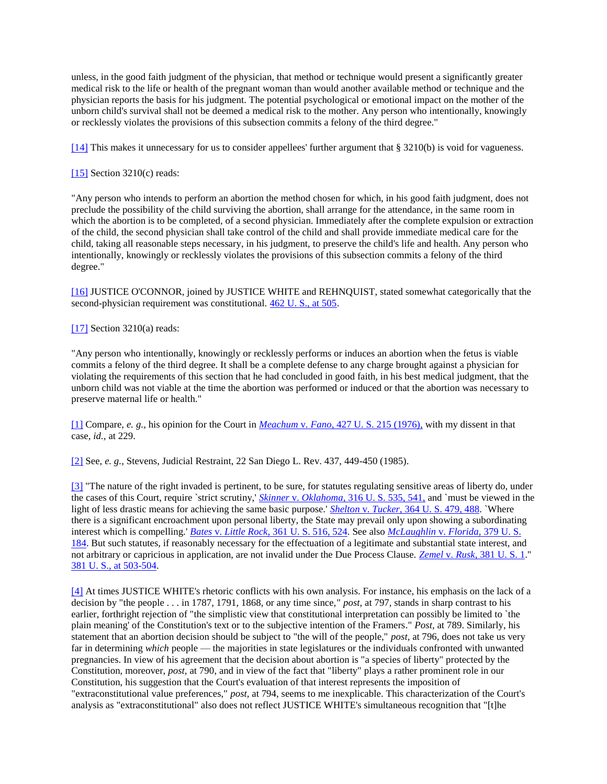unless, in the good faith judgment of the physician, that method or technique would present a significantly greater medical risk to the life or health of the pregnant woman than would another available method or technique and the physician reports the basis for his judgment. The potential psychological or emotional impact on the mother of the unborn child's survival shall not be deemed a medical risk to the mother. Any person who intentionally, knowingly or recklessly violates the provisions of this subsection commits a felony of the third degree."

[\[14\]](http://scholar.google.co.in/scholar_case?case=3420134328076928385&q=Thornburgh+&hl=en&as_sdt=2002#r[15]) This makes it unnecessary for us to consider appellees' further argument that § 3210(b) is void for vagueness.

[\[15\]](http://scholar.google.co.in/scholar_case?case=3420134328076928385&q=Thornburgh+&hl=en&as_sdt=2002#r[16]) Section  $3210(c)$  reads:

"Any person who intends to perform an abortion the method chosen for which, in his good faith judgment, does not preclude the possibility of the child surviving the abortion, shall arrange for the attendance, in the same room in which the abortion is to be completed, of a second physician. Immediately after the complete expulsion or extraction of the child, the second physician shall take control of the child and shall provide immediate medical care for the child, taking all reasonable steps necessary, in his judgment, to preserve the child's life and health. Any person who intentionally, knowingly or recklessly violates the provisions of this subsection commits a felony of the third degree."

[\[16\]](http://scholar.google.co.in/scholar_case?case=3420134328076928385&q=Thornburgh+&hl=en&as_sdt=2002#r[17]) JUSTICE O'CONNOR, joined by JUSTICE WHITE and REHNQUIST, stated somewhat categorically that the second-physician requirement was constitutional. [462 U. S., at 505.](http://scholar.google.co.in/scholar_case?case=16358226321487983194&q=Thornburgh+&hl=en&as_sdt=2002)

#### [\[17\]](http://scholar.google.co.in/scholar_case?case=3420134328076928385&q=Thornburgh+&hl=en&as_sdt=2002#r[18]) Section 3210(a) reads:

"Any person who intentionally, knowingly or recklessly performs or induces an abortion when the fetus is viable commits a felony of the third degree. It shall be a complete defense to any charge brought against a physician for violating the requirements of this section that he had concluded in good faith, in his best medical judgment, that the unborn child was not viable at the time the abortion was performed or induced or that the abortion was necessary to preserve maternal life or health."

[\[1\]](http://scholar.google.co.in/scholar_case?case=3420134328076928385&q=Thornburgh+&hl=en&as_sdt=2002#r[19]) Compare, *e. g.,* his opinion for the Court in *Meachum* v. *Fano,* [427 U. S. 215 \(1976\),](http://scholar.google.co.in/scholar_case?case=9722315340728100736&q=Thornburgh+&hl=en&as_sdt=2002) with my dissent in that case, *id.,* at 229.

[\[2\]](http://scholar.google.co.in/scholar_case?case=3420134328076928385&q=Thornburgh+&hl=en&as_sdt=2002#r[20]) See, *e. g.,* Stevens, Judicial Restraint, 22 San Diego L. Rev. 437, 449-450 (1985).

[\[3\]](http://scholar.google.co.in/scholar_case?case=3420134328076928385&q=Thornburgh+&hl=en&as_sdt=2002#r[21]) "The nature of the right invaded is pertinent, to be sure, for statutes regulating sensitive areas of liberty do, under the cases of this Court, require `strict scrutiny,' *Skinner* v. *Oklahoma,* [316 U. S. 535, 541,](http://scholar.google.co.in/scholar_case?case=8050731321644873759&q=Thornburgh+&hl=en&as_sdt=2002) and `must be viewed in the light of less drastic means for achieving the same basic purpose.' *Shelton* v. *Tucker,* [364 U. S. 479, 488.](http://scholar.google.co.in/scholar_case?case=11318664342600627346&q=Thornburgh+&hl=en&as_sdt=2002) `Where there is a significant encroachment upon personal liberty, the State may prevail only upon showing a subordinating interest which is compelling.' *Bates* v. *Little Rock,* [361 U. S. 516, 524.](http://scholar.google.co.in/scholar_case?case=6395240273592538704&q=Thornburgh+&hl=en&as_sdt=2002) See also *[McLaughlin](http://scholar.google.co.in/scholar_case?case=17718017251310240391&q=Thornburgh+&hl=en&as_sdt=2002)* v. *Florida,* 379 U. S. [184.](http://scholar.google.co.in/scholar_case?case=17718017251310240391&q=Thornburgh+&hl=en&as_sdt=2002) But such statutes, if reasonably necessary for the effectuation of a legitimate and substantial state interest, and not arbitrary or capricious in application, are not invalid under the Due Process Clause. *Zemel* v. *Rusk,* [381 U. S. 1.](http://scholar.google.co.in/scholar_case?case=13501640124519632028&q=Thornburgh+&hl=en&as_sdt=2002)" [381 U. S., at 503-504.](http://scholar.google.co.in/scholar_case?case=12276922145000050979&q=Thornburgh+&hl=en&as_sdt=2002)

[\[4\]](http://scholar.google.co.in/scholar_case?case=3420134328076928385&q=Thornburgh+&hl=en&as_sdt=2002#r[22]) At times JUSTICE WHITE's rhetoric conflicts with his own analysis. For instance, his emphasis on the lack of a decision by "the people . . . in 1787, 1791, 1868, or any time since," *post,* at 797, stands in sharp contrast to his earlier, forthright rejection of "the simplistic view that constitutional interpretation can possibly be limited to `the plain meaning' of the Constitution's text or to the subjective intention of the Framers." *Post,* at 789. Similarly, his statement that an abortion decision should be subject to "the will of the people," *post,* at 796, does not take us very far in determining *which* people — the majorities in state legislatures or the individuals confronted with unwanted pregnancies. In view of his agreement that the decision about abortion is "a species of liberty" protected by the Constitution, moreover, *post,* at 790, and in view of the fact that "liberty" plays a rather prominent role in our Constitution, his suggestion that the Court's evaluation of that interest represents the imposition of "extraconstitutional value preferences," *post,* at 794, seems to me inexplicable. This characterization of the Court's analysis as "extraconstitutional" also does not reflect JUSTICE WHITE's simultaneous recognition that "[t]he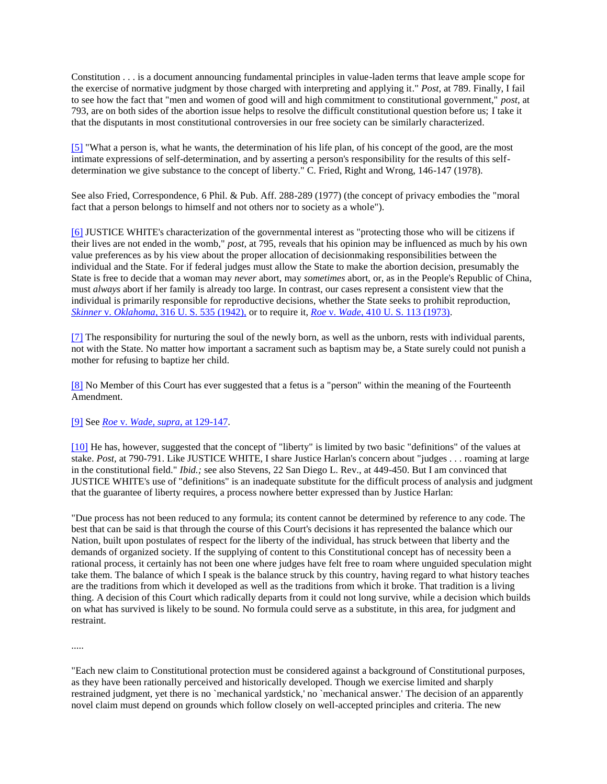Constitution . . . is a document announcing fundamental principles in value-laden terms that leave ample scope for the exercise of normative judgment by those charged with interpreting and applying it." *Post,* at 789. Finally, I fail to see how the fact that "men and women of good will and high commitment to constitutional government," *post,* at 793, are on both sides of the abortion issue helps to resolve the difficult constitutional question before us; I take it that the disputants in most constitutional controversies in our free society can be similarly characterized.

[\[5\]](http://scholar.google.co.in/scholar_case?case=3420134328076928385&q=Thornburgh+&hl=en&as_sdt=2002#r[23]) "What a person is, what he wants, the determination of his life plan, of his concept of the good, are the most intimate expressions of self-determination, and by asserting a person's responsibility for the results of this selfdetermination we give substance to the concept of liberty." C. Fried, Right and Wrong, 146-147 (1978).

See also Fried, Correspondence, 6 Phil. & Pub. Aff. 288-289 (1977) (the concept of privacy embodies the "moral fact that a person belongs to himself and not others nor to society as a whole").

[\[6\]](http://scholar.google.co.in/scholar_case?case=3420134328076928385&q=Thornburgh+&hl=en&as_sdt=2002#r[24]) JUSTICE WHITE's characterization of the governmental interest as "protecting those who will be citizens if their lives are not ended in the womb," *post,* at 795, reveals that his opinion may be influenced as much by his own value preferences as by his view about the proper allocation of decisionmaking responsibilities between the individual and the State. For if federal judges must allow the State to make the abortion decision, presumably the State is free to decide that a woman may *never* abort, may *sometimes* abort, or, as in the People's Republic of China, must *always* abort if her family is already too large. In contrast, our cases represent a consistent view that the individual is primarily responsible for reproductive decisions, whether the State seeks to prohibit reproduction, *Skinner* v. *Oklahoma,* [316 U. S. 535 \(1942\),](http://scholar.google.co.in/scholar_case?case=8050731321644873759&q=Thornburgh+&hl=en&as_sdt=2002) or to require it, *Roe* v. *Wade,* [410 U. S. 113 \(1973\).](http://scholar.google.co.in/scholar_case?case=12334123945835207673&q=Thornburgh+&hl=en&as_sdt=2002)

[\[7\]](http://scholar.google.co.in/scholar_case?case=3420134328076928385&q=Thornburgh+&hl=en&as_sdt=2002#r[25]) The responsibility for nurturing the soul of the newly born, as well as the unborn, rests with individual parents, not with the State. No matter how important a sacrament such as baptism may be, a State surely could not punish a mother for refusing to baptize her child.

[\[8\]](http://scholar.google.co.in/scholar_case?case=3420134328076928385&q=Thornburgh+&hl=en&as_sdt=2002#r[26]) No Member of this Court has ever suggested that a fetus is a "person" within the meaning of the Fourteenth Amendment.

#### [\[9\]](http://scholar.google.co.in/scholar_case?case=3420134328076928385&q=Thornburgh+&hl=en&as_sdt=2002#r[27]) See *Roe* v. *[Wade, supra,](http://scholar.google.co.in/scholar_case?case=12334123945835207673&q=Thornburgh+&hl=en&as_sdt=2002)* at 129-147.

[\[10\]](http://scholar.google.co.in/scholar_case?case=3420134328076928385&q=Thornburgh+&hl=en&as_sdt=2002#r[28]) He has, however, suggested that the concept of "liberty" is limited by two basic "definitions" of the values at stake. *Post,* at 790-791. Like JUSTICE WHITE, I share Justice Harlan's concern about "judges . . . roaming at large in the constitutional field." *Ibid.;* see also Stevens, 22 San Diego L. Rev., at 449-450. But I am convinced that JUSTICE WHITE's use of "definitions" is an inadequate substitute for the difficult process of analysis and judgment that the guarantee of liberty requires, a process nowhere better expressed than by Justice Harlan:

"Due process has not been reduced to any formula; its content cannot be determined by reference to any code. The best that can be said is that through the course of this Court's decisions it has represented the balance which our Nation, built upon postulates of respect for the liberty of the individual, has struck between that liberty and the demands of organized society. If the supplying of content to this Constitutional concept has of necessity been a rational process, it certainly has not been one where judges have felt free to roam where unguided speculation might take them. The balance of which I speak is the balance struck by this country, having regard to what history teaches are the traditions from which it developed as well as the traditions from which it broke. That tradition is a living thing. A decision of this Court which radically departs from it could not long survive, while a decision which builds on what has survived is likely to be sound. No formula could serve as a substitute, in this area, for judgment and restraint.

.....

"Each new claim to Constitutional protection must be considered against a background of Constitutional purposes, as they have been rationally perceived and historically developed. Though we exercise limited and sharply restrained judgment, yet there is no `mechanical yardstick,' no `mechanical answer.' The decision of an apparently novel claim must depend on grounds which follow closely on well-accepted principles and criteria. The new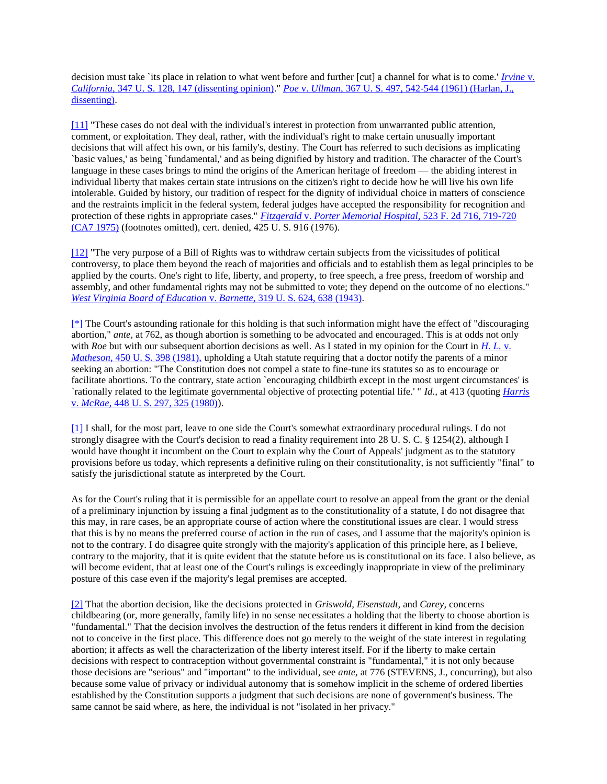decision must take `its place in relation to what went before and further [cut] a channel for what is to come.' *[Irvine](http://scholar.google.co.in/scholar_case?case=5343930060072183521&q=Thornburgh+&hl=en&as_sdt=2002)* v. *California,* [347 U. S. 128, 147 \(dissenting opinion\).](http://scholar.google.co.in/scholar_case?case=5343930060072183521&q=Thornburgh+&hl=en&as_sdt=2002)" *Poe* v. *Ullman,* [367 U. S. 497, 542-544 \(1961\) \(Harlan, J.,](http://scholar.google.co.in/scholar_case?case=642884283459215206&q=Thornburgh+&hl=en&as_sdt=2002)  [dissenting\).](http://scholar.google.co.in/scholar_case?case=642884283459215206&q=Thornburgh+&hl=en&as_sdt=2002)

[\[11\]](http://scholar.google.co.in/scholar_case?case=3420134328076928385&q=Thornburgh+&hl=en&as_sdt=2002#r[29]) "These cases do not deal with the individual's interest in protection from unwarranted public attention, comment, or exploitation. They deal, rather, with the individual's right to make certain unusually important decisions that will affect his own, or his family's, destiny. The Court has referred to such decisions as implicating `basic values,' as being `fundamental,' and as being dignified by history and tradition. The character of the Court's language in these cases brings to mind the origins of the American heritage of freedom — the abiding interest in individual liberty that makes certain state intrusions on the citizen's right to decide how he will live his own life intolerable. Guided by history, our tradition of respect for the dignity of individual choice in matters of conscience and the restraints implicit in the federal system, federal judges have accepted the responsibility for recognition and protection of these rights in appropriate cases." *Fitzgerald* v. *[Porter Memorial Hospital,](http://scholar.google.co.in/scholar_case?case=12666794943999352986&q=Thornburgh+&hl=en&as_sdt=2002)* 523 F. 2d 716, 719-720 [\(CA7 1975\)](http://scholar.google.co.in/scholar_case?case=12666794943999352986&q=Thornburgh+&hl=en&as_sdt=2002) (footnotes omitted), cert. denied, 425 U. S. 916 (1976).

[\[12\]](http://scholar.google.co.in/scholar_case?case=3420134328076928385&q=Thornburgh+&hl=en&as_sdt=2002#r[30]) "The very purpose of a Bill of Rights was to withdraw certain subjects from the vicissitudes of political controversy, to place them beyond the reach of majorities and officials and to establish them as legal principles to be applied by the courts. One's right to life, liberty, and property, to free speech, a free press, freedom of worship and assembly, and other fundamental rights may not be submitted to vote; they depend on the outcome of no elections." *[West Virginia Board of Education](http://scholar.google.co.in/scholar_case?case=8030119134463419441&q=Thornburgh+&hl=en&as_sdt=2002)* v. *Barnette,* 319 U. S. 624, 638 (1943).

[\[\\*\]](http://scholar.google.co.in/scholar_case?case=3420134328076928385&q=Thornburgh+&hl=en&as_sdt=2002#r[31]) The Court's astounding rationale for this holding is that such information might have the effect of "discouraging abortion," *ante,* at 762, as though abortion is something to be advocated and encouraged. This is at odds not only with *Roe* but with our subsequent abortion decisions as well. As I stated in my opinion for the Court in *[H. L.](http://scholar.google.co.in/scholar_case?case=10434918817997476102&q=Thornburgh+&hl=en&as_sdt=2002)* v. *Matheson*, [450 U. S. 398 \(1981\),](http://scholar.google.co.in/scholar_case?case=10434918817997476102&q=Thornburgh+&hl=en&as_sdt=2002) upholding a Utah statute requiring that a doctor notify the parents of a minor seeking an abortion: "The Constitution does not compel a state to fine-tune its statutes so as to encourage or facilitate abortions. To the contrary, state action `encouraging childbirth except in the most urgent circumstances' is `rationally related to the legitimate governmental objective of protecting potential life.' " *Id.,* at 413 (quoting *[Harris](http://scholar.google.co.in/scholar_case?case=8833310949486291357&q=Thornburgh+&hl=en&as_sdt=2002)* v. *McRae,* [448 U. S. 297, 325 \(1980\)\)](http://scholar.google.co.in/scholar_case?case=8833310949486291357&q=Thornburgh+&hl=en&as_sdt=2002).

[\[1\]](http://scholar.google.co.in/scholar_case?case=3420134328076928385&q=Thornburgh+&hl=en&as_sdt=2002#r[32]) I shall, for the most part, leave to one side the Court's somewhat extraordinary procedural rulings. I do not strongly disagree with the Court's decision to read a finality requirement into 28 U. S. C. § 1254(2), although I would have thought it incumbent on the Court to explain why the Court of Appeals' judgment as to the statutory provisions before us today, which represents a definitive ruling on their constitutionality, is not sufficiently "final" to satisfy the jurisdictional statute as interpreted by the Court.

As for the Court's ruling that it is permissible for an appellate court to resolve an appeal from the grant or the denial of a preliminary injunction by issuing a final judgment as to the constitutionality of a statute, I do not disagree that this may, in rare cases, be an appropriate course of action where the constitutional issues are clear. I would stress that this is by no means the preferred course of action in the run of cases, and I assume that the majority's opinion is not to the contrary. I do disagree quite strongly with the majority's application of this principle here, as I believe, contrary to the majority, that it is quite evident that the statute before us is constitutional on its face. I also believe, as will become evident, that at least one of the Court's rulings is exceedingly inappropriate in view of the preliminary posture of this case even if the majority's legal premises are accepted.

[\[2\]](http://scholar.google.co.in/scholar_case?case=3420134328076928385&q=Thornburgh+&hl=en&as_sdt=2002#r[33]) That the abortion decision, like the decisions protected in *Griswold, Eisenstadt,* and *Carey,* concerns childbearing (or, more generally, family life) in no sense necessitates a holding that the liberty to choose abortion is "fundamental." That the decision involves the destruction of the fetus renders it different in kind from the decision not to conceive in the first place. This difference does not go merely to the weight of the state interest in regulating abortion; it affects as well the characterization of the liberty interest itself. For if the liberty to make certain decisions with respect to contraception without governmental constraint is "fundamental," it is not only because those decisions are "serious" and "important" to the individual, see *ante,* at 776 (STEVENS, J., concurring), but also because some value of privacy or individual autonomy that is somehow implicit in the scheme of ordered liberties established by the Constitution supports a judgment that such decisions are none of government's business. The same cannot be said where, as here, the individual is not "isolated in her privacy."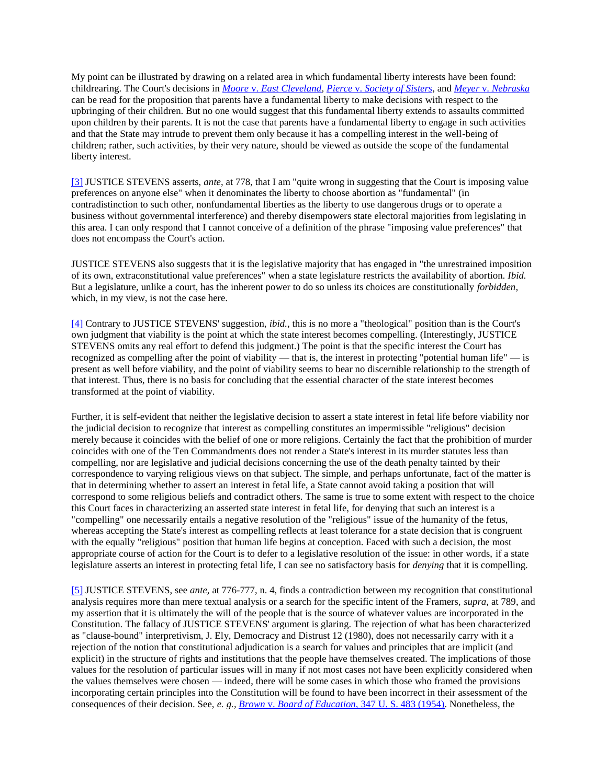My point can be illustrated by drawing on a related area in which fundamental liberty interests have been found: childrearing. The Court's decisions in *Moore* v. *[East Cleveland,](http://scholar.google.co.in/scholar_case?case=2901986314146432010&q=Thornburgh+&hl=en&as_sdt=2002) Pierce* v. *[Society of Sisters,](http://scholar.google.co.in/scholar_case?case=6094501649208458004&q=Thornburgh+&hl=en&as_sdt=2002)* and *Meyer* v. *[Nebraska](http://scholar.google.co.in/scholar_case?case=16175793893966768030&q=Thornburgh+&hl=en&as_sdt=2002)* can be read for the proposition that parents have a fundamental liberty to make decisions with respect to the upbringing of their children. But no one would suggest that this fundamental liberty extends to assaults committed upon children by their parents. It is not the case that parents have a fundamental liberty to engage in such activities and that the State may intrude to prevent them only because it has a compelling interest in the well-being of children; rather, such activities, by their very nature, should be viewed as outside the scope of the fundamental liberty interest.

[\[3\]](http://scholar.google.co.in/scholar_case?case=3420134328076928385&q=Thornburgh+&hl=en&as_sdt=2002#r[34]) JUSTICE STEVENS asserts, *ante,* at 778, that I am "quite wrong in suggesting that the Court is imposing value preferences on anyone else" when it denominates the liberty to choose abortion as "fundamental" (in contradistinction to such other, nonfundamental liberties as the liberty to use dangerous drugs or to operate a business without governmental interference) and thereby disempowers state electoral majorities from legislating in this area. I can only respond that I cannot conceive of a definition of the phrase "imposing value preferences" that does not encompass the Court's action.

JUSTICE STEVENS also suggests that it is the legislative majority that has engaged in "the unrestrained imposition of its own, extraconstitutional value preferences" when a state legislature restricts the availability of abortion. *Ibid.* But a legislature, unlike a court, has the inherent power to do so unless its choices are constitutionally *forbidden,* which, in my view, is not the case here.

[\[4\]](http://scholar.google.co.in/scholar_case?case=3420134328076928385&q=Thornburgh+&hl=en&as_sdt=2002#r[35]) Contrary to JUSTICE STEVENS' suggestion, *ibid.,* this is no more a "theological" position than is the Court's own judgment that viability is the point at which the state interest becomes compelling. (Interestingly, JUSTICE STEVENS omits any real effort to defend this judgment.) The point is that the specific interest the Court has recognized as compelling after the point of viability — that is, the interest in protecting "potential human life" — is present as well before viability, and the point of viability seems to bear no discernible relationship to the strength of that interest. Thus, there is no basis for concluding that the essential character of the state interest becomes transformed at the point of viability.

Further, it is self-evident that neither the legislative decision to assert a state interest in fetal life before viability nor the judicial decision to recognize that interest as compelling constitutes an impermissible "religious" decision merely because it coincides with the belief of one or more religions. Certainly the fact that the prohibition of murder coincides with one of the Ten Commandments does not render a State's interest in its murder statutes less than compelling, nor are legislative and judicial decisions concerning the use of the death penalty tainted by their correspondence to varying religious views on that subject. The simple, and perhaps unfortunate, fact of the matter is that in determining whether to assert an interest in fetal life, a State cannot avoid taking a position that will correspond to some religious beliefs and contradict others. The same is true to some extent with respect to the choice this Court faces in characterizing an asserted state interest in fetal life, for denying that such an interest is a "compelling" one necessarily entails a negative resolution of the "religious" issue of the humanity of the fetus, whereas accepting the State's interest as compelling reflects at least tolerance for a state decision that is congruent with the equally "religious" position that human life begins at conception. Faced with such a decision, the most appropriate course of action for the Court is to defer to a legislative resolution of the issue: in other words, if a state legislature asserts an interest in protecting fetal life, I can see no satisfactory basis for *denying* that it is compelling.

[\[5\]](http://scholar.google.co.in/scholar_case?case=3420134328076928385&q=Thornburgh+&hl=en&as_sdt=2002#r[36]) JUSTICE STEVENS, see *ante,* at 776-777, n. 4, finds a contradiction between my recognition that constitutional analysis requires more than mere textual analysis or a search for the specific intent of the Framers, *supra,* at 789, and my assertion that it is ultimately the will of the people that is the source of whatever values are incorporated in the Constitution. The fallacy of JUSTICE STEVENS' argument is glaring. The rejection of what has been characterized as "clause-bound" interpretivism, J. Ely, Democracy and Distrust 12 (1980), does not necessarily carry with it a rejection of the notion that constitutional adjudication is a search for values and principles that are implicit (and explicit) in the structure of rights and institutions that the people have themselves created. The implications of those values for the resolution of particular issues will in many if not most cases not have been explicitly considered when the values themselves were chosen — indeed, there will be some cases in which those who framed the provisions incorporating certain principles into the Constitution will be found to have been incorrect in their assessment of the consequences of their decision. See, *e. g., Brown* v. *Board of Education,* [347 U. S. 483 \(1954\).](http://scholar.google.co.in/scholar_case?case=12120372216939101759&q=Thornburgh+&hl=en&as_sdt=2002) Nonetheless, the